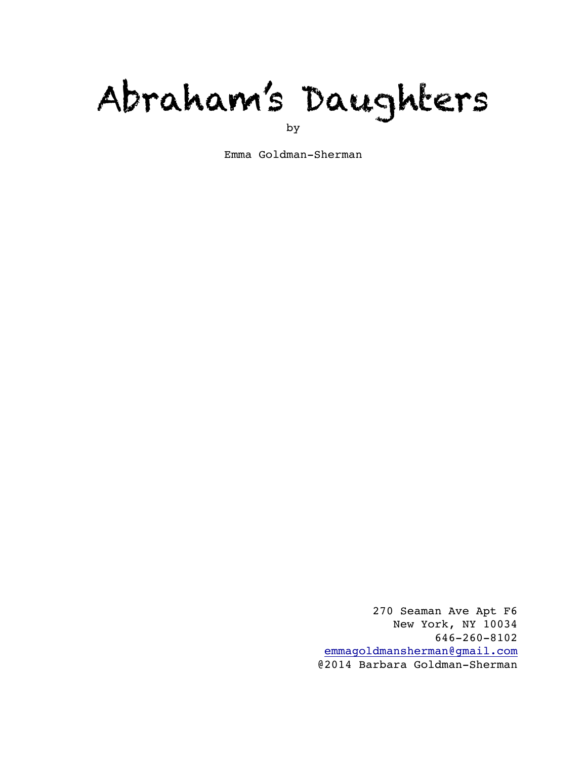# Abraham's Daughters

by

Emma Goldman-Sherman

270 Seaman Ave Apt F6 New York, NY 10034 646-260-8102 [emmagoldmansherman@gmail.com](mailto:emmagoldmansherman@gmail.com) @2014 Barbara Goldman-Sherman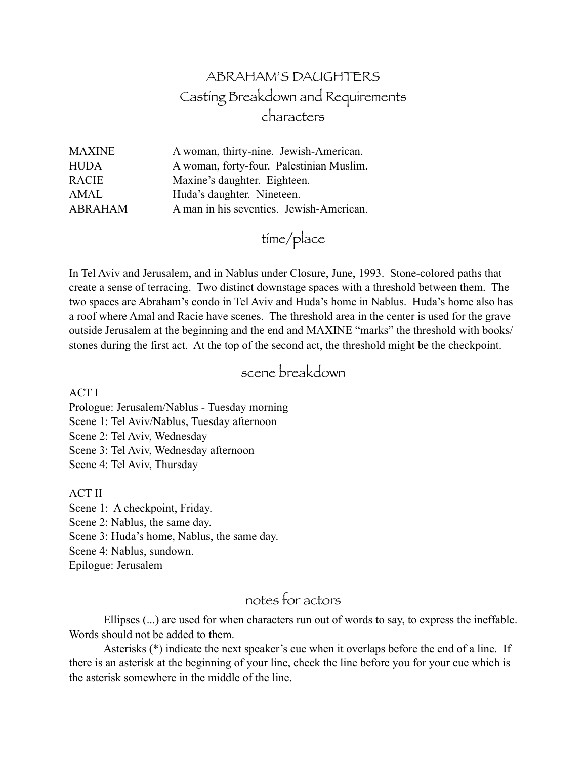## ABRAHAM'S DAUGHTERS Casting Breakdown and Requirements characters

| MAXINE         | A woman, thirty-nine. Jewish-American.   |
|----------------|------------------------------------------|
| <b>HUDA</b>    | A woman, forty-four. Palestinian Muslim. |
| <b>RACIE</b>   | Maxine's daughter. Eighteen.             |
| AMAL           | Huda's daughter. Nineteen.               |
| <b>ABRAHAM</b> | A man in his seventies. Jewish-American. |

time/place

In Tel Aviv and Jerusalem, and in Nablus under Closure, June, 1993. Stone-colored paths that create a sense of terracing. Two distinct downstage spaces with a threshold between them. The two spaces are Abraham's condo in Tel Aviv and Huda's home in Nablus. Huda's home also has a roof where Amal and Racie have scenes. The threshold area in the center is used for the grave outside Jerusalem at the beginning and the end and MAXINE "marks" the threshold with books/ stones during the first act. At the top of the second act, the threshold might be the checkpoint.

## scene breakdown

ACT I

Prologue: Jerusalem/Nablus - Tuesday morning

Scene 1: Tel Aviv/Nablus, Tuesday afternoon

Scene 2: Tel Aviv, Wednesday

Scene 3: Tel Aviv, Wednesday afternoon

Scene 4: Tel Aviv, Thursday

#### ACT II

Scene 1: A checkpoint, Friday.

Scene 2: Nablus, the same day.

Scene 3: Huda's home, Nablus, the same day.

Scene 4: Nablus, sundown.

Epilogue: Jerusalem

## notes for actors

 Ellipses (...) are used for when characters run out of words to say, to express the ineffable. Words should not be added to them.

 Asterisks (\*) indicate the next speaker's cue when it overlaps before the end of a line. If there is an asterisk at the beginning of your line, check the line before you for your cue which is the asterisk somewhere in the middle of the line.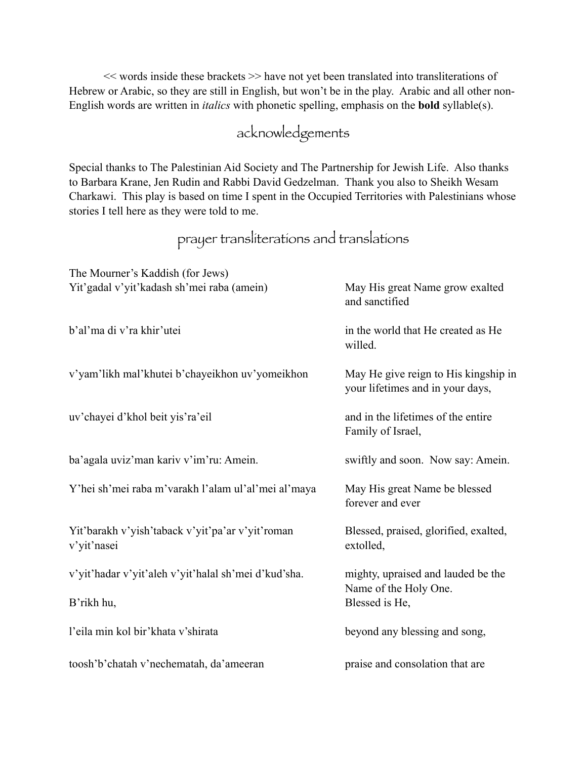<< words inside these brackets >> have not yet been translated into transliterations of Hebrew or Arabic, so they are still in English, but won't be in the play. Arabic and all other non-English words are written in *italics* with phonetic spelling, emphasis on the **bold** syllable(s).

## acknowledgements

Special thanks to The Palestinian Aid Society and The Partnership for Jewish Life. Also thanks to Barbara Krane, Jen Rudin and Rabbi David Gedzelman. Thank you also to Sheikh Wesam Charkawi. This play is based on time I spent in the Occupied Territories with Palestinians whose stories I tell here as they were told to me.

## prayer transliterations and translations

| The Mourner's Kaddish (for Jews)                                |                                                                          |
|-----------------------------------------------------------------|--------------------------------------------------------------------------|
| Yit'gadal v'yit'kadash sh'mei raba (amein)                      | May His great Name grow exalted<br>and sanctified                        |
| b'al'ma di v'ra khir'utei                                       | in the world that He created as He<br>willed.                            |
| v'yam'likh mal'khutei b'chayeikhon uv'yomeikhon                 | May He give reign to His kingship in<br>your lifetimes and in your days, |
| uv'chayei d'khol beit yis'ra'eil                                | and in the lifetimes of the entire<br>Family of Israel,                  |
| ba'agala uviz'man kariv v'im'ru: Amein.                         | swiftly and soon. Now say: Amein.                                        |
| Y'hei sh'mei raba m'varakh l'alam ul'al'mei al'maya             | May His great Name be blessed<br>forever and ever                        |
| Yit'barakh v'yish'taback v'yit'pa'ar v'yit'roman<br>v'yit'nasei | Blessed, praised, glorified, exalted,<br>extolled,                       |
| v'yit'hadar v'yit'aleh v'yit'halal sh'mei d'kud'sha.            | mighty, upraised and lauded be the<br>Name of the Holy One.              |
| B'rikh hu,                                                      | Blessed is He,                                                           |
| l'eila min kol bir'khata v'shirata                              | beyond any blessing and song,                                            |
| toosh'b'chatah v'nechematah, da'ameeran                         | praise and consolation that are                                          |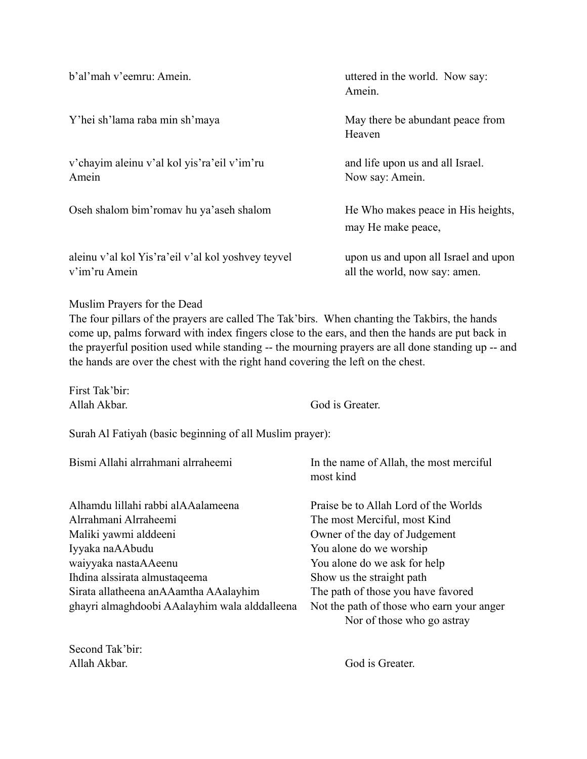| b'al'mah v'eemru: Amein.                                            | uttered in the world. Now say:<br>Amein.                              |
|---------------------------------------------------------------------|-----------------------------------------------------------------------|
| Y'hei sh'lama raba min sh'maya                                      | May there be abundant peace from<br>Heaven                            |
| v'chayim aleinu v'al kol yis'ra'eil v'im'ru<br>Amein                | and life upon us and all Israel.<br>Now say: Amein.                   |
| Oseh shalom bim'romay hu ya'aseh shalom                             | He Who makes peace in His heights,<br>may He make peace,              |
| aleinu v'al kol Yis'ra'eil v'al kol yoshvey teyvel<br>v'im'ru Amein | upon us and upon all Israel and upon<br>all the world, now say: amen. |

Muslim Prayers for the Dead

The four pillars of the prayers are called The Tak'birs. When chanting the Takbirs, the hands come up, palms forward with index fingers close to the ears, and then the hands are put back in the prayerful position used while standing -- the mourning prayers are all done standing up -- and the hands are over the chest with the right hand covering the left on the chest.

First Tak'bir:

Allah Akbar. God is Greater.

Surah Al Fatiyah (basic beginning of all Muslim prayer):

| Bismi Allahi alrrahmani alrraheemi            | In the name of Allah, the most merciful<br>most kind                    |
|-----------------------------------------------|-------------------------------------------------------------------------|
| Alhamdu lillahi rabbi alAAalameena            | Praise be to Allah Lord of the Worlds                                   |
| Alrrahmani Alrraheemi                         | The most Merciful, most Kind                                            |
| Maliki yawmi alddeeni                         | Owner of the day of Judgement                                           |
| Iyyaka naAAbudu                               | You alone do we worship                                                 |
| waiyyaka nastaAAeenu                          | You alone do we ask for help                                            |
| Ihdina alssirata almustaqeema                 | Show us the straight path                                               |
| Sirata allatheena anAAamtha AAalayhim         | The path of those you have favored                                      |
| ghayri almaghdoobi AAalayhim wala alddalleena | Not the path of those who earn your anger<br>Nor of those who go astray |

Second Tak'bir: Allah Akbar. God is Greater.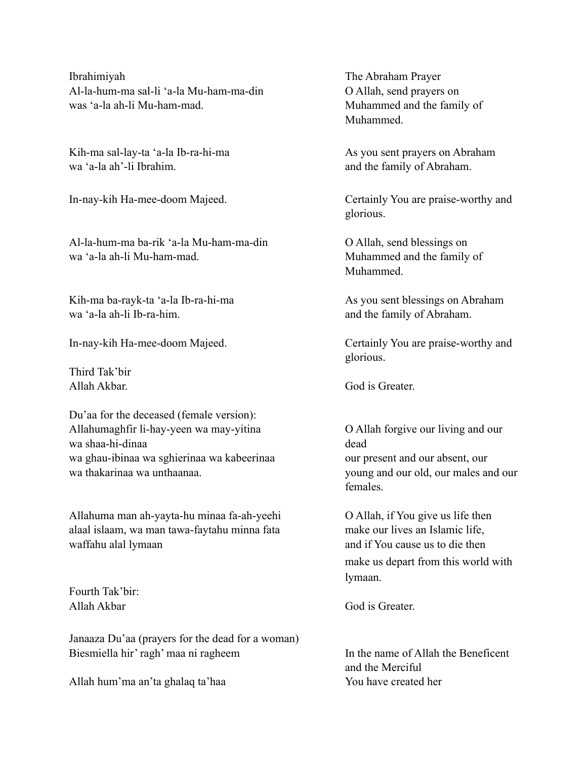Ibrahimiyah The Abraham Prayer Al-la-hum-ma sal-li 'a-la Mu-ham-ma-din O Allah, send prayers on was 'a-la ah-li Mu-ham-mad. Muhammed and the family of

Kih-ma sal-lay-ta 'a-la Ib-ra-hi-ma As you sent prayers on Abraham wa 'a-la ah'-li Ibrahim. and the family of Abraham.

Al-la-hum-ma ba-rik 'a-la Mu-ham-ma-din O Allah, send blessings on wa 'a-la ah-li Mu-ham-mad. Muhammed and the family of

Kih-ma ba-rayk-ta 'a-la Ib-ra-hi-ma As you sent blessings on Abraham wa 'a-la ah-li Ib-ra-him. and the family of Abraham.

Third Tak'bir

Du'aa for the deceased (female version): Allahumaghfir li-hay-yeen wa may-yitina O Allah forgive our living and our wa shaa-hi-dinaa dead wa ghau-ibinaa wa sghierinaa wa kabeerinaa our present and our absent, our wa thakarinaa wa unthaanaa. young and our old, our males and our

Allahuma man ah-yayta-hu minaa fa-ah-yeehi O Allah, if You give us life then alaal islaam, wa man tawa-faytahu minna fata make our lives an Islamic life, waffahu alal lymaan and if You cause us to die then

Fourth Tak'bir: Allah Akbar God is Greater.

Janaaza Du'aa (prayers for the dead for a woman) Biesmiella hir' ragh' maa ni ragheem In the name of Allah the Beneficent

Allah hum'ma an'ta ghalaq ta'haa You have created her

Muhammed.

In-nay-kih Ha-mee-doom Majeed. Certainly You are praise-worthy and glorious.

Muhammed.

In-nay-kih Ha-mee-doom Majeed. Certainly You are praise-worthy and glorious.

Allah Akbar. God is Greater.

females.

 make us depart from this world with lymaan.

and the Merciful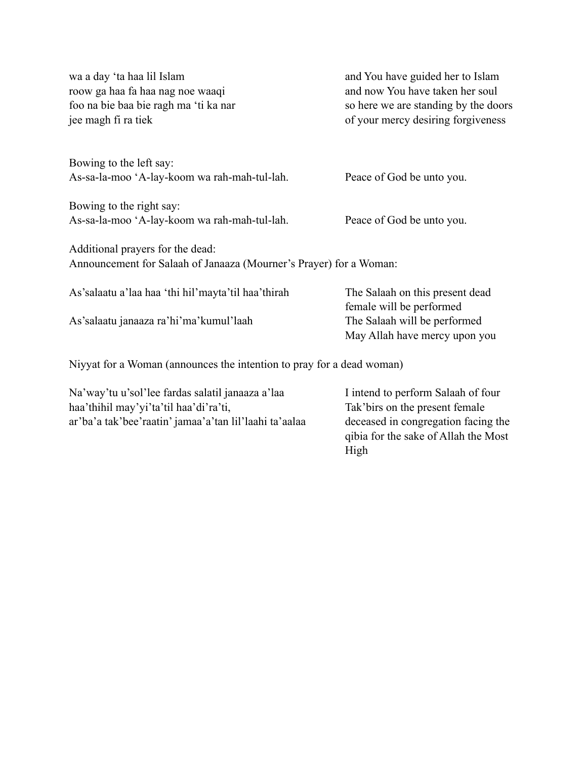wa a day 'ta haa lil Islam and You have guided her to Islam roow ga haa fa haa nag noe waaqi and now You have taken her soul foo na bie baa bie ragh ma 'ti ka nar so here we are standing by the doors jee magh fi ra tiek of your mercy desiring forgiveness Bowing to the left say: As-sa-la-moo 'A-lay-koom wa rah-mah-tul-lah. Peace of God be unto you. Bowing to the right say: As-sa-la-moo 'A-lay-koom wa rah-mah-tul-lah. Peace of God be unto you. Additional prayers for the dead: Announcement for Salaah of Janaaza (Mourner's Prayer) for a Woman: As'salaatu a'laa haa 'thi hil'mayta'til haa'thirah The Salaah on this present dead female will be performed As'salaatu janaaza ra'hi'ma'kumul'laah The Salaah will be performed May Allah have mercy upon you Niyyat for a Woman (announces the intention to pray for a dead woman)

Na'way'tu u'sol'lee fardas salatil janaaza a'laa I intend to perform Salaah of four haa'thihil may'yi'ta'til haa'di'ra'ti, Tak'birs on the present female ar'ba'a tak'bee'raatin' jamaa'a'tan lil'laahi ta'aalaa deceased in congregation facing the

 qibia for the sake of Allah the Most **High**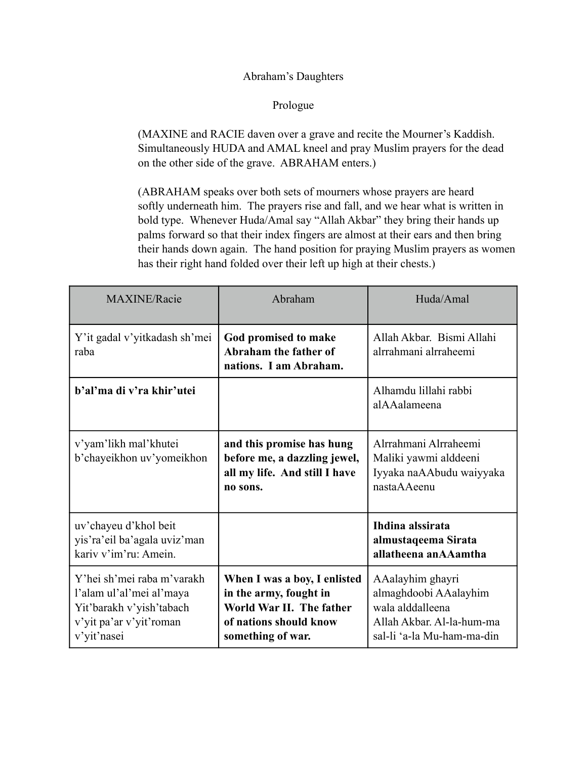#### Abraham's Daughters

Prologue

 (MAXINE and RACIE daven over a grave and recite the Mourner's Kaddish. Simultaneously HUDA and AMAL kneel and pray Muslim prayers for the dead on the other side of the grave. ABRAHAM enters.)

 (ABRAHAM speaks over both sets of mourners whose prayers are heard softly underneath him. The prayers rise and fall, and we hear what is written in bold type. Whenever Huda/Amal say "Allah Akbar" they bring their hands up palms forward so that their index fingers are almost at their ears and then bring their hands down again. The hand position for praying Muslim prayers as women has their right hand folded over their left up high at their chests.)

| <b>MAXINE/Racie</b>                                                                                                          | Abraham                                                                                                                           | Huda/Amal                                                                                                                |
|------------------------------------------------------------------------------------------------------------------------------|-----------------------------------------------------------------------------------------------------------------------------------|--------------------------------------------------------------------------------------------------------------------------|
| Y'it gadal v'yitkadash sh'mei<br>raba                                                                                        | God promised to make<br>Abraham the father of<br>nations. I am Abraham.                                                           | Allah Akbar. Bismi Allahi<br>alrrahmani alrraheemi                                                                       |
| b'al'ma di v'ra khir'utei                                                                                                    |                                                                                                                                   | Alhamdu lillahi rabbi<br>alAAalameena                                                                                    |
| v'yam'likh mal'khutei<br>b'chayeikhon uv'yomeikhon                                                                           | and this promise has hung<br>before me, a dazzling jewel,<br>all my life. And still I have<br>no sons.                            | Alrrahmani Alrraheemi<br>Maliki yawmi alddeeni<br>Iyyaka naAAbudu waiyyaka<br>nastaAAeenu                                |
| uv'chayeu d'khol beit<br>yis'ra'eil ba'agala uviz'man<br>kariv v'im'ru: Amein.                                               |                                                                                                                                   | Ihdina alssirata<br>almustaqeema Sirata<br>allatheena anAAamtha                                                          |
| Y'hei sh'mei raba m'varakh<br>l'alam ul'al'mei al'maya<br>Yit'barakh v'yish'tabach<br>v'yit pa'ar v'yit'roman<br>v'yit'nasei | When I was a boy, I enlisted<br>in the army, fought in<br>World War II. The father<br>of nations should know<br>something of war. | AAalayhim ghayri<br>almaghdoobi AAalayhim<br>wala alddalleena<br>Allah Akbar. Al-la-hum-ma<br>sal-li 'a-la Mu-ham-ma-din |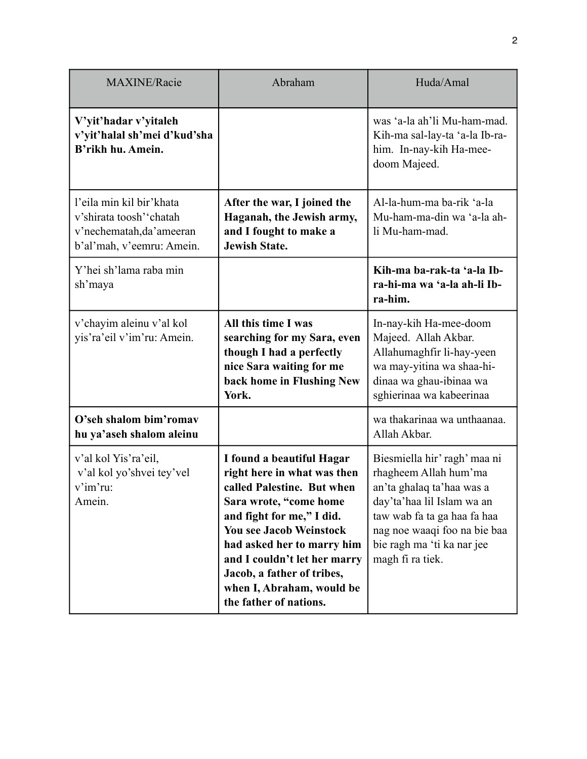| MAXINE/Racie                                                                                                  | Abraham                                                                                                                                                                                                                                                                                                                            | Huda/Amal                                                                                                                                                                                                                         |
|---------------------------------------------------------------------------------------------------------------|------------------------------------------------------------------------------------------------------------------------------------------------------------------------------------------------------------------------------------------------------------------------------------------------------------------------------------|-----------------------------------------------------------------------------------------------------------------------------------------------------------------------------------------------------------------------------------|
| V'yit'hadar v'yitaleh<br>v'yit'halal sh'mei d'kud'sha<br>B'rikh hu. Amein.                                    |                                                                                                                                                                                                                                                                                                                                    | was 'a-la ah'li Mu-ham-mad.<br>Kih-ma sal-lay-ta 'a-la Ib-ra-<br>him. In-nay-kih Ha-mee-<br>doom Majeed.                                                                                                                          |
| l'eila min kil bir'khata<br>v'shirata toosh' chatah<br>v'nechematah, da 'ameeran<br>b'al'mah, v'eemru: Amein. | After the war, I joined the<br>Haganah, the Jewish army,<br>and I fought to make a<br><b>Jewish State.</b>                                                                                                                                                                                                                         | Al-la-hum-ma ba-rik 'a-la<br>Mu-ham-ma-din wa 'a-la ah-<br>li Mu-ham-mad.                                                                                                                                                         |
| Y'hei sh'lama raba min<br>sh'maya                                                                             |                                                                                                                                                                                                                                                                                                                                    | Kih-ma ba-rak-ta 'a-la Ib-<br>ra-hi-ma wa 'a-la ah-li Ib-<br>ra-him.                                                                                                                                                              |
| v'chayim aleinu v'al kol<br>yis'ra'eil v'im'ru: Amein.                                                        | All this time I was<br>searching for my Sara, even<br>though I had a perfectly<br>nice Sara waiting for me<br>back home in Flushing New<br>York.                                                                                                                                                                                   | In-nay-kih Ha-mee-doom<br>Majeed. Allah Akbar.<br>Allahumaghfir li-hay-yeen<br>wa may-yitina wa shaa-hi-<br>dinaa wa ghau-ibinaa wa<br>sghierinaa wa kabeerinaa                                                                   |
| O'seh shalom bim'romav<br>hu ya'aseh shalom aleinu                                                            |                                                                                                                                                                                                                                                                                                                                    | wa thakarinaa wa unthaanaa.<br>Allah Akbar.                                                                                                                                                                                       |
| v'al kol Yis'ra'eil,<br>v'al kol yo'shvei tey'vel<br>v'im'ru:<br>Amein.                                       | I found a beautiful Hagar<br>right here in what was then<br>called Palestine. But when<br>Sara wrote, "come home<br>and fight for me," I did.<br><b>You see Jacob Weinstock</b><br>had asked her to marry him<br>and I couldn't let her marry<br>Jacob, a father of tribes,<br>when I, Abraham, would be<br>the father of nations. | Biesmiella hir' ragh' maa ni<br>rhagheem Allah hum'ma<br>an'ta ghalaq ta'haa was a<br>day'ta'haa lil Islam wa an<br>taw wab fa ta ga haa fa haa<br>nag noe waaqi foo na bie baa<br>bie ragh ma 'ti ka nar jee<br>magh fi ra tiek. |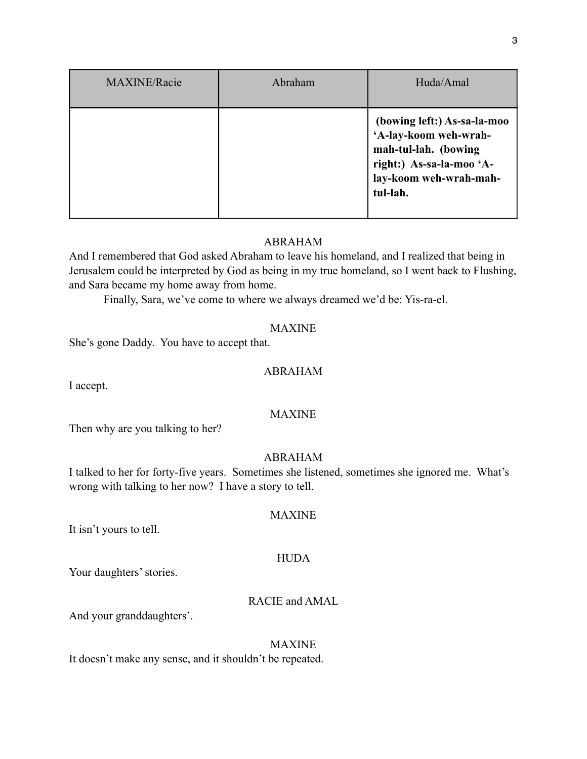| MAXINE/Racie | Abraham | Huda/Amal                                                                                                                                      |
|--------------|---------|------------------------------------------------------------------------------------------------------------------------------------------------|
|              |         | (bowing left:) As-sa-la-moo<br>'A-lay-koom weh-wrah-<br>mah-tul-lah. (bowing<br>right:) As-sa-la-moo 'A-<br>lay-koom weh-wrah-mah-<br>tul-lah. |

And I remembered that God asked Abraham to leave his homeland, and I realized that being in Jerusalem could be interpreted by God as being in my true homeland, so I went back to Flushing, and Sara became my home away from home.

Finally, Sara, we've come to where we always dreamed we'd be: Yis-ra-el.

#### MAXINE

She's gone Daddy. You have to accept that.

#### ABRAHAM

I accept.

#### MAXINE

Then why are you talking to her?

#### ABRAHAM

I talked to her for forty-five years. Sometimes she listened, sometimes she ignored me. What's wrong with talking to her now? I have a story to tell.

#### MAXINE

It isn't yours to tell.

#### HUDA

Your daughters' stories.

#### RACIE and AMAL

And your granddaughters'.

#### MAXINE

It doesn't make any sense, and it shouldn't be repeated.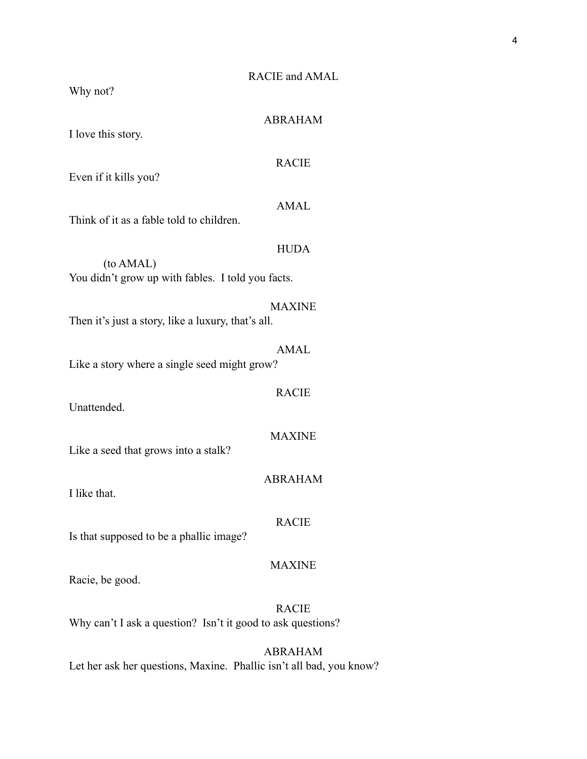#### RACIE and AMAL

Why not?

#### ABRAHAM

I love this story.

#### RACIE

AMAL

HUDA

Even if it kills you?

## Think of it as a fable told to children.

#### (to AMAL) You didn't grow up with fables. I told you facts.

MAXINE Then it's just a story, like a luxury, that's all.

AMAL Like a story where a single seed might grow?

Unattended.

Like a seed that grows into a stalk?

#### ABRAHAM

RACIE

MAXINE

I like that.

#### RACIE

Is that supposed to be a phallic image?

#### MAXINE

Racie, be good.

RACIE Why can't I ask a question? Isn't it good to ask questions?

ABRAHAM Let her ask her questions, Maxine. Phallic isn't all bad, you know?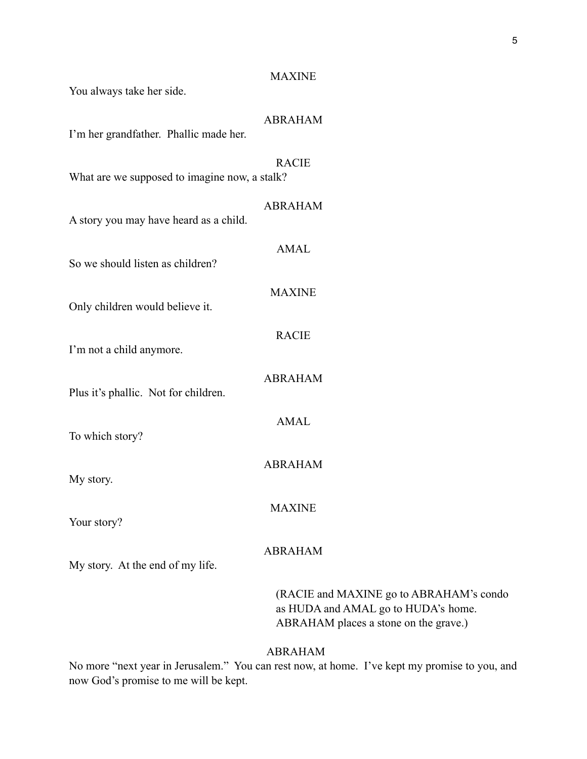You always take her side.

#### ABRAHAM

I'm her grandfather. Phallic made her.

RACIE What are we supposed to imagine now, a stalk? ABRAHAM A story you may have heard as a child. AMAL So we should listen as children? MAXINE Only children would believe it. RACIE I'm not a child anymore. ABRAHAM Plus it's phallic. Not for children. AMAL To which story? ABRAHAM My story.

Your story?

ABRAHAM

MAXINE

My story. At the end of my life.

 (RACIE and MAXINE go to ABRAHAM's condo as HUDA and AMAL go to HUDA's home. ABRAHAM places a stone on the grave.)

#### ABRAHAM

No more "next year in Jerusalem." You can rest now, at home. I've kept my promise to you, and now God's promise to me will be kept.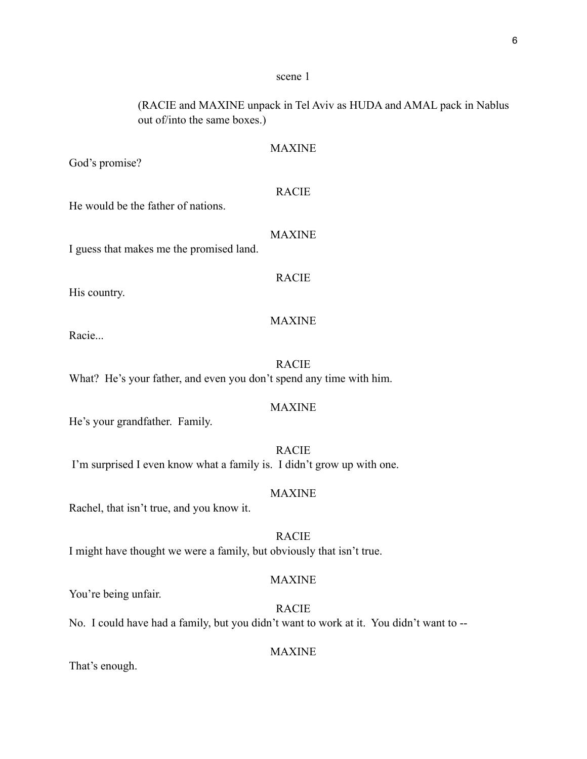#### scene 1

 (RACIE and MAXINE unpack in Tel Aviv as HUDA and AMAL pack in Nablus out of/into the same boxes.)

#### MAXINE

God's promise?

#### RACIE

He would be the father of nations.

#### MAXINE

I guess that makes me the promised land.

#### RACIE

His country.

#### MAXINE

Racie...

#### RACIE

What? He's your father, and even you don't spend any time with him.

#### MAXINE

He's your grandfather. Family.

#### RACIE I'm surprised I even know what a family is. I didn't grow up with one.

#### MAXINE

Rachel, that isn't true, and you know it.

RACIE I might have thought we were a family, but obviously that isn't true.

#### MAXINE

RACIE

You're being unfair.

No. I could have had a family, but you didn't want to work at it. You didn't want to --

#### MAXINE

That's enough.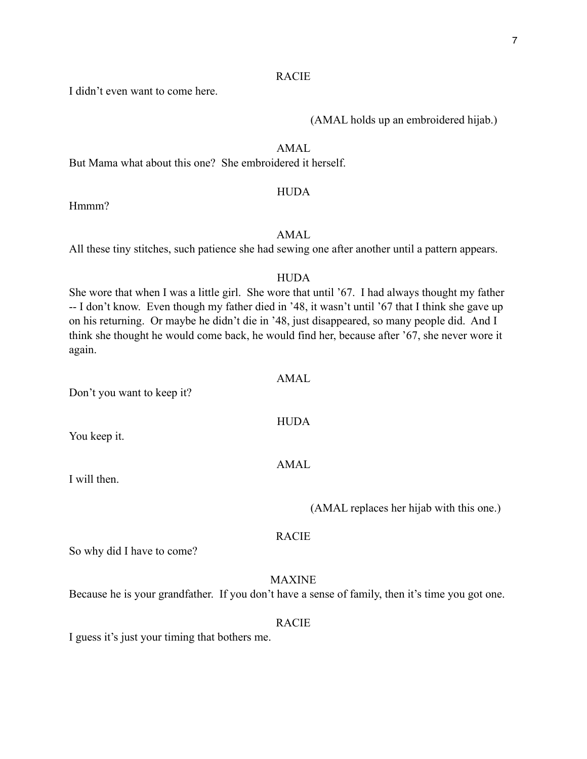#### RACIE

I didn't even want to come here.

#### (AMAL holds up an embroidered hijab.)

#### AMAL

But Mama what about this one? She embroidered it herself.

#### HUDA

Hmmm?

#### AMAL

All these tiny stitches, such patience she had sewing one after another until a pattern appears.

#### **HUDA**

She wore that when I was a little girl. She wore that until '67. I had always thought my father -- I don't know. Even though my father died in '48, it wasn't until '67 that I think she gave up on his returning. Or maybe he didn't die in '48, just disappeared, so many people did. And I think she thought he would come back, he would find her, because after '67, she never wore it again.

AMAL Don't you want to keep it? **HUDA** You keep it. AMAL I will then. (AMAL replaces her hijab with this one.) RACIE

So why did I have to come?

#### MAXINE

Because he is your grandfather. If you don't have a sense of family, then it's time you got one.

#### RACIE

I guess it's just your timing that bothers me.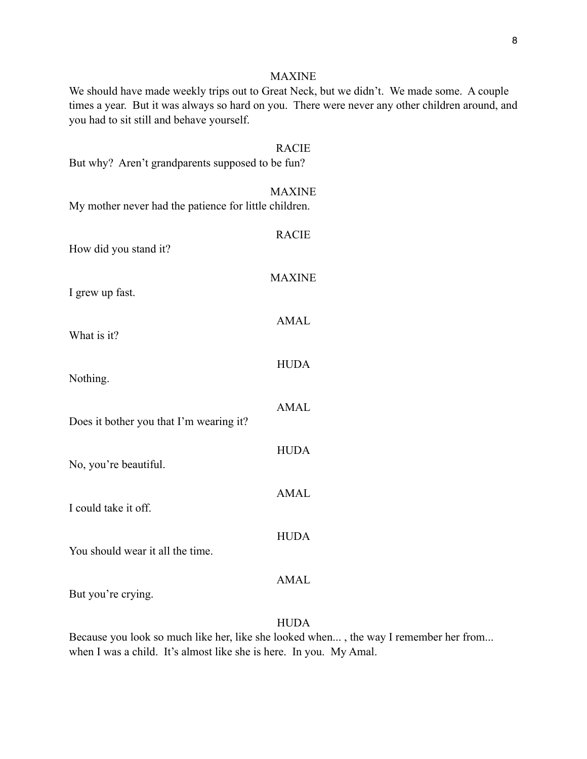We should have made weekly trips out to Great Neck, but we didn't. We made some. A couple times a year. But it was always so hard on you. There were never any other children around, and you had to sit still and behave yourself.

|                                                       | <b>RACIE</b>  |
|-------------------------------------------------------|---------------|
| But why? Aren't grandparents supposed to be fun?      |               |
| My mother never had the patience for little children. | <b>MAXINE</b> |
| How did you stand it?                                 | <b>RACIE</b>  |
| I grew up fast.                                       | <b>MAXINE</b> |
| What is it?                                           | <b>AMAL</b>   |
| Nothing.                                              | <b>HUDA</b>   |
| Does it bother you that I'm wearing it?               | <b>AMAL</b>   |
| No, you're beautiful.                                 | <b>HUDA</b>   |
| I could take it off.                                  | <b>AMAL</b>   |
| You should wear it all the time.                      | <b>HUDA</b>   |
| But you're crying.                                    | <b>AMAL</b>   |

#### HUDA

Because you look so much like her, like she looked when... , the way I remember her from... when I was a child. It's almost like she is here. In you. My Amal.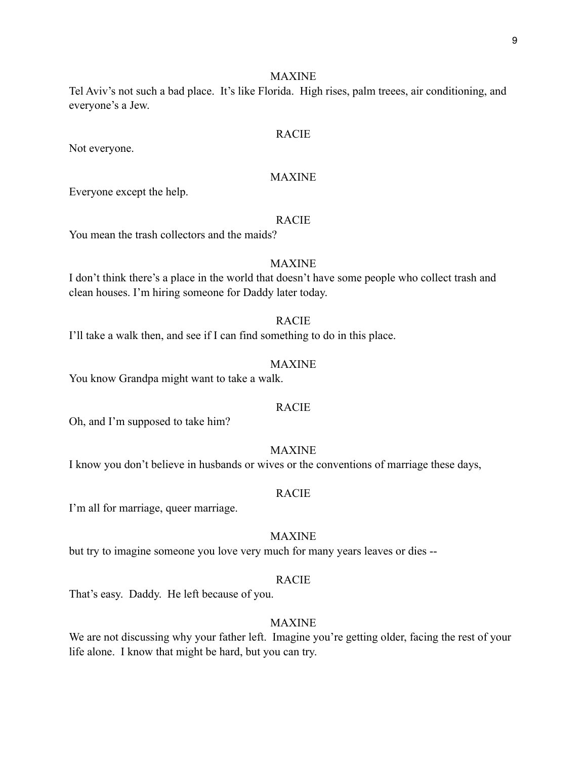Tel Aviv's not such a bad place. It's like Florida. High rises, palm treees, air conditioning, and everyone's a Jew.

#### RACIE

Not everyone.

#### MAXINE

Everyone except the help.

#### RACIE

You mean the trash collectors and the maids?

#### MAXINE

I don't think there's a place in the world that doesn't have some people who collect trash and clean houses. I'm hiring someone for Daddy later today.

#### RACIE

I'll take a walk then, and see if I can find something to do in this place.

#### MAXINE

You know Grandpa might want to take a walk.

#### RACIE

Oh, and I'm supposed to take him?

#### MAXINE

I know you don't believe in husbands or wives or the conventions of marriage these days,

#### RACIE

I'm all for marriage, queer marriage.

#### MAXINE

but try to imagine someone you love very much for many years leaves or dies --

#### RACIE

That's easy. Daddy. He left because of you.

#### MAXINE

We are not discussing why your father left. Imagine you're getting older, facing the rest of your life alone. I know that might be hard, but you can try.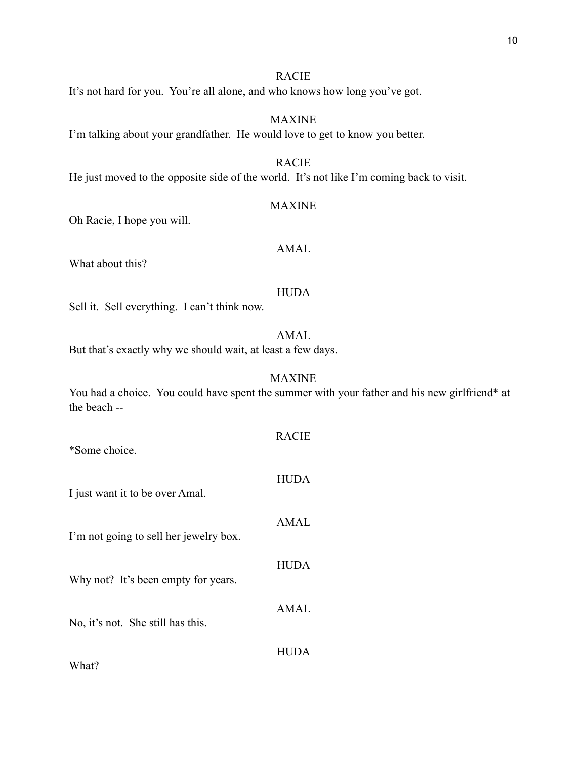#### RACIE

It's not hard for you. You're all alone, and who knows how long you've got.

#### MAXINE

I'm talking about your grandfather. He would love to get to know you better.

#### RACIE

He just moved to the opposite side of the world. It's not like I'm coming back to visit.

#### MAXINE

Oh Racie, I hope you will.

#### AMAL

What about this?

#### HUDA

Sell it. Sell everything. I can't think now.

#### AMAL

But that's exactly why we should wait, at least a few days.

#### MAXINE

You had a choice. You could have spent the summer with your father and his new girlfriend\* at the beach --

| *Some choice.                          | <b>RACIE</b> |
|----------------------------------------|--------------|
| I just want it to be over Amal.        | <b>HUDA</b>  |
| I'm not going to sell her jewelry box. | <b>AMAL</b>  |
| Why not? It's been empty for years.    | <b>HUDA</b>  |
| No, it's not. She still has this.      | AMAI         |
|                                        |              |

What?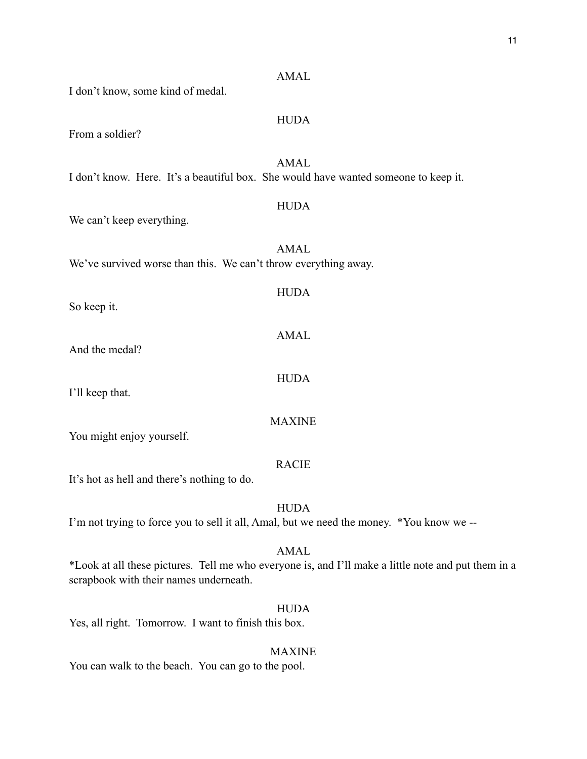| <b>AMAL</b>                                                                                                  |  |
|--------------------------------------------------------------------------------------------------------------|--|
| I don't know, some kind of medal.                                                                            |  |
| <b>HUDA</b><br>From a soldier?                                                                               |  |
| <b>AMAL</b><br>I don't know. Here. It's a beautiful box. She would have wanted someone to keep it.           |  |
| <b>HUDA</b><br>We can't keep everything.                                                                     |  |
| <b>AMAL</b><br>We've survived worse than this. We can't throw everything away.                               |  |
| <b>HUDA</b><br>So keep it.                                                                                   |  |
| <b>AMAL</b><br>And the medal?                                                                                |  |
| <b>HUDA</b><br>I'll keep that.                                                                               |  |
| <b>MAXINE</b><br>You might enjoy yourself.                                                                   |  |
| <b>RACIE</b><br>It's hot as hell and there's nothing to do.                                                  |  |
| <b>HUDA</b><br>I'm not trying to force you to sell it all, Amal, but we need the money. *You know we --      |  |
| <b>AMAL</b><br>*Look at all these pictures. Tell me who everyone is, and I'll make a little note and put the |  |

\*Look at all these pictures. Tell me who everyone is, and I'll make a little note and put them in a scrapbook with their names underneath.

HUDA

MAXINE

Yes, all right. Tomorrow. I want to finish this box.

You can walk to the beach. You can go to the pool.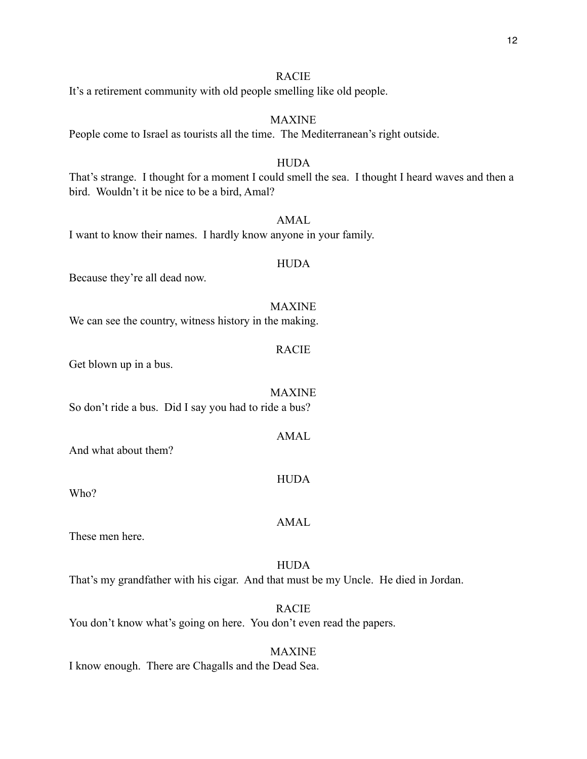#### RACIE

It's a retirement community with old people smelling like old people.

#### MAXINE

People come to Israel as tourists all the time. The Mediterranean's right outside.

#### HUDA

That's strange. I thought for a moment I could smell the sea. I thought I heard waves and then a bird. Wouldn't it be nice to be a bird, Amal?

#### AMAL

I want to know their names. I hardly know anyone in your family.

#### **HUDA**

Because they're all dead now.

#### MAXINE

We can see the country, witness history in the making.

#### RACIE

AMAL

HUDA

Get blown up in a bus.

MAXINE So don't ride a bus. Did I say you had to ride a bus?

And what about them?

Who?

#### AMAL

These men here.

#### HUDA That's my grandfather with his cigar. And that must be my Uncle. He died in Jordan.

RACIE You don't know what's going on here. You don't even read the papers.

#### MAXINE I know enough. There are Chagalls and the Dead Sea.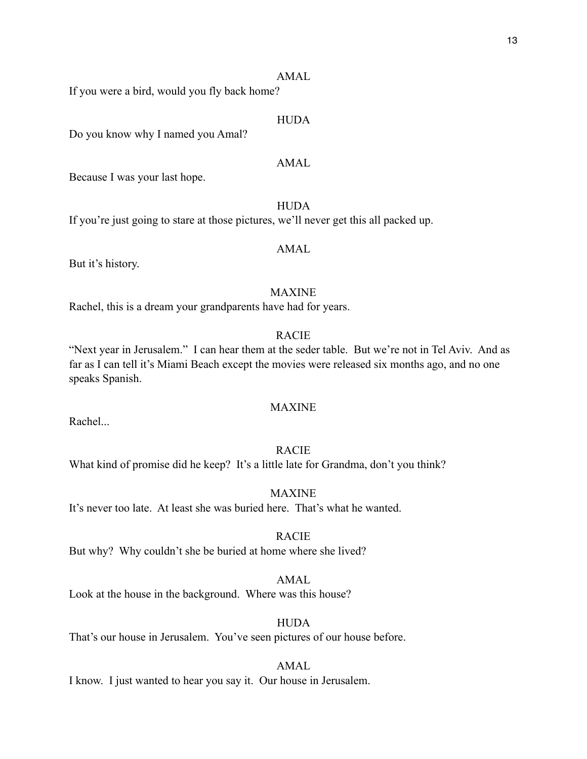#### AMAL

If you were a bird, would you fly back home?

#### HUDA

Do you know why I named you Amal?

#### AMAL

Because I was your last hope.

#### **HUDA**

If you're just going to stare at those pictures, we'll never get this all packed up.

#### AMAL

But it's history.

#### MAXINE

Rachel, this is a dream your grandparents have had for years.

#### RACIE

"Next year in Jerusalem." I can hear them at the seder table. But we're not in Tel Aviv. And as far as I can tell it's Miami Beach except the movies were released six months ago, and no one speaks Spanish.

#### MAXINE

Rachel...

#### RACIE

What kind of promise did he keep? It's a little late for Grandma, don't you think?

#### MAXINE

It's never too late. At least she was buried here. That's what he wanted.

#### RACIE

But why? Why couldn't she be buried at home where she lived?

#### AMAL

Look at the house in the background. Where was this house?

#### **HUDA**

That's our house in Jerusalem. You've seen pictures of our house before.

#### AMAL

I know. I just wanted to hear you say it. Our house in Jerusalem.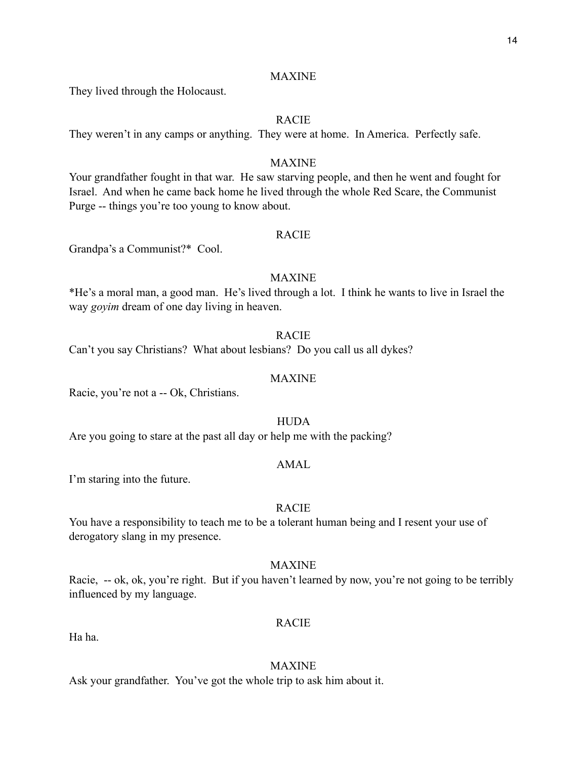They lived through the Holocaust.

#### RACIE

They weren't in any camps or anything. They were at home. In America. Perfectly safe.

#### MAXINE

Your grandfather fought in that war. He saw starving people, and then he went and fought for Israel. And when he came back home he lived through the whole Red Scare, the Communist Purge -- things you're too young to know about.

#### RACIE

Grandpa's a Communist?\* Cool.

#### MAXINE

\*He's a moral man, a good man. He's lived through a lot. I think he wants to live in Israel the way *goyim* dream of one day living in heaven.

#### RACIE

Can't you say Christians? What about lesbians? Do you call us all dykes?

#### MAXINE

Racie, you're not a -- Ok, Christians.

#### HUDA

Are you going to stare at the past all day or help me with the packing?

#### AMAL

I'm staring into the future.

#### RACIE

You have a responsibility to teach me to be a tolerant human being and I resent your use of derogatory slang in my presence.

#### MAXINE

Racie, -- ok, ok, you're right. But if you haven't learned by now, you're not going to be terribly influenced by my language.

#### RACIE

Ha ha.

#### **MAXINE**

Ask your grandfather. You've got the whole trip to ask him about it.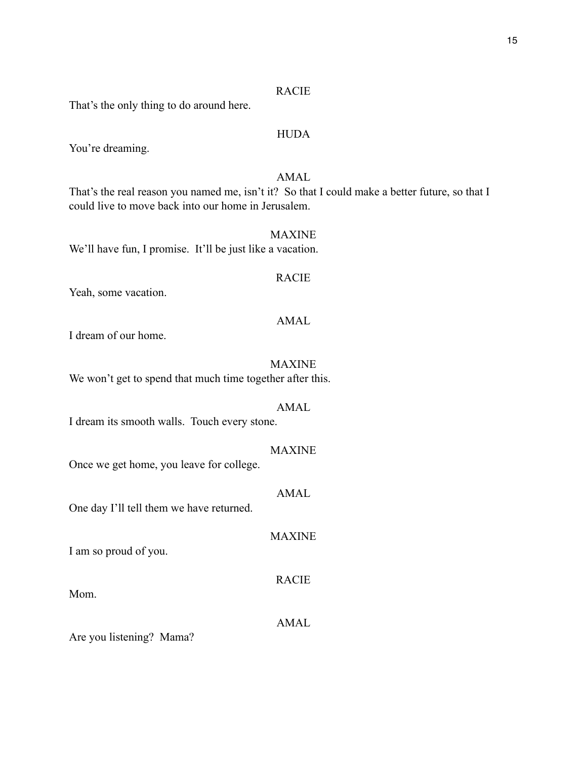#### RACIE

That's the only thing to do around here.

#### HUDA

You're dreaming.

#### AMAL

That's the real reason you named me, isn't it? So that I could make a better future, so that I could live to move back into our home in Jerusalem.

MAXINE We'll have fun, I promise. It'll be just like a vacation.

#### RACIE

Yeah, some vacation.

#### AMAL

I dream of our home.

MAXINE We won't get to spend that much time together after this.

#### AMAL

I dream its smooth walls. Touch every stone.

#### MAXINE

Once we get home, you leave for college.

#### AMAL

MAXINE

RACIE

One day I'll tell them we have returned.

I am so proud of you.

Mom.

AMAL

Are you listening? Mama?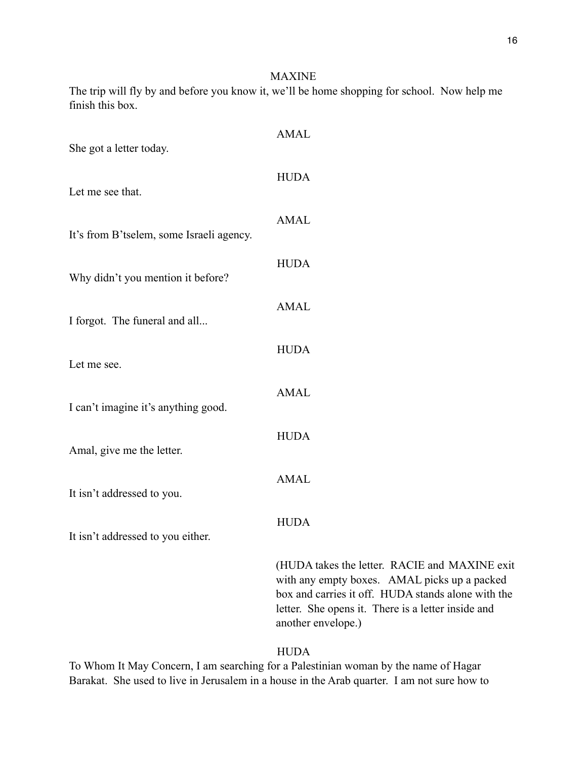The trip will fly by and before you know it, we'll be home shopping for school. Now help me finish this box.

| She got a letter today.                  | <b>AMAL</b>             |
|------------------------------------------|-------------------------|
| Let me see that.                         | <b>HUDA</b>             |
| It's from B'tselem, some Israeli agency. | <b>AMAL</b>             |
|                                          | <b>HUDA</b>             |
| Why didn't you mention it before?        | <b>AMAL</b>             |
| I forgot. The funeral and all            | <b>HUDA</b>             |
| Let me see.                              |                         |
| I can't imagine it's anything good.      | <b>AMAL</b>             |
| Amal, give me the letter.                | <b>HUDA</b>             |
| It isn't addressed to you.               | <b>AMAL</b>             |
| It isn't addressed to you either.        | <b>HUDA</b>             |
|                                          | (HUDA tal<br>with any e |

kes the letter. RACIE and MAXINE exit mpty boxes. AMAL picks up a packed box and carries it off. HUDA stands alone with the letter. She opens it. There is a letter inside and another envelope.)

#### HUDA

To Whom It May Concern, I am searching for a Palestinian woman by the name of Hagar Barakat. She used to live in Jerusalem in a house in the Arab quarter. I am not sure how to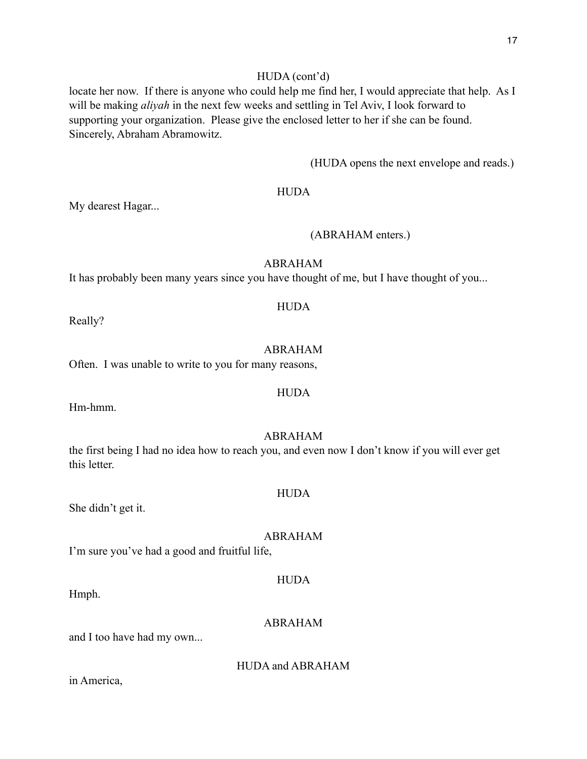#### HUDA (cont'd)

locate her now. If there is anyone who could help me find her, I would appreciate that help. As I will be making *aliyah* in the next few weeks and settling in Tel Aviv, I look forward to supporting your organization. Please give the enclosed letter to her if she can be found. Sincerely, Abraham Abramowitz.

(HUDA opens the next envelope and reads.)

#### **HUDA**

My dearest Hagar...

#### (ABRAHAM enters.)

#### ABRAHAM

It has probably been many years since you have thought of me, but I have thought of you...

#### **HUDA**

Really?

#### ABRAHAM

Often. I was unable to write to you for many reasons,

Hm-hmm.

#### ABRAHAM

the first being I had no idea how to reach you, and even now I don't know if you will ever get this letter.

She didn't get it.

#### ABRAHAM

HUDA

I'm sure you've had a good and fruitful life,

Hmph.

#### ABRAHAM

**HUDA** 

and I too have had my own...

HUDA and ABRAHAM

in America,

## **HUDA**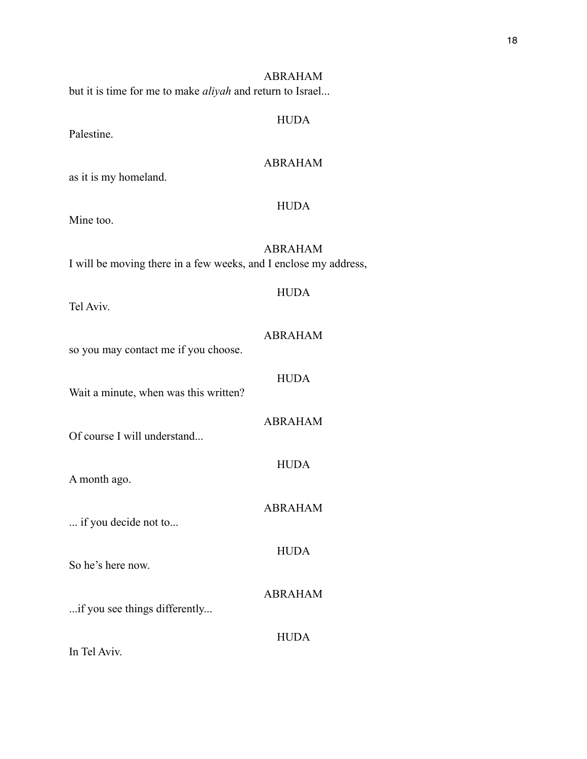but it is time for me to make *aliyah* and return to Israel...

#### HUDA

Palestine.

ABRAHAM

as it is my homeland.

Mine too.

#### ABRAHAM

HUDA

HUDA

I will be moving there in a few weeks, and I enclose my address,

Tel Aviv.

#### ABRAHAM

ABRAHAM

HUDA

ABRAHAM

HUDA

so you may contact me if you choose.

|                                       | <b>HUDA</b> |
|---------------------------------------|-------------|
| Wait a minute, when was this written? |             |
| Of course I will understand           | ABRAHAM     |
|                                       |             |

A month ago.

... if you decide not to...

So he's here now.

...if you see things differently...

In Tel Aviv.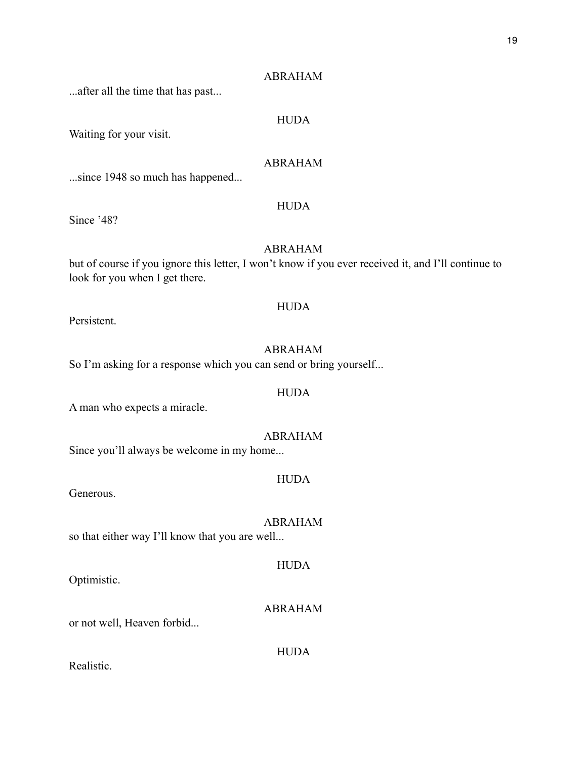...after all the time that has past...

#### HUDA

Waiting for your visit.

#### ABRAHAM

HUDA

...since 1948 so much has happened...

Since '48?

### ABRAHAM

but of course if you ignore this letter, I won't know if you ever received it, and I'll continue to look for you when I get there.

#### **HUDA**

Persistent.

#### ABRAHAM

So I'm asking for a response which you can send or bring yourself...

#### HUDA

A man who expects a miracle.

#### ABRAHAM

Since you'll always be welcome in my home...

#### HUDA

Generous.

#### ABRAHAM

**HUDA** 

so that either way I'll know that you are well...

Optimistic.

ABRAHAM

or not well, Heaven forbid...

HUDA

Realistic.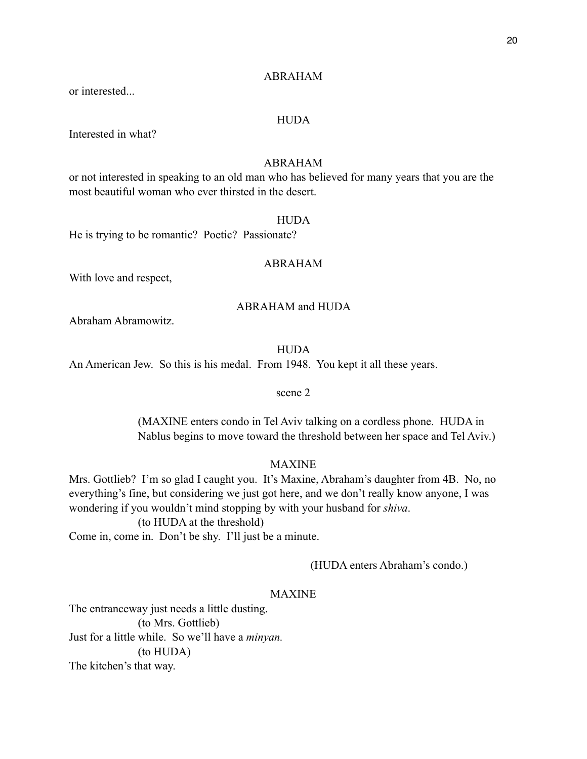or interested...

#### HUDA

Interested in what?

#### ABRAHAM

or not interested in speaking to an old man who has believed for many years that you are the most beautiful woman who ever thirsted in the desert.

#### **HUDA**

He is trying to be romantic? Poetic? Passionate?

#### ABRAHAM

With love and respect,

#### ABRAHAM and HUDA

Abraham Abramowitz.

#### HUDA

An American Jew. So this is his medal. From 1948. You kept it all these years.

#### scene 2

 (MAXINE enters condo in Tel Aviv talking on a cordless phone. HUDA in Nablus begins to move toward the threshold between her space and Tel Aviv.)

#### MAXINE

Mrs. Gottlieb? I'm so glad I caught you. It's Maxine, Abraham's daughter from 4B. No, no everything's fine, but considering we just got here, and we don't really know anyone, I was wondering if you wouldn't mind stopping by with your husband for *shiva*.

 (to HUDA at the threshold) Come in, come in. Don't be shy. I'll just be a minute.

(HUDA enters Abraham's condo.)

#### MAXINE

The entranceway just needs a little dusting. (to Mrs. Gottlieb) Just for a little while. So we'll have a *minyan.* (to HUDA) The kitchen's that way.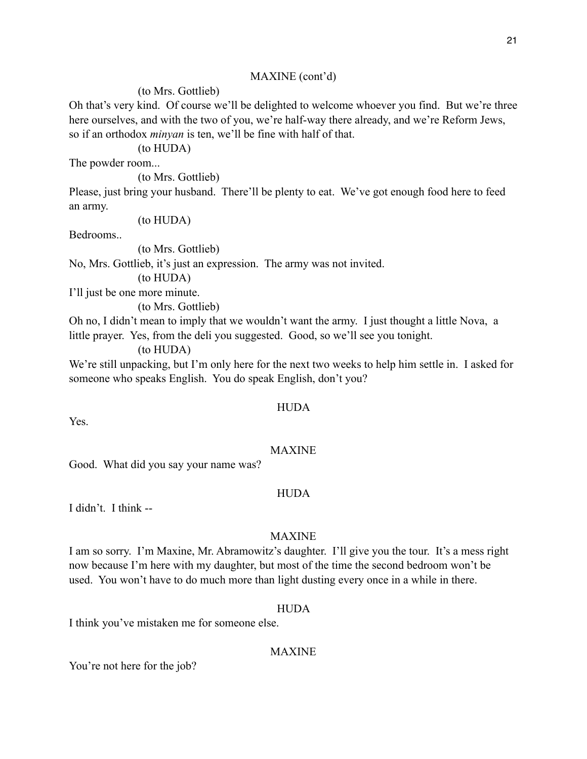#### MAXINE (cont'd)

(to Mrs. Gottlieb)

Oh that's very kind. Of course we'll be delighted to welcome whoever you find. But we're three here ourselves, and with the two of you, we're half-way there already, and we're Reform Jews, so if an orthodox *minyan* is ten, we'll be fine with half of that.

(to HUDA)

The powder room...

(to Mrs. Gottlieb)

Please, just bring your husband. There'll be plenty to eat. We've got enough food here to feed an army.

(to HUDA)

Bedrooms..

(to Mrs. Gottlieb)

No, Mrs. Gottlieb, it's just an expression. The army was not invited.

(to HUDA)

I'll just be one more minute.

(to Mrs. Gottlieb)

Oh no, I didn't mean to imply that we wouldn't want the army. I just thought a little Nova, a little prayer. Yes, from the deli you suggested. Good, so we'll see you tonight.

(to HUDA)

We're still unpacking, but I'm only here for the next two weeks to help him settle in. I asked for someone who speaks English. You do speak English, don't you?

#### **HUDA**

Yes.

#### MAXINE

Good. What did you say your name was?

#### HUDA

I didn't. I think --

#### MAXINE

I am so sorry. I'm Maxine, Mr. Abramowitz's daughter. I'll give you the tour. It's a mess right now because I'm here with my daughter, but most of the time the second bedroom won't be used. You won't have to do much more than light dusting every once in a while in there.

#### **HUDA**

I think you've mistaken me for someone else.

#### MAXINE

You're not here for the job?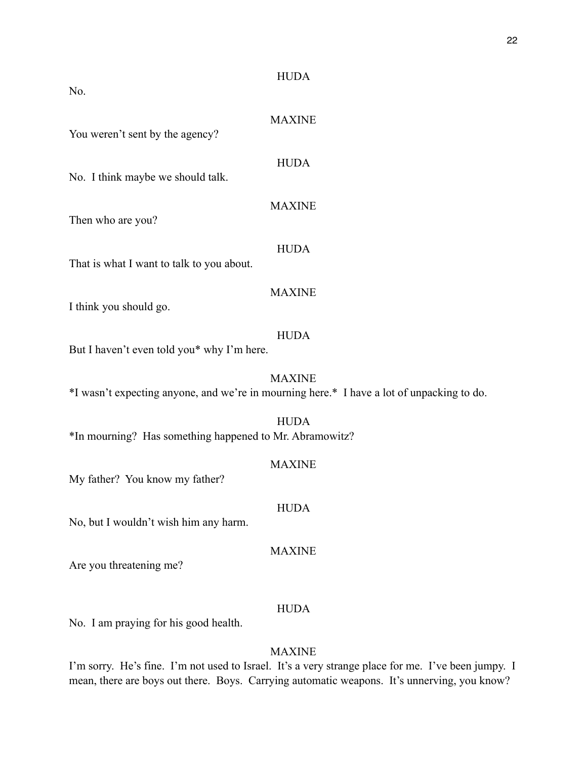#### HUDA

No.

#### MAXINE

MAXINE

**HUDA** 

You weren't sent by the agency?

HUDA

No. I think maybe we should talk.

Then who are you?

That is what I want to talk to you about.

#### MAXINE

I think you should go.

#### HUDA

But I haven't even told you\* why I'm here.

MAXINE

\*I wasn't expecting anyone, and we're in mourning here.\* I have a lot of unpacking to do.

**HUDA** \*In mourning? Has something happened to Mr. Abramowitz?

#### MAXINE

My father? You know my father?

**HUDA** 

No, but I wouldn't wish him any harm.

MAXINE

Are you threatening me?

#### HUDA

No. I am praying for his good health.

#### MAXINE

I'm sorry. He's fine. I'm not used to Israel. It's a very strange place for me. I've been jumpy. I mean, there are boys out there. Boys. Carrying automatic weapons. It's unnerving, you know?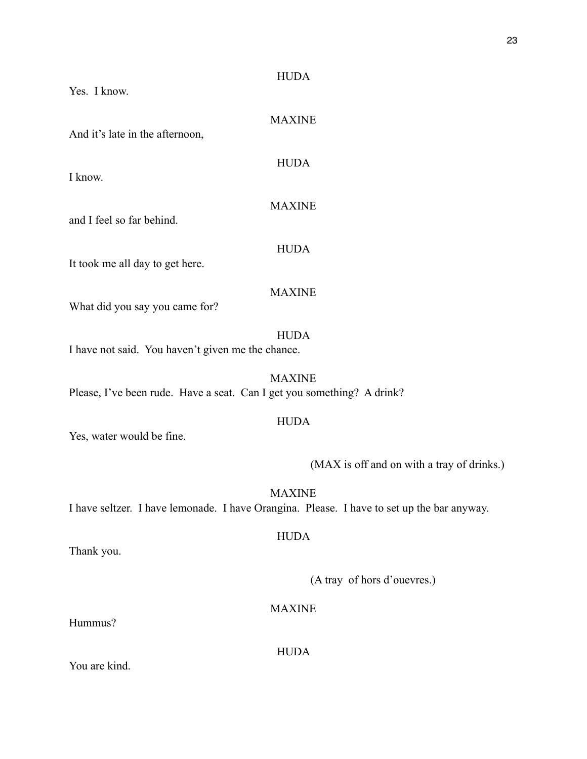| <b>MAXINE</b><br>And it's late in the afternoon,                                                            |  |  |
|-------------------------------------------------------------------------------------------------------------|--|--|
| <b>HUDA</b><br>I know.                                                                                      |  |  |
| <b>MAXINE</b><br>and I feel so far behind.                                                                  |  |  |
| <b>HUDA</b><br>It took me all day to get here.                                                              |  |  |
| <b>MAXINE</b><br>What did you say you came for?                                                             |  |  |
| <b>HUDA</b><br>I have not said. You haven't given me the chance.                                            |  |  |
| <b>MAXINE</b><br>Please, I've been rude. Have a seat. Can I get you something? A drink?                     |  |  |
| <b>HUDA</b><br>Yes, water would be fine.                                                                    |  |  |
| (MAX is off and on with a tray of drinks.)                                                                  |  |  |
| <b>MAXINE</b><br>I have seltzer. I have lemonade. I have Orangina. Please. I have to set up the bar anyway. |  |  |
| <b>HUDA</b><br>Thank you.                                                                                   |  |  |
| (A tray of hors d'ouevres.)                                                                                 |  |  |

HUDA

HUDA

MAXINE

You are kind.

Hummus?

Yes. I know.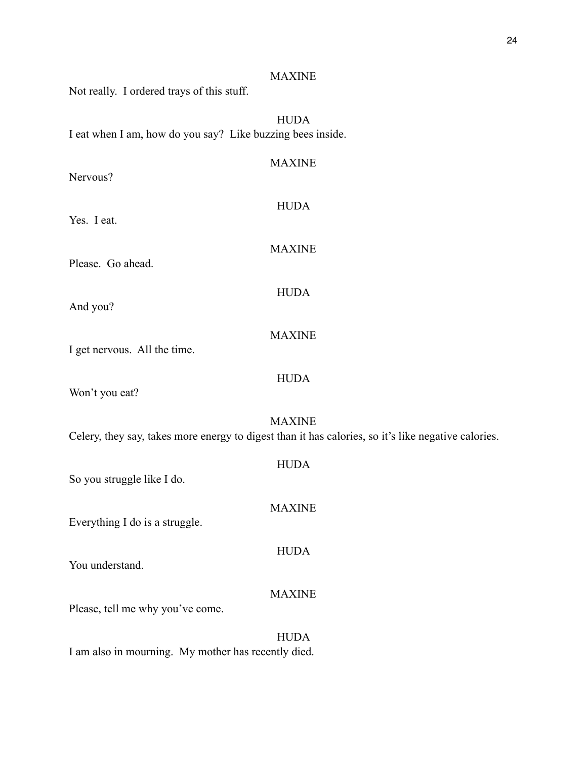| Not really. I ordered trays of this stuff.                                                                           | <b>MAXINE</b> |  |
|----------------------------------------------------------------------------------------------------------------------|---------------|--|
| I eat when I am, how do you say? Like buzzing bees inside.                                                           | <b>HUDA</b>   |  |
| Nervous?                                                                                                             | <b>MAXINE</b> |  |
| Yes. I eat.                                                                                                          | <b>HUDA</b>   |  |
| Please. Go ahead.                                                                                                    | <b>MAXINE</b> |  |
| And you?                                                                                                             | <b>HUDA</b>   |  |
| I get nervous. All the time.                                                                                         | <b>MAXINE</b> |  |
| Won't you eat?                                                                                                       | <b>HUDA</b>   |  |
| <b>MAXINE</b><br>Celery, they say, takes more energy to digest than it has calories, so it's like negative calories. |               |  |
| So you struggle like I do.                                                                                           | <b>HUDA</b>   |  |
| Everything I do is a struggle.                                                                                       | <b>MAXINE</b> |  |
| You understand.                                                                                                      | <b>HUDA</b>   |  |
| Please, tell me why you've come.                                                                                     | <b>MAXINE</b> |  |
| <b>HUDA</b><br>I am also in mourning. My mother has recently died.                                                   |               |  |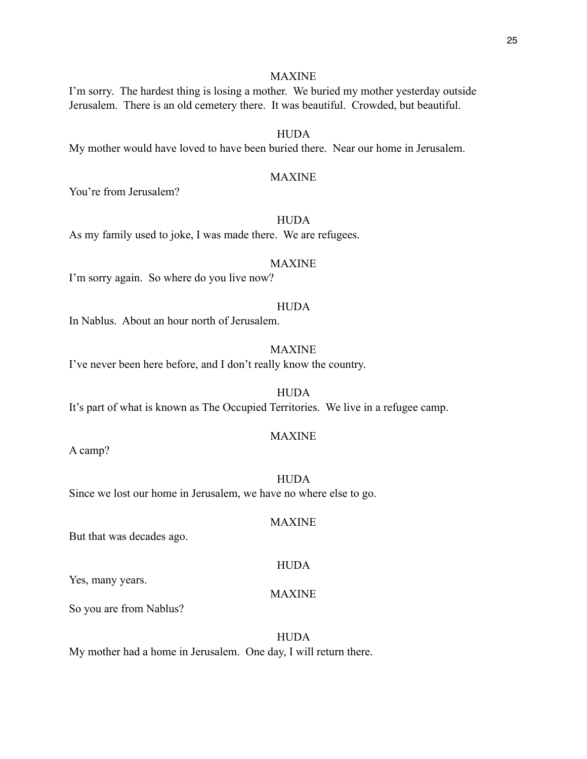I'm sorry. The hardest thing is losing a mother. We buried my mother yesterday outside Jerusalem. There is an old cemetery there. It was beautiful. Crowded, but beautiful.

#### **HUDA**

My mother would have loved to have been buried there. Near our home in Jerusalem.

#### MAXINE

You're from Jerusalem?

#### HUDA

As my family used to joke, I was made there. We are refugees.

#### MAXINE

I'm sorry again. So where do you live now?

#### HUDA

In Nablus. About an hour north of Jerusalem.

MAXINE

I've never been here before, and I don't really know the country.

HUDA It's part of what is known as The Occupied Territories. We live in a refugee camp.

#### MAXINE

A camp?

HUDA Since we lost our home in Jerusalem, we have no where else to go.

#### MAXINE

But that was decades ago.

#### HUDA

Yes, many years.

So you are from Nablus?

HUDA My mother had a home in Jerusalem. One day, I will return there.

## MAXINE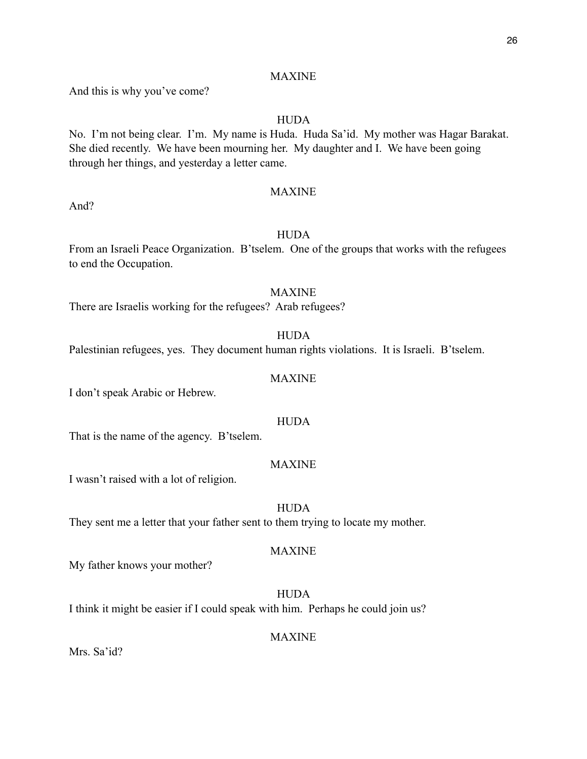And this is why you've come?

And?

#### **HUDA**

No. I'm not being clear. I'm. My name is Huda. Huda Sa'id. My mother was Hagar Barakat. She died recently. We have been mourning her. My daughter and I. We have been going through her things, and yesterday a letter came.

#### **MAXINE**

#### HUDA

From an Israeli Peace Organization. B'tselem. One of the groups that works with the refugees to end the Occupation.

#### MAXINE

There are Israelis working for the refugees? Arab refugees?

#### **HUDA**

Palestinian refugees, yes. They document human rights violations. It is Israeli. B'tselem.

#### MAXINE

I don't speak Arabic or Hebrew.

#### **HUDA**

That is the name of the agency. B'tselem.

#### MAXINE

I wasn't raised with a lot of religion.

#### **HUDA**

They sent me a letter that your father sent to them trying to locate my mother.

#### MAXINE

My father knows your mother?

#### HUDA

I think it might be easier if I could speak with him. Perhaps he could join us?

MAXINE

Mrs. Sa'id?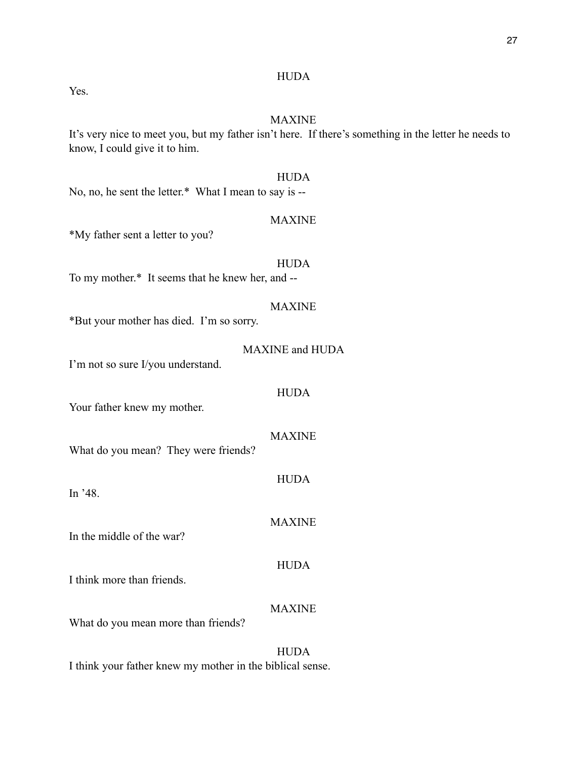#### HUDA

Yes.

#### MAXINE

It's very nice to meet you, but my father isn't here. If there's something in the letter he needs to know, I could give it to him.

#### HUDA

No, no, he sent the letter.\* What I mean to say is --

#### MAXINE

\*My father sent a letter to you?

#### HUDA

To my mother.\* It seems that he knew her, and --

#### MAXINE

\*But your mother has died. I'm so sorry.

#### MAXINE and HUDA

I'm not so sure I/you understand.

Your father knew my mother.

#### MAXINE

HUDA

HUDA

What do you mean? They were friends?

In '48.

MAXINE

In the middle of the war?

I think more than friends.

#### MAXINE

**HUDA** 

What do you mean more than friends?

HUDA I think your father knew my mother in the biblical sense.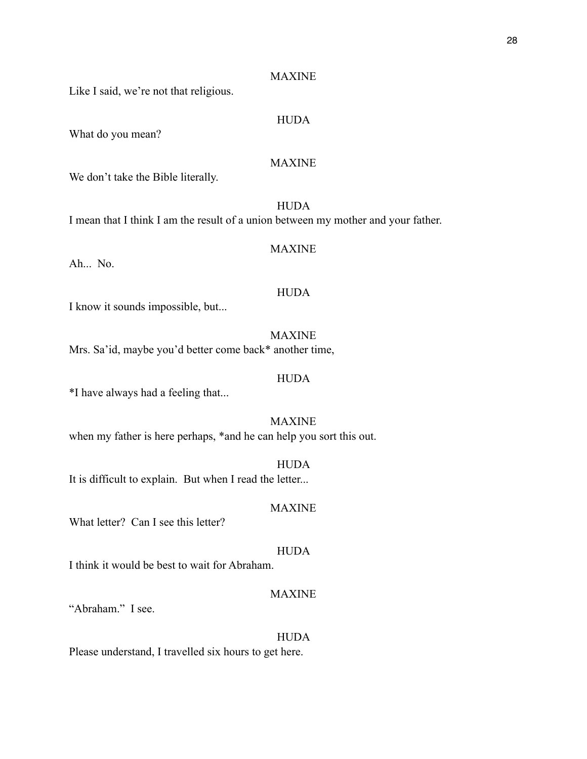Like I said, we're not that religious.

#### HUDA

What do you mean?

#### MAXINE

We don't take the Bible literally.

HUDA I mean that I think I am the result of a union between my mother and your father.

#### MAXINE

Ah... No.

#### HUDA

I know it sounds impossible, but...

MAXINE Mrs. Sa'id, maybe you'd better come back\* another time,

#### HUDA

\*I have always had a feeling that...

#### MAXINE

when my father is here perhaps, \*and he can help you sort this out.

#### **HUDA**

It is difficult to explain. But when I read the letter...

#### MAXINE

What letter? Can I see this letter?

#### HUDA

I think it would be best to wait for Abraham.

#### MAXINE

"Abraham." I see.

#### HUDA

Please understand, I travelled six hours to get here.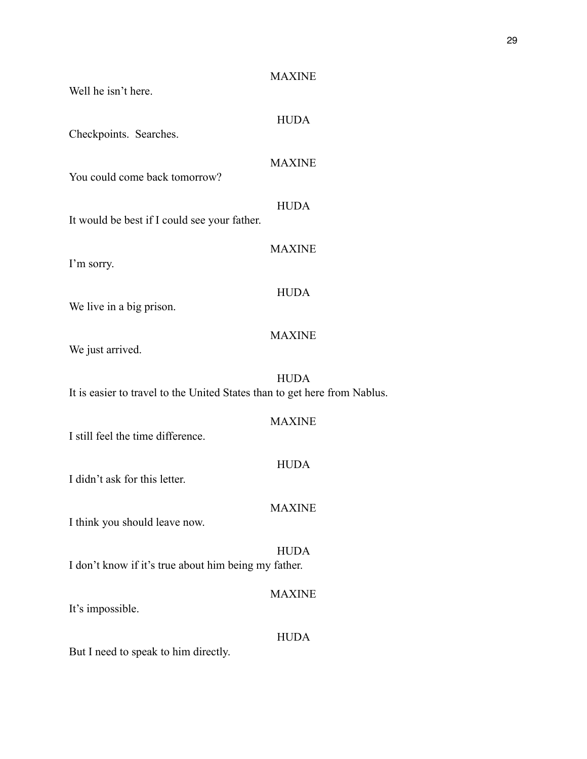| Well he isn't here.                                                                      | <b>MAXINE</b> |
|------------------------------------------------------------------------------------------|---------------|
| Checkpoints. Searches.                                                                   | <b>HUDA</b>   |
| You could come back tomorrow?                                                            | <b>MAXINE</b> |
| It would be best if I could see your father.                                             | <b>HUDA</b>   |
| I'm sorry.                                                                               | <b>MAXINE</b> |
| We live in a big prison.                                                                 | <b>HUDA</b>   |
| We just arrived.                                                                         | <b>MAXINE</b> |
| <b>HUDA</b><br>It is easier to travel to the United States than to get here from Nablus. |               |
| I still feel the time difference.                                                        | <b>MAXINE</b> |
| I didn't ask for this letter.                                                            | <b>HUDA</b>   |
| I think you should leave now.                                                            | <b>MAXINE</b> |
| I don't know if it's true about him being my father.                                     | <b>HUDA</b>   |
| It's impossible.                                                                         | <b>MAXINE</b> |
| But I need to speak to him directly.                                                     | <b>HUDA</b>   |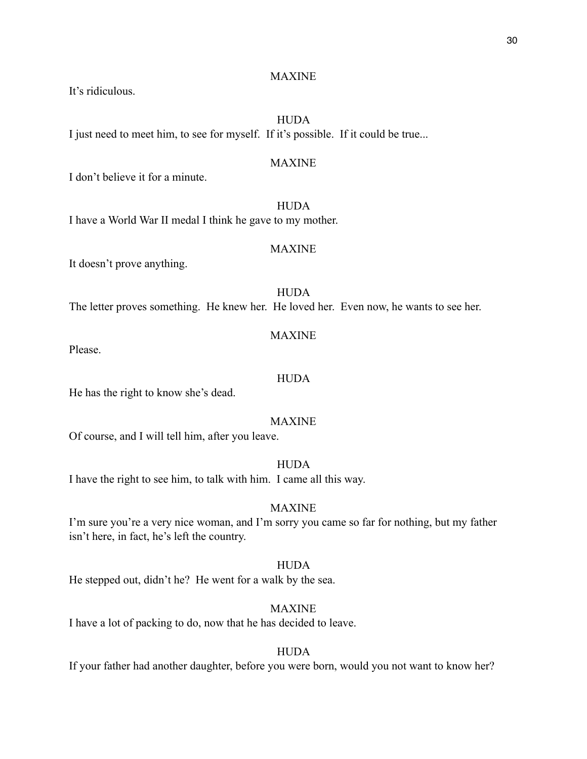It's ridiculous.

#### **HUDA**

I just need to meet him, to see for myself. If it's possible. If it could be true...

#### MAXINE

I don't believe it for a minute.

**HUDA** I have a World War II medal I think he gave to my mother.

#### MAXINE

It doesn't prove anything.

**HUDA** The letter proves something. He knew her. He loved her. Even now, he wants to see her.

#### MAXINE

Please.

#### HUDA

He has the right to know she's dead.

#### MAXINE

Of course, and I will tell him, after you leave.

#### **HUDA**

I have the right to see him, to talk with him. I came all this way.

#### MAXINE

I'm sure you're a very nice woman, and I'm sorry you came so far for nothing, but my father isn't here, in fact, he's left the country.

#### **HUDA**

He stepped out, didn't he? He went for a walk by the sea.

#### **MAXINE**

I have a lot of packing to do, now that he has decided to leave.

#### **HUDA**

If your father had another daughter, before you were born, would you not want to know her?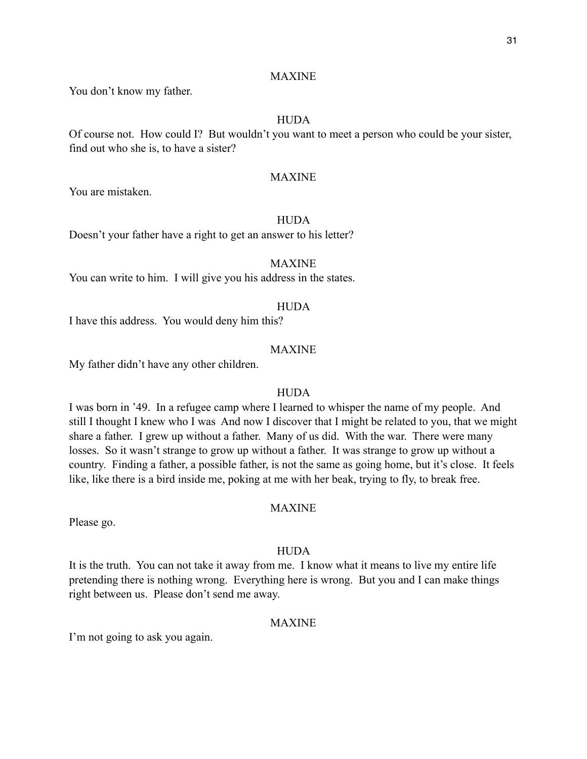You don't know my father.

#### HUDA

Of course not. How could I? But wouldn't you want to meet a person who could be your sister, find out who she is, to have a sister?

#### MAXINE

You are mistaken.

#### HUDA

Doesn't your father have a right to get an answer to his letter?

# MAXINE

You can write to him. I will give you his address in the states.

# HUDA

I have this address. You would deny him this?

# MAXINE

My father didn't have any other children.

#### **HUDA**

I was born in '49. In a refugee camp where I learned to whisper the name of my people. And still I thought I knew who I was And now I discover that I might be related to you, that we might share a father. I grew up without a father. Many of us did. With the war. There were many losses. So it wasn't strange to grow up without a father. It was strange to grow up without a country. Finding a father, a possible father, is not the same as going home, but it's close. It feels like, like there is a bird inside me, poking at me with her beak, trying to fly, to break free.

#### MAXINE

Please go.

#### HUDA

It is the truth. You can not take it away from me. I know what it means to live my entire life pretending there is nothing wrong. Everything here is wrong. But you and I can make things right between us. Please don't send me away.

#### MAXINE

I'm not going to ask you again.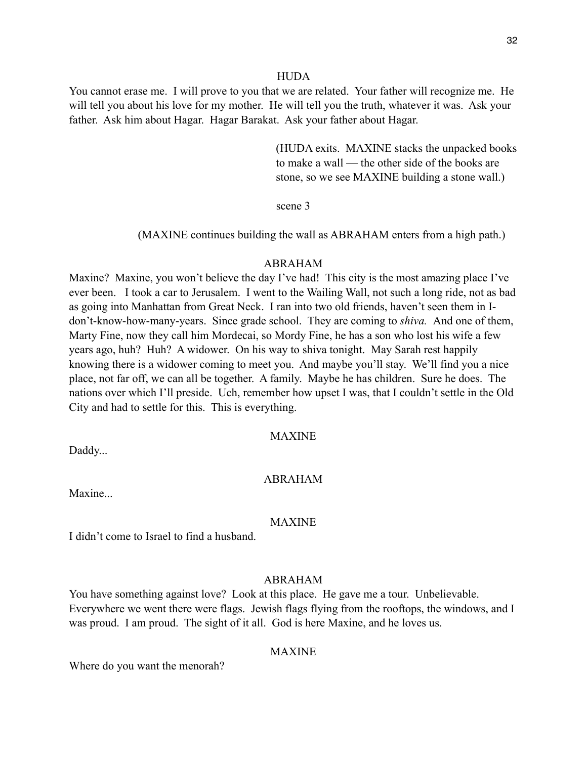#### HUDA

You cannot erase me. I will prove to you that we are related. Your father will recognize me. He will tell you about his love for my mother. He will tell you the truth, whatever it was. Ask your father. Ask him about Hagar. Hagar Barakat. Ask your father about Hagar.

> (HUDA exits. MAXINE stacks the unpacked books to make a wall — the other side of the books are stone, so we see MAXINE building a stone wall.)

#### scene 3

(MAXINE continues building the wall as ABRAHAM enters from a high path.)

#### ABRAHAM

Maxine? Maxine, you won't believe the day I've had! This city is the most amazing place I've ever been. I took a car to Jerusalem. I went to the Wailing Wall, not such a long ride, not as bad as going into Manhattan from Great Neck. I ran into two old friends, haven't seen them in Idon't-know-how-many-years. Since grade school. They are coming to *shiva.* And one of them, Marty Fine, now they call him Mordecai, so Mordy Fine, he has a son who lost his wife a few years ago, huh? Huh? A widower. On his way to shiva tonight. May Sarah rest happily knowing there is a widower coming to meet you. And maybe you'll stay. We'll find you a nice place, not far off, we can all be together. A family. Maybe he has children. Sure he does. The nations over which I'll preside. Uch, remember how upset I was, that I couldn't settle in the Old City and had to settle for this. This is everything.

#### MAXINE

Daddy...

#### ABRAHAM

Maxine

#### MAXINE

I didn't come to Israel to find a husband.

#### ABRAHAM

You have something against love? Look at this place. He gave me a tour. Unbelievable. Everywhere we went there were flags. Jewish flags flying from the rooftops, the windows, and I was proud. I am proud. The sight of it all. God is here Maxine, and he loves us.

#### MAXINE

Where do you want the menorah?

32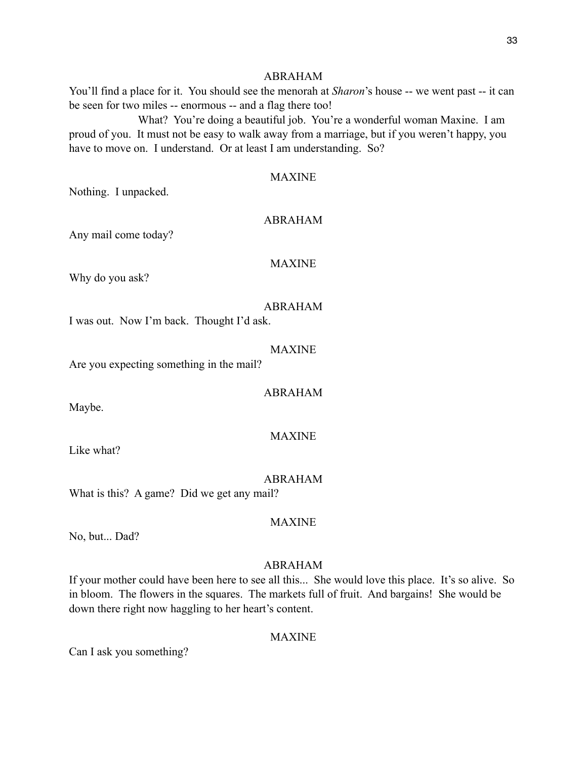You'll find a place for it. You should see the menorah at *Sharon*'s house -- we went past -- it can be seen for two miles -- enormous -- and a flag there too!

ABRAHAM

 What? You're doing a beautiful job. You're a wonderful woman Maxine. I am proud of you. It must not be easy to walk away from a marriage, but if you weren't happy, you have to move on. I understand. Or at least I am understanding. So?

Nothing. I unpacked.

# ABRAHAM

**MAXINE** 

Any mail come today?

# MAXINE

Why do you ask?

# ABRAHAM

I was out. Now I'm back. Thought I'd ask.

# MAXINE

ABRAHAM

MAXINE

Are you expecting something in the mail?

Maybe.

Like what?

# ABRAHAM

What is this? A game? Did we get any mail?

MAXINE

No, but... Dad?

# ABRAHAM

If your mother could have been here to see all this... She would love this place. It's so alive. So in bloom. The flowers in the squares. The markets full of fruit. And bargains! She would be down there right now haggling to her heart's content.

MAXINE

Can I ask you something?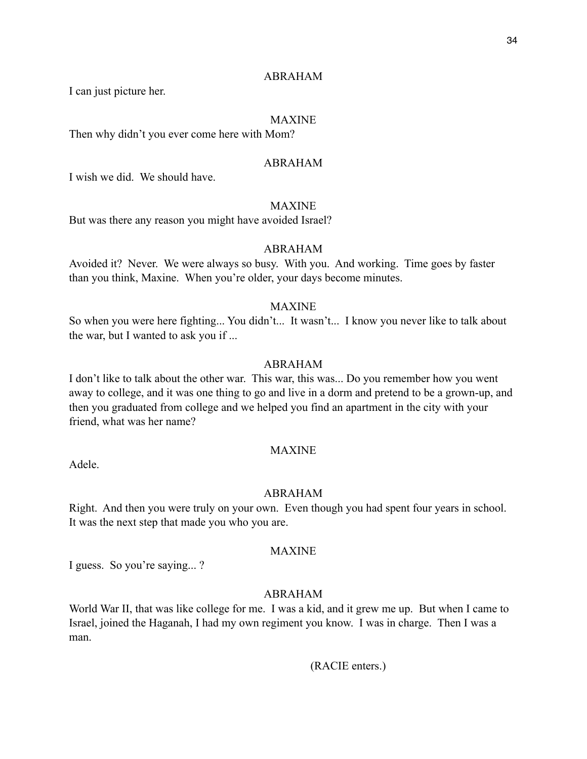I can just picture her.

#### MAXINE

Then why didn't you ever come here with Mom?

#### ABRAHAM

I wish we did. We should have.

# MAXINE

But was there any reason you might have avoided Israel?

# ABRAHAM

Avoided it? Never. We were always so busy. With you. And working. Time goes by faster than you think, Maxine. When you're older, your days become minutes.

#### MAXINE

So when you were here fighting... You didn't... It wasn't... I know you never like to talk about the war, but I wanted to ask you if ...

#### ABRAHAM

I don't like to talk about the other war. This war, this was... Do you remember how you went away to college, and it was one thing to go and live in a dorm and pretend to be a grown-up, and then you graduated from college and we helped you find an apartment in the city with your friend, what was her name?

#### MAXINE

#### ABRAHAM

Right. And then you were truly on your own. Even though you had spent four years in school. It was the next step that made you who you are.

#### MAXINE

I guess. So you're saying... ?

Adele.

#### ABRAHAM

World War II, that was like college for me. I was a kid, and it grew me up. But when I came to Israel, joined the Haganah, I had my own regiment you know. I was in charge. Then I was a man.

(RACIE enters.)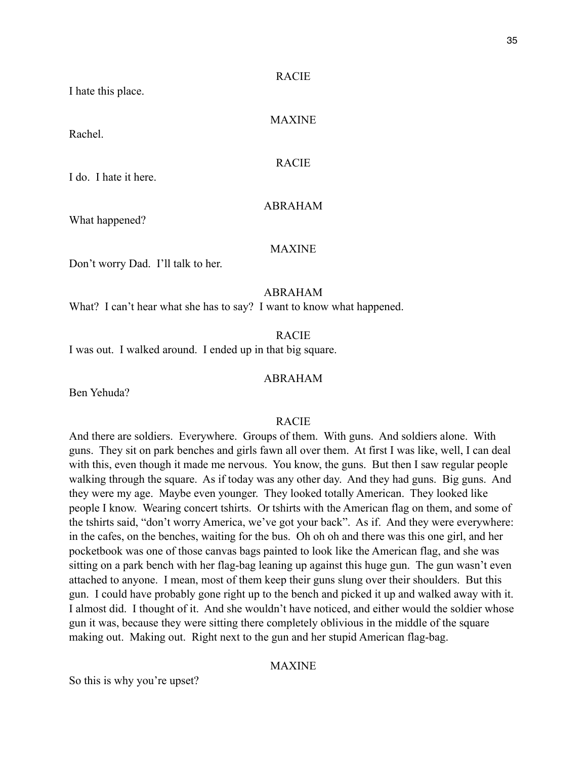I hate this place.

Rachel.

MAXINE

RACIE

I do. I hate it here.

# ABRAHAM

What happened?

# MAXINE

Don't worry Dad. I'll talk to her.

# ABRAHAM

What? I can't hear what she has to say? I want to know what happened.

# RACIE

I was out. I walked around. I ended up in that big square.

# ABRAHAM

Ben Yehuda?

# RACIE

And there are soldiers. Everywhere. Groups of them. With guns. And soldiers alone. With guns. They sit on park benches and girls fawn all over them. At first I was like, well, I can deal with this, even though it made me nervous. You know, the guns. But then I saw regular people walking through the square. As if today was any other day. And they had guns. Big guns. And they were my age. Maybe even younger. They looked totally American. They looked like people I know. Wearing concert tshirts. Or tshirts with the American flag on them, and some of the tshirts said, "don't worry America, we've got your back". As if. And they were everywhere: in the cafes, on the benches, waiting for the bus. Oh oh oh and there was this one girl, and her pocketbook was one of those canvas bags painted to look like the American flag, and she was sitting on a park bench with her flag-bag leaning up against this huge gun. The gun wasn't even attached to anyone. I mean, most of them keep their guns slung over their shoulders. But this gun. I could have probably gone right up to the bench and picked it up and walked away with it. I almost did. I thought of it. And she wouldn't have noticed, and either would the soldier whose gun it was, because they were sitting there completely oblivious in the middle of the square making out. Making out. Right next to the gun and her stupid American flag-bag.

### MAXINE

So this is why you're upset?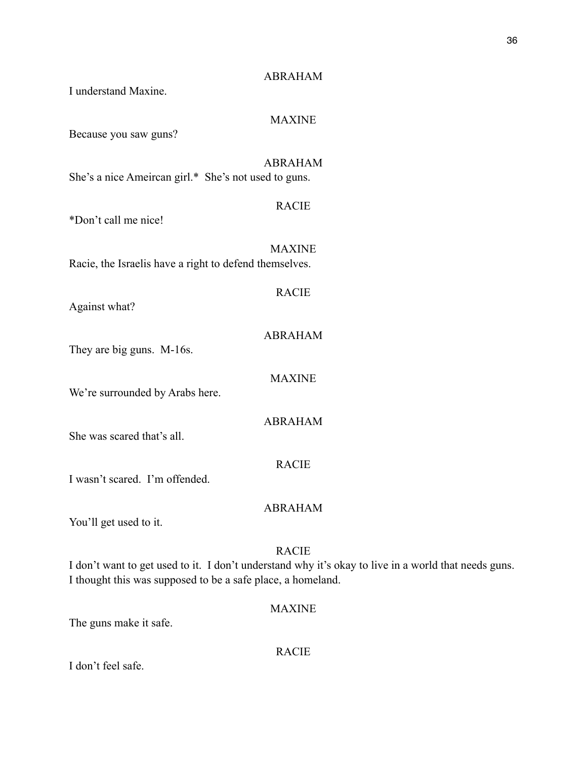# I understand Maxine. MAXINE Because you saw guns? ABRAHAM She's a nice Ameircan girl.\* She's not used to guns. RACIE \*Don't call me nice! MAXINE Racie, the Israelis have a right to defend themselves. RACIE Against what? ABRAHAM They are big guns. M-16s. MAXINE We're surrounded by Arabs here. ABRAHAM She was scared that's all. RACIE I wasn't scared. I'm offended. ABRAHAM You'll get used to it. RACIE I don't want to get used to it. I don't understand why it's okay to live in a world that needs guns. I thought this was supposed to be a safe place, a homeland.

MAXINE

ABRAHAM

The guns make it safe.

RACIE

I don't feel safe.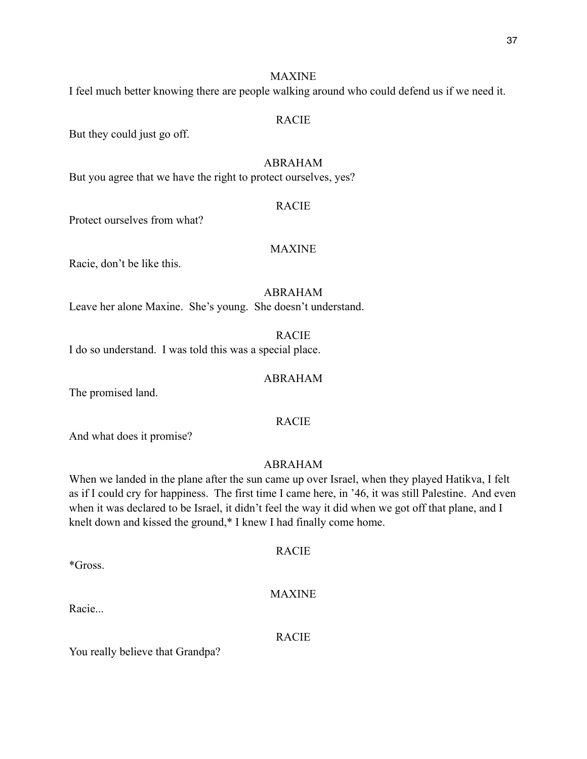I feel much better knowing there are people walking around who could defend us if we need it.

# RACIE

But they could just go off.

# ABRAHAM

But you agree that we have the right to protect ourselves, yes?

# RACIE

Protect ourselves from what?

# MAXINE

Racie, don't be like this.

ABRAHAM Leave her alone Maxine. She's young. She doesn't understand.

RACIE

I do so understand. I was told this was a special place.

# ABRAHAM

The promised land.

\*Gross.

Racie...

# RACIE

And what does it promise?

# ABRAHAM

When we landed in the plane after the sun came up over Israel, when they played Hatikva, I felt as if I could cry for happiness. The first time I came here, in '46, it was still Palestine. And even when it was declared to be Israel, it didn't feel the way it did when we got off that plane, and I knelt down and kissed the ground,\* I knew I had finally come home.

|        | <b>RACIE</b>  |  |
|--------|---------------|--|
|        | <b>MAXINE</b> |  |
| andna? | <b>RACIE</b>  |  |

You really believe that Grandpa?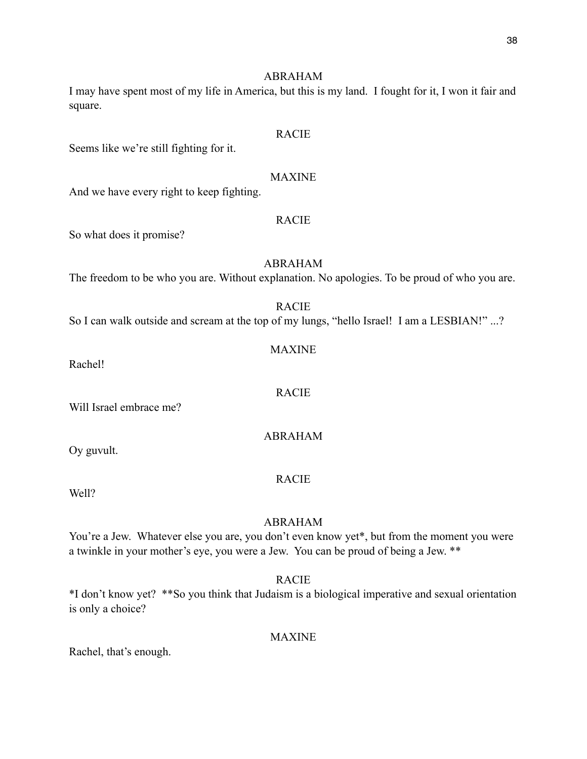I may have spent most of my life in America, but this is my land. I fought for it, I won it fair and square.

RACIE

Seems like we're still fighting for it.

# MAXINE

And we have every right to keep fighting.

# RACIE

So what does it promise?

# ABRAHAM

The freedom to be who you are. Without explanation. No apologies. To be proud of who you are.

# RACIE So I can walk outside and scream at the top of my lungs, "hello Israel! I am a LESBIAN!" ...?

# MAXINE

Rachel!

Will Israel embrace me?

Oy guvult.

# RACIE

Well?

# ABRAHAM

You're a Jew. Whatever else you are, you don't even know yet\*, but from the moment you were a twinkle in your mother's eye, you were a Jew. You can be proud of being a Jew. \*\*

# RACIE

\*I don't know yet? \*\*So you think that Judaism is a biological imperative and sexual orientation is only a choice?

MAXINE

Rachel, that's enough.

ABRAHAM

RACIE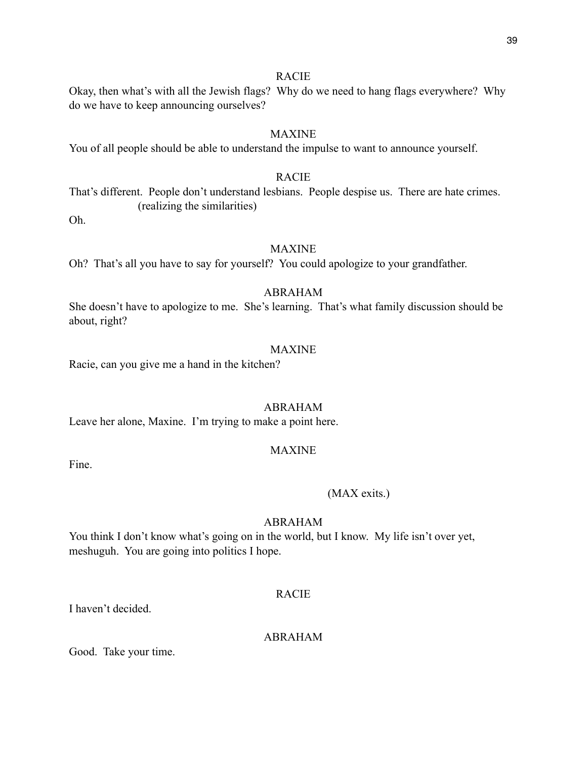Okay, then what's with all the Jewish flags? Why do we need to hang flags everywhere? Why do we have to keep announcing ourselves?

# **MAXINE**

You of all people should be able to understand the impulse to want to announce yourself.

# RACIE

That's different. People don't understand lesbians. People despise us. There are hate crimes. (realizing the similarities)

Oh.

# MAXINE

Oh? That's all you have to say for yourself? You could apologize to your grandfather.

# ABRAHAM

She doesn't have to apologize to me. She's learning. That's what family discussion should be about, right?

#### **MAXINE**

Racie, can you give me a hand in the kitchen?

# ABRAHAM

Leave her alone, Maxine. I'm trying to make a point here.

#### MAXINE

(MAX exits.)

# ABRAHAM

You think I don't know what's going on in the world, but I know. My life isn't over yet, meshuguh. You are going into politics I hope.

#### RACIE

I haven't decided.

#### ABRAHAM

Good. Take your time.

Fine.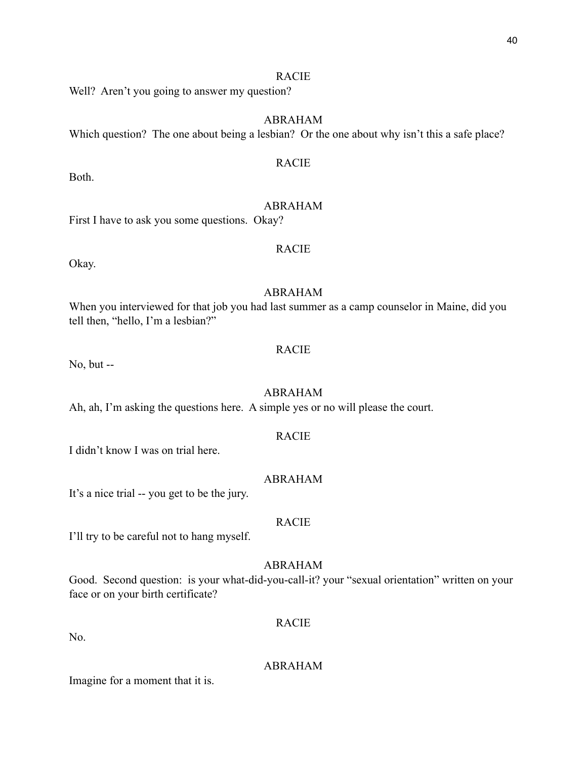Well? Aren't you going to answer my question?

# ABRAHAM

Which question? The one about being a lesbian? Or the one about why isn't this a safe place?

# RACIE

# ABRAHAM

First I have to ask you some questions. Okay?

# RACIE

Okay.

Both.

# ABRAHAM

When you interviewed for that job you had last summer as a camp counselor in Maine, did you tell then, "hello, I'm a lesbian?"

# RACIE

No, but --

# ABRAHAM

Ah, ah, I'm asking the questions here. A simple yes or no will please the court.

#### RACIE

I didn't know I was on trial here.

# ABRAHAM

It's a nice trial -- you get to be the jury.

# RACIE

I'll try to be careful not to hang myself.

# ABRAHAM

Good. Second question: is your what-did-you-call-it? your "sexual orientation" written on your face or on your birth certificate?

# RACIE

No.

# ABRAHAM

Imagine for a moment that it is.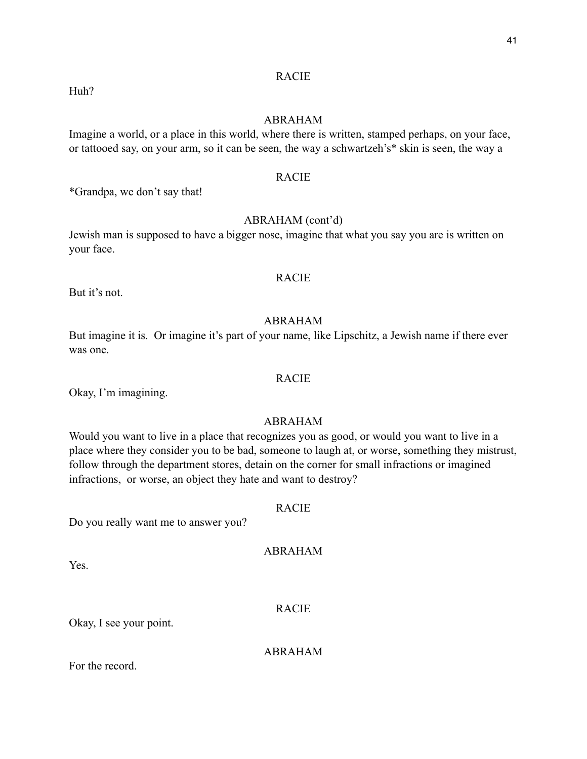Huh?

#### ABRAHAM

Imagine a world, or a place in this world, where there is written, stamped perhaps, on your face, or tattooed say, on your arm, so it can be seen, the way a schwartzeh's\* skin is seen, the way a

#### RACIE

\*Grandpa, we don't say that!

#### ABRAHAM (cont'd)

Jewish man is supposed to have a bigger nose, imagine that what you say you are is written on your face.

#### RACIE

But it's not.

#### ABRAHAM

But imagine it is. Or imagine it's part of your name, like Lipschitz, a Jewish name if there ever was one.

#### RACIE

Okay, I'm imagining.

# ABRAHAM

Would you want to live in a place that recognizes you as good, or would you want to live in a place where they consider you to be bad, someone to laugh at, or worse, something they mistrust, follow through the department stores, detain on the corner for small infractions or imagined infractions, or worse, an object they hate and want to destroy?

#### RACIE

Do you really want me to answer you?

# ABRAHAM

Yes.

#### RACIE

Okay, I see your point.

ABRAHAM

For the record.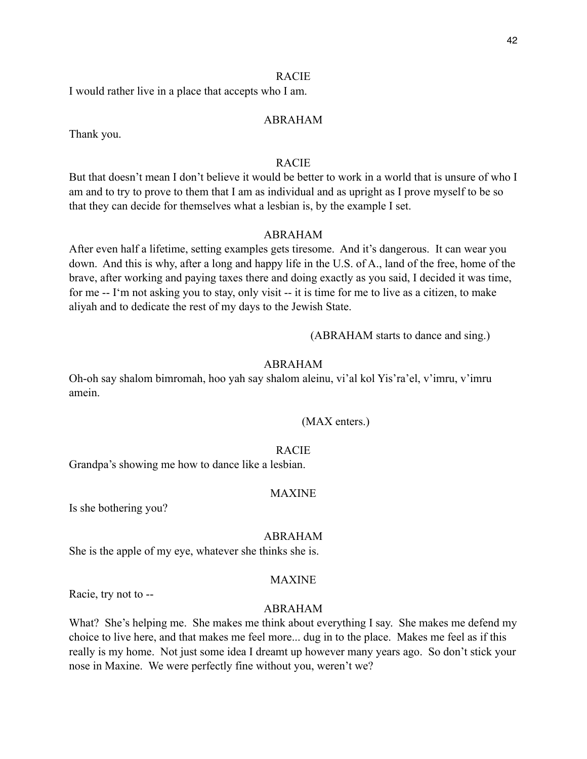I would rather live in a place that accepts who I am.

#### ABRAHAM

Thank you.

### RACIE

But that doesn't mean I don't believe it would be better to work in a world that is unsure of who I am and to try to prove to them that I am as individual and as upright as I prove myself to be so that they can decide for themselves what a lesbian is, by the example I set.

#### ABRAHAM

After even half a lifetime, setting examples gets tiresome. And it's dangerous. It can wear you down. And this is why, after a long and happy life in the U.S. of A., land of the free, home of the brave, after working and paying taxes there and doing exactly as you said, I decided it was time, for me -- I'm not asking you to stay, only visit -- it is time for me to live as a citizen, to make aliyah and to dedicate the rest of my days to the Jewish State.

(ABRAHAM starts to dance and sing.)

### ABRAHAM

Oh-oh say shalom bimromah, hoo yah say shalom aleinu, vi'al kol Yis'ra'el, v'imru, v'imru amein.

#### (MAX enters.)

#### RACIE

Grandpa's showing me how to dance like a lesbian.

#### MAXINE

Is she bothering you?

### ABRAHAM

She is the apple of my eye, whatever she thinks she is.

#### **MAXINE**

Racie, try not to --

# ABRAHAM

What? She's helping me. She makes me think about everything I say. She makes me defend my choice to live here, and that makes me feel more... dug in to the place. Makes me feel as if this really is my home. Not just some idea I dreamt up however many years ago. So don't stick your nose in Maxine. We were perfectly fine without you, weren't we?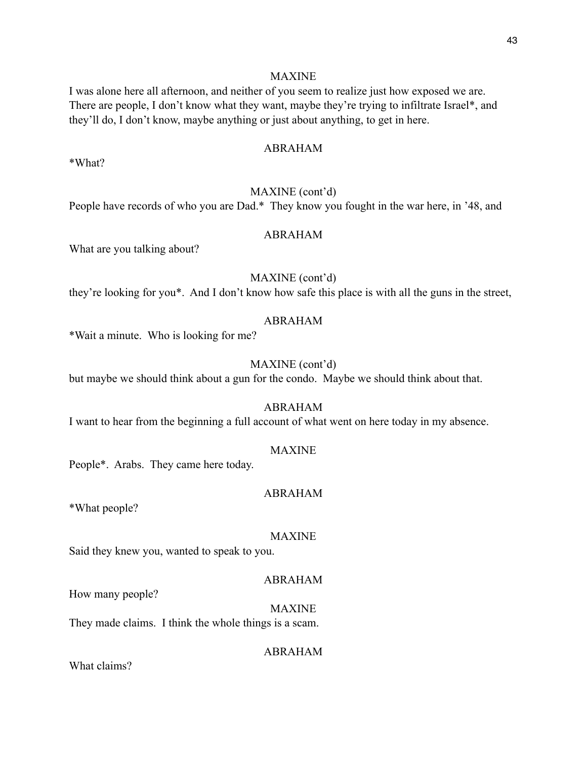I was alone here all afternoon, and neither of you seem to realize just how exposed we are. There are people, I don't know what they want, maybe they're trying to infiltrate Israel\*, and they'll do, I don't know, maybe anything or just about anything, to get in here.

#### ABRAHAM

\*What?

# MAXINE (cont'd)

People have records of who you are Dad.\* They know you fought in the war here, in '48, and

#### ABRAHAM

What are you talking about?

# MAXINE (cont'd)

they're looking for you\*. And I don't know how safe this place is with all the guns in the street,

#### ABRAHAM

\*Wait a minute. Who is looking for me?

#### MAXINE (cont'd)

but maybe we should think about a gun for the condo. Maybe we should think about that.

#### ABRAHAM

I want to hear from the beginning a full account of what went on here today in my absence.

#### MAXINE

People\*. Arabs. They came here today.

#### ABRAHAM

\*What people?

#### MAXINE

Said they knew you, wanted to speak to you.

#### ABRAHAM

How many people?

#### **MAXINE**

They made claims. I think the whole things is a scam.

#### ABRAHAM

What claims?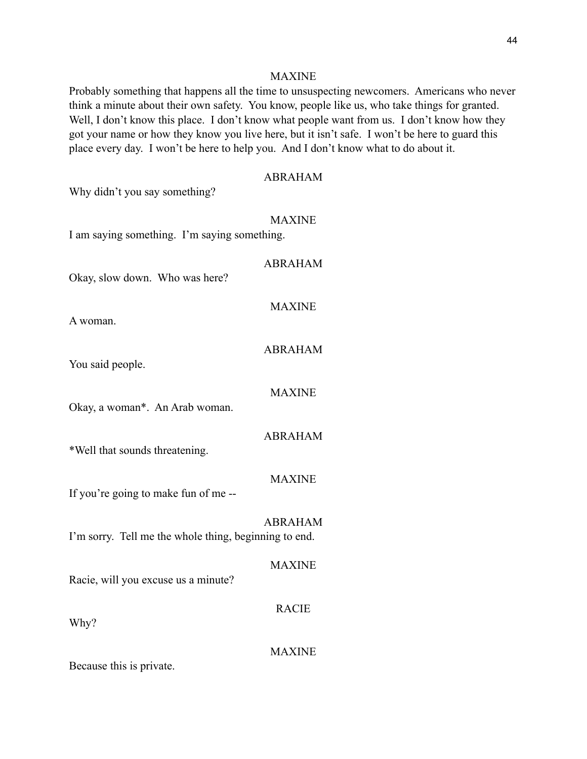Probably something that happens all the time to unsuspecting newcomers. Americans who never think a minute about their own safety. You know, people like us, who take things for granted. Well, I don't know this place. I don't know what people want from us. I don't know how they got your name or how they know you live here, but it isn't safe. I won't be here to guard this place every day. I won't be here to help you. And I don't know what to do about it.

#### ABRAHAM

Why didn't you say something?

# MAXINE I am saying something. I'm saying something. ABRAHAM Okay, slow down. Who was here? **MAXINE** A woman. ABRAHAM You said people. **MAXINE** Okay, a woman\*. An Arab woman. ABRAHAM \*Well that sounds threatening. MAXINE If you're going to make fun of me -- ABRAHAM I'm sorry. Tell me the whole thing, beginning to end. MAXINE Racie, will you excuse us a minute? RACIE Why? MAXINE Because this is private.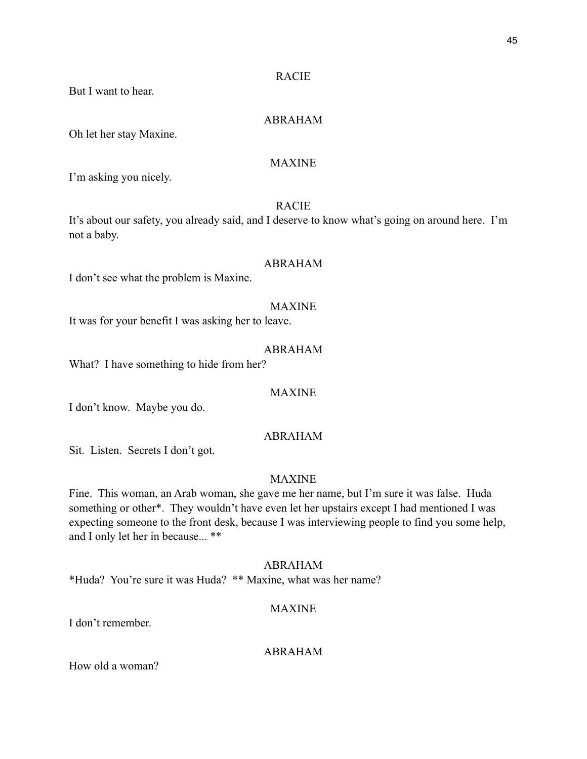But I want to hear.

# ABRAHAM

Oh let her stay Maxine.

# MAXINE

I'm asking you nicely.

# RACIE

It's about our safety, you already said, and I deserve to know what's going on around here. I'm not a baby.

#### ABRAHAM

I don't see what the problem is Maxine.

# MAXINE

It was for your benefit I was asking her to leave.

#### ABRAHAM

What? I have something to hide from her?

#### MAXINE

I don't know. Maybe you do.

# ABRAHAM

Sit. Listen. Secrets I don't got.

#### MAXINE

Fine. This woman, an Arab woman, she gave me her name, but I'm sure it was false. Huda something or other\*. They wouldn't have even let her upstairs except I had mentioned I was expecting someone to the front desk, because I was interviewing people to find you some help, and I only let her in because... \*\*

# ABRAHAM

\*Huda? You're sure it was Huda? \*\* Maxine, what was her name?

# MAXINE

I don't remember.

ABRAHAM

How old a woman?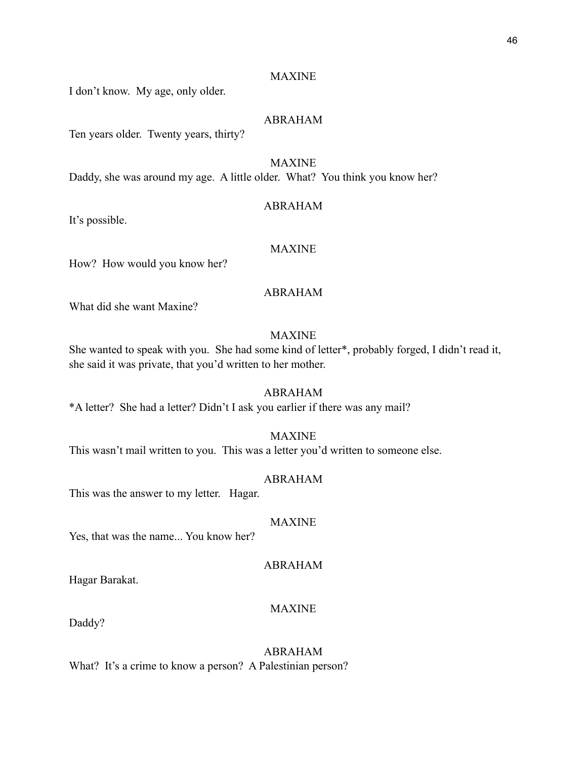I don't know. My age, only older.

# ABRAHAM

Ten years older. Twenty years, thirty?

MAXINE

Daddy, she was around my age. A little older. What? You think you know her?

#### ABRAHAM

It's possible.

# MAXINE

How? How would you know her?

# ABRAHAM

What did she want Maxine?

# MAXINE

She wanted to speak with you. She had some kind of letter\*, probably forged, I didn't read it, she said it was private, that you'd written to her mother.

#### ABRAHAM

\*A letter? She had a letter? Didn't I ask you earlier if there was any mail?

#### MAXINE

This wasn't mail written to you. This was a letter you'd written to someone else.

#### ABRAHAM

This was the answer to my letter. Hagar.

#### MAXINE

Yes, that was the name... You know her?

# ABRAHAM

Hagar Barakat.

### MAXINE

Daddy?

ABRAHAM

What? It's a crime to know a person? A Palestinian person?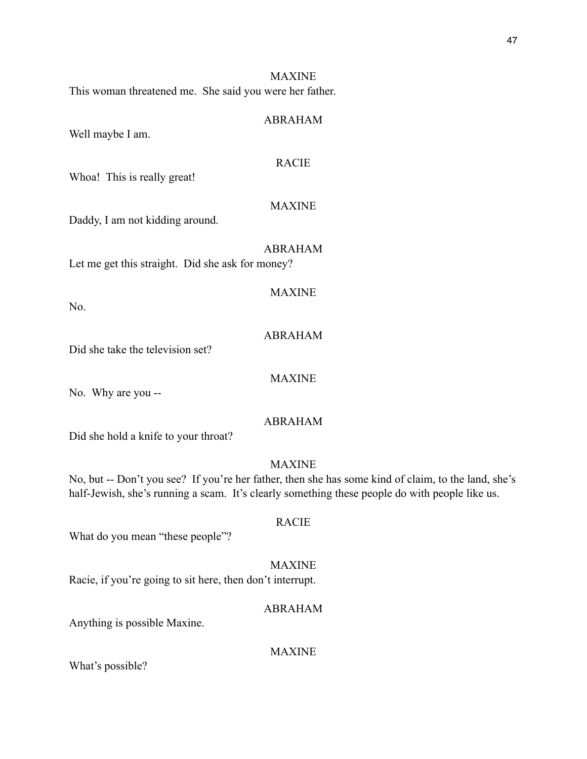47

# MAXINE

This woman threatened me. She said you were her father.

#### ABRAHAM

Well maybe I am.

# RACIE

Whoa! This is really great!

# MAXINE

Daddy, I am not kidding around.

# ABRAHAM

MAXINE

Let me get this straight. Did she ask for money?

# No.

# ABRAHAM

Did she take the television set?

# MAXINE

No. Why are you --

# ABRAHAM

Did she hold a knife to your throat?

# MAXINE

No, but -- Don't you see? If you're her father, then she has some kind of claim, to the land, she's half-Jewish, she's running a scam. It's clearly something these people do with people like us.

# RACIE

What do you mean "these people"?

# MAXINE

Racie, if you're going to sit here, then don't interrupt.

# ABRAHAM

Anything is possible Maxine.

# MAXINE

What's possible?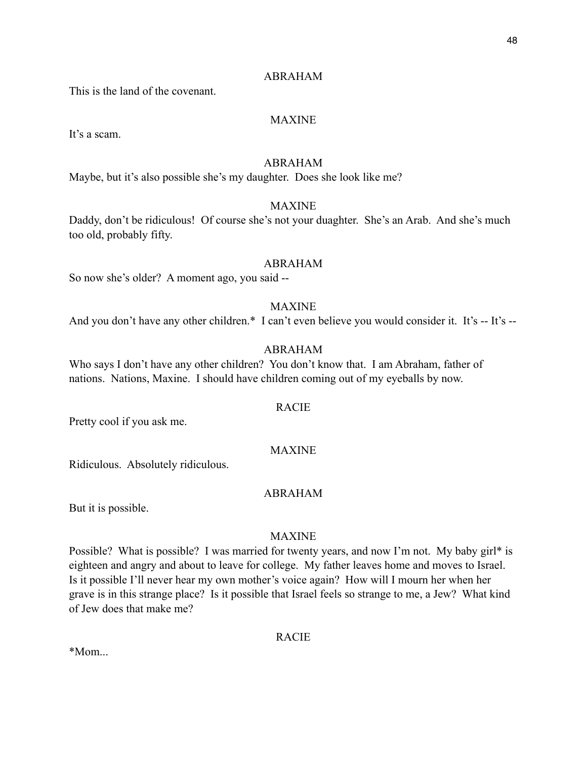This is the land of the covenant.

# MAXINE

It's a scam.

# ABRAHAM

Maybe, but it's also possible she's my daughter. Does she look like me?

# MAXINE

Daddy, don't be ridiculous! Of course she's not your duaghter. She's an Arab. And she's much too old, probably fifty.

#### ABRAHAM

So now she's older? A moment ago, you said --

# MAXINE

And you don't have any other children.\* I can't even believe you would consider it. It's -- It's --

# ABRAHAM

Who says I don't have any other children? You don't know that. I am Abraham, father of nations. Nations, Maxine. I should have children coming out of my eyeballs by now.

#### RACIE

Pretty cool if you ask me.

# **MAXINE**

Ridiculous. Absolutely ridiculous.

# ABRAHAM

But it is possible.

# **MAXINE**

Possible? What is possible? I was married for twenty years, and now I'm not. My baby girl\* is eighteen and angry and about to leave for college. My father leaves home and moves to Israel. Is it possible I'll never hear my own mother's voice again? How will I mourn her when her grave is in this strange place? Is it possible that Israel feels so strange to me, a Jew? What kind of Jew does that make me?

# RACIE

 $*<sub>Mom</sub>$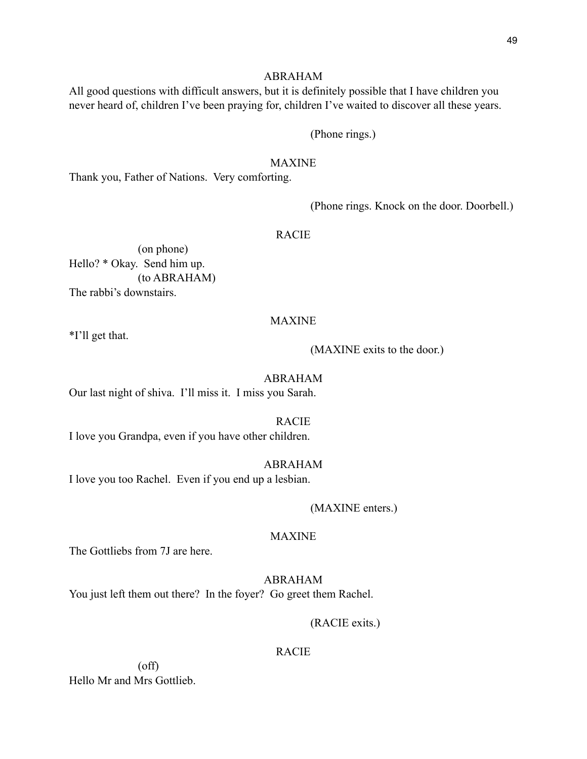All good questions with difficult answers, but it is definitely possible that I have children you never heard of, children I've been praying for, children I've waited to discover all these years.

(Phone rings.)

#### MAXINE

Thank you, Father of Nations. Very comforting.

(Phone rings. Knock on the door. Doorbell.)

#### RACIE

 (on phone) Hello? \* Okay. Send him up. (to ABRAHAM) The rabbi's downstairs.

#### MAXINE

\*I'll get that.

(MAXINE exits to the door.)

#### ABRAHAM

Our last night of shiva. I'll miss it. I miss you Sarah.

RACIE

I love you Grandpa, even if you have other children.

ABRAHAM

I love you too Rachel. Even if you end up a lesbian.

#### (MAXINE enters.)

#### MAXINE

The Gottliebs from 7J are here.

ABRAHAM

You just left them out there? In the foyer? Go greet them Rachel.

(RACIE exits.)

#### RACIE

 (off) Hello Mr and Mrs Gottlieb.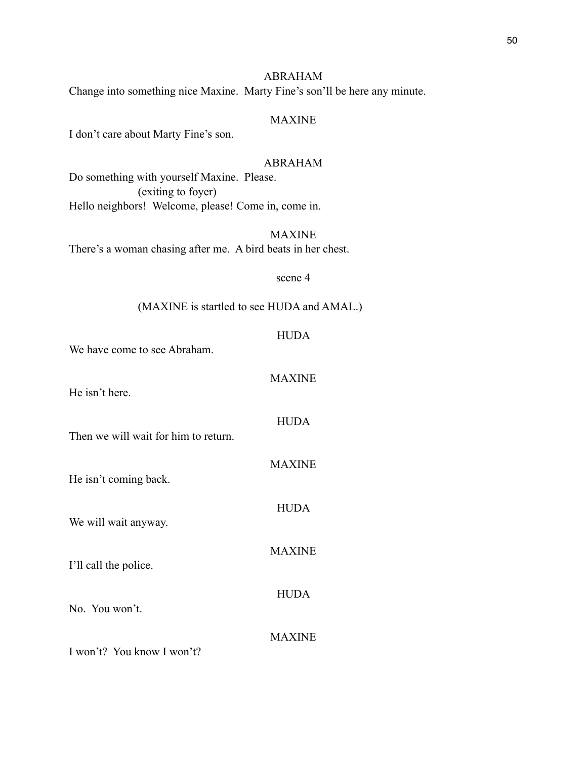Change into something nice Maxine. Marty Fine's son'll be here any minute.

#### MAXINE

I don't care about Marty Fine's son.

#### ABRAHAM

Do something with yourself Maxine. Please. (exiting to foyer) Hello neighbors! Welcome, please! Come in, come in.

MAXINE

There's a woman chasing after me. A bird beats in her chest.

#### scene 4

# (MAXINE is startled to see HUDA and AMAL.)

| We have come to see Abraham.                                                                                                                                                                                                                                                                     | HUDA          |
|--------------------------------------------------------------------------------------------------------------------------------------------------------------------------------------------------------------------------------------------------------------------------------------------------|---------------|
| He isn't here.                                                                                                                                                                                                                                                                                   | <b>MAXINE</b> |
| Then we will wait for him to return.                                                                                                                                                                                                                                                             | <b>HUDA</b>   |
| He isn't coming back.                                                                                                                                                                                                                                                                            | <b>MAXINE</b> |
| We will wait anyway.                                                                                                                                                                                                                                                                             | <b>HUDA</b>   |
| I'll call the police.                                                                                                                                                                                                                                                                            | <b>MAXINE</b> |
| No. You won't.                                                                                                                                                                                                                                                                                   | <b>HUDA</b>   |
| $\mathbf{r}$ and $\mathbf{r}$ and $\mathbf{r}$ and $\mathbf{r}$ and $\mathbf{r}$ and $\mathbf{r}$ and $\mathbf{r}$ and $\mathbf{r}$ and $\mathbf{r}$ and $\mathbf{r}$ and $\mathbf{r}$ and $\mathbf{r}$ and $\mathbf{r}$ and $\mathbf{r}$ and $\mathbf{r}$ and $\mathbf{r}$ and $\mathbf{r}$ and | <b>MAXINE</b> |

I won't? You know I won't?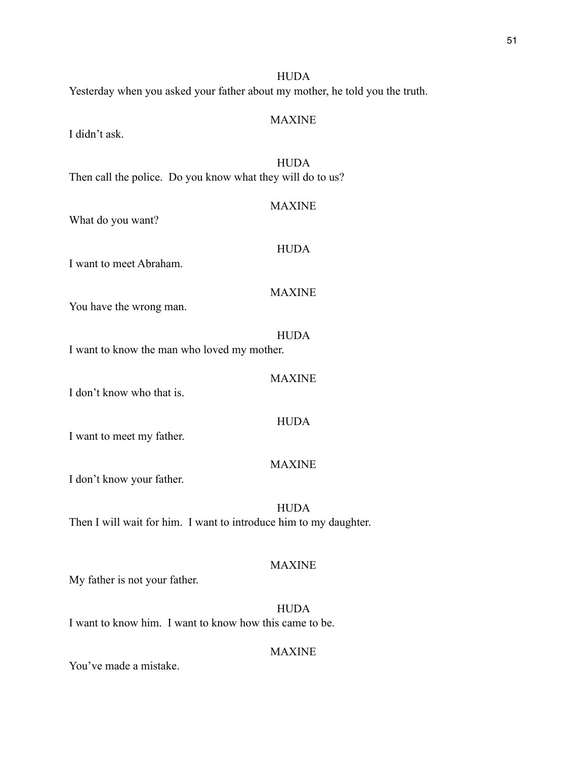HUDA Yesterday when you asked your father about my mother, he told you the truth.

MAXINE

I didn't ask.

HUDA Then call the police. Do you know what they will do to us?

What do you want?

I want to meet Abraham.

#### MAXINE

MAXINE

**HUDA** 

You have the wrong man.

HUDA I want to know the man who loved my mother.

I don't know who that is.

I want to meet my father.

# MAXINE

HUDA

MAXINE

I don't know your father.

**HUDA** Then I will wait for him. I want to introduce him to my daughter.

# MAXINE

My father is not your father.

**HUDA** I want to know him. I want to know how this came to be.

MAXINE

You've made a mistake.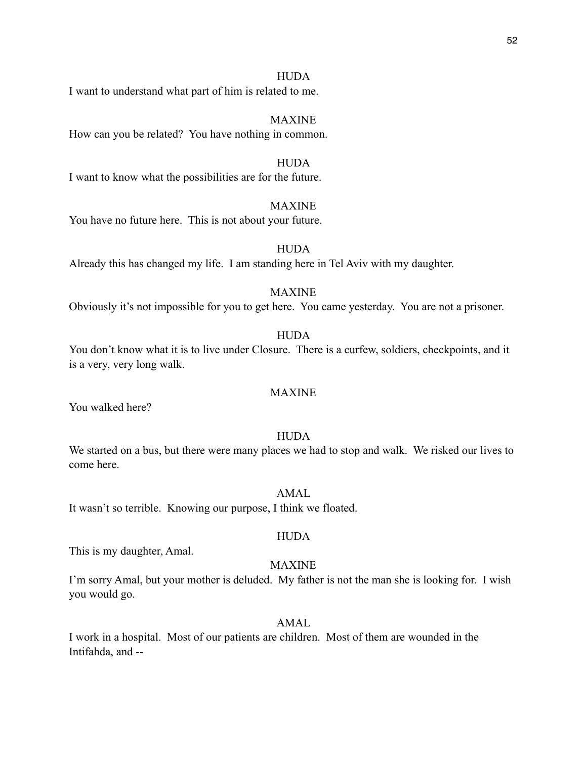#### HUDA

I want to understand what part of him is related to me.

#### MAXINE

How can you be related? You have nothing in common.

# HUDA

I want to know what the possibilities are for the future.

# MAXINE

You have no future here. This is not about your future.

# **HUDA**

Already this has changed my life. I am standing here in Tel Aviv with my daughter.

# MAXINE

Obviously it's not impossible for you to get here. You came yesterday. You are not a prisoner.

## HUDA

You don't know what it is to live under Closure. There is a curfew, soldiers, checkpoints, and it is a very, very long walk.

#### **MAXINE**

You walked here?

#### HUDA

We started on a bus, but there were many places we had to stop and walk. We risked our lives to come here.

# AMAL

It wasn't so terrible. Knowing our purpose, I think we floated.

#### HUDA

This is my daughter, Amal.

# MAXINE

I'm sorry Amal, but your mother is deluded. My father is not the man she is looking for. I wish you would go.

# AMAL

I work in a hospital. Most of our patients are children. Most of them are wounded in the Intifahda, and --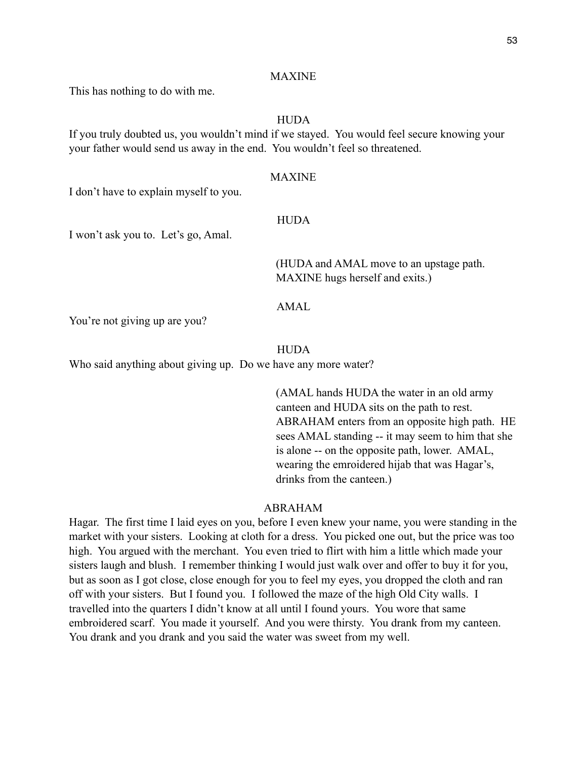This has nothing to do with me.

#### HUDA

If you truly doubted us, you wouldn't mind if we stayed. You would feel secure knowing your your father would send us away in the end. You wouldn't feel so threatened.

#### MAXINE

I don't have to explain myself to you.

# HUDA

I won't ask you to. Let's go, Amal.

 (HUDA and AMAL move to an upstage path. MAXINE hugs herself and exits.)

# AMAL

You're not giving up are you?

# **HUDA**

Who said anything about giving up. Do we have any more water?

 (AMAL hands HUDA the water in an old army canteen and HUDA sits on the path to rest. ABRAHAM enters from an opposite high path. HE sees AMAL standing -- it may seem to him that she is alone -- on the opposite path, lower. AMAL, wearing the emroidered hijab that was Hagar's, drinks from the canteen.)

# ABRAHAM

Hagar. The first time I laid eyes on you, before I even knew your name, you were standing in the market with your sisters. Looking at cloth for a dress. You picked one out, but the price was too high. You argued with the merchant. You even tried to flirt with him a little which made your sisters laugh and blush. I remember thinking I would just walk over and offer to buy it for you, but as soon as I got close, close enough for you to feel my eyes, you dropped the cloth and ran off with your sisters. But I found you. I followed the maze of the high Old City walls. I travelled into the quarters I didn't know at all until I found yours. You wore that same embroidered scarf. You made it yourself. And you were thirsty. You drank from my canteen. You drank and you drank and you said the water was sweet from my well.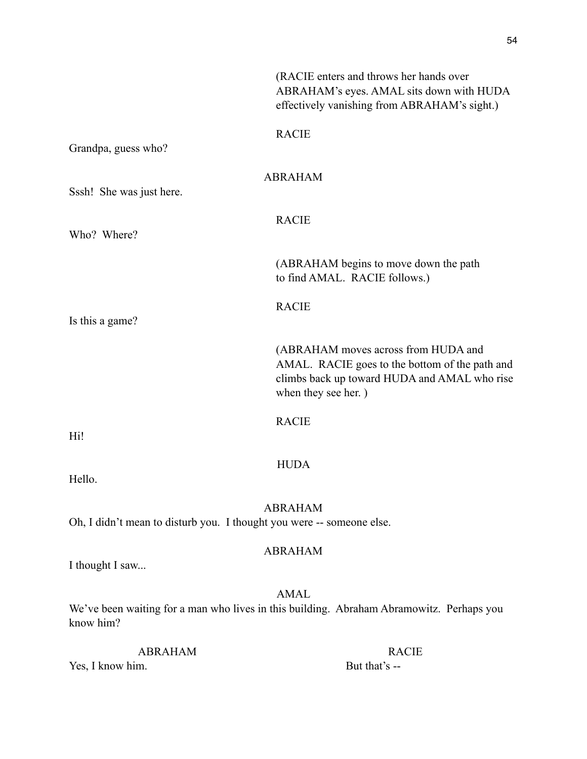|                                                                       | (RACIE enters and throws her hands over<br>ABRAHAM's eyes. AMAL sits down with HUDA<br>effectively vanishing from ABRAHAM's sight.)                          |
|-----------------------------------------------------------------------|--------------------------------------------------------------------------------------------------------------------------------------------------------------|
|                                                                       |                                                                                                                                                              |
| Grandpa, guess who?                                                   | <b>RACIE</b>                                                                                                                                                 |
| Sssh! She was just here.                                              | <b>ABRAHAM</b>                                                                                                                                               |
| Who? Where?                                                           | <b>RACIE</b>                                                                                                                                                 |
|                                                                       | (ABRAHAM begins to move down the path<br>to find AMAL. RACIE follows.)                                                                                       |
| Is this a game?                                                       | <b>RACIE</b>                                                                                                                                                 |
|                                                                       | (ABRAHAM moves across from HUDA and<br>AMAL. RACIE goes to the bottom of the path and<br>climbs back up toward HUDA and AMAL who rise<br>when they see her.) |
| Hi!                                                                   | <b>RACIE</b>                                                                                                                                                 |
| Hello.                                                                | <b>HUDA</b>                                                                                                                                                  |
|                                                                       | <b>ABRAHAM</b>                                                                                                                                               |
| Oh, I didn't mean to disturb you. I thought you were -- someone else. |                                                                                                                                                              |
| I thought I saw                                                       | <b>ABRAHAM</b>                                                                                                                                               |
| know him?                                                             | <b>AMAL</b><br>We've been waiting for a man who lives in this building. Abraham Abramowitz. Perhaps you                                                      |
| <b>ABRAHAM</b><br>Yes, I know him.                                    | <b>RACIE</b><br>But that's --                                                                                                                                |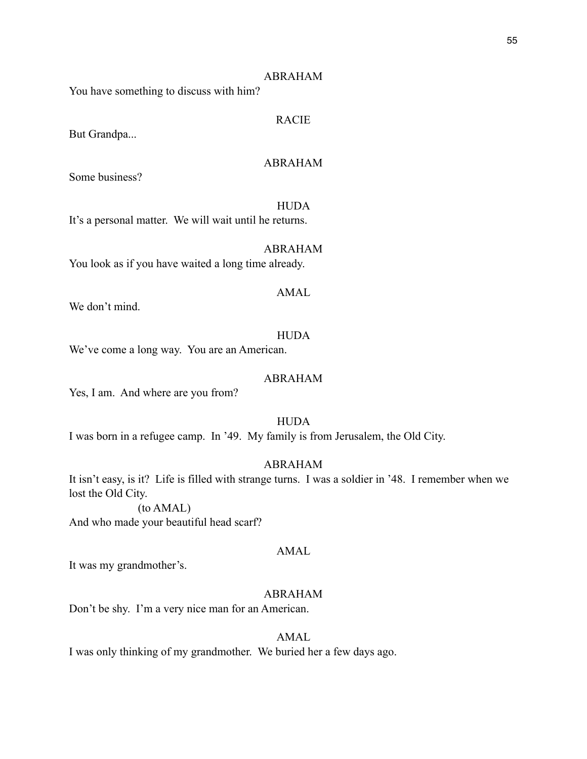You have something to discuss with him?

# RACIE

But Grandpa...

# ABRAHAM

Some business?

# HUDA

It's a personal matter. We will wait until he returns.

# ABRAHAM

You look as if you have waited a long time already.

# AMAL

We don't mind.

# HUDA We've come a long way. You are an American.

#### ABRAHAM

Yes, I am. And where are you from?

#### HUDA

I was born in a refugee camp. In '49. My family is from Jerusalem, the Old City.

# ABRAHAM

It isn't easy, is it? Life is filled with strange turns. I was a soldier in '48. I remember when we lost the Old City.

 (to AMAL) And who made your beautiful head scarf?

# AMAL

It was my grandmother's.

# ABRAHAM

Don't be shy. I'm a very nice man for an American.

# AMAL

I was only thinking of my grandmother. We buried her a few days ago.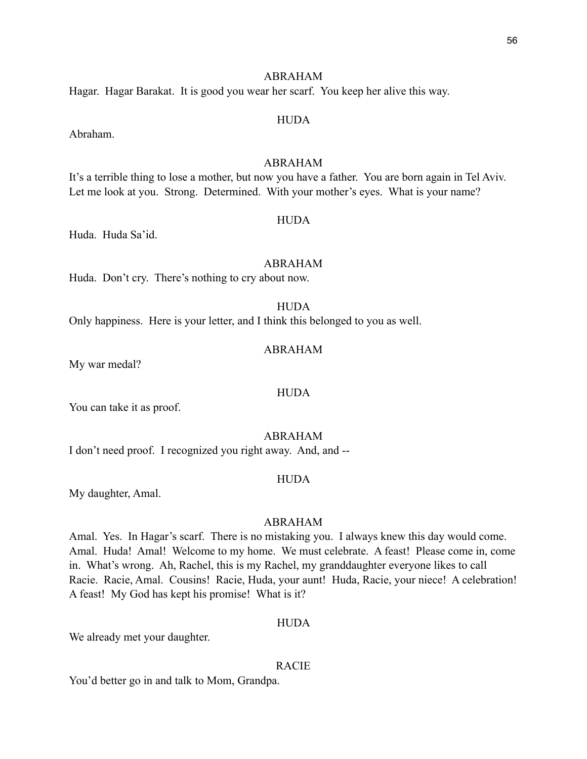Hagar. Hagar Barakat. It is good you wear her scarf. You keep her alive this way.

#### Abraham.

#### ABRAHAM

It's a terrible thing to lose a mother, but now you have a father. You are born again in Tel Aviv. Let me look at you. Strong. Determined. With your mother's eyes. What is your name?

# **HUDA**

Huda. Huda Sa'id.

#### ABRAHAM

Huda. Don't cry. There's nothing to cry about now.

#### **HUDA**

Only happiness. Here is your letter, and I think this belonged to you as well.

#### ABRAHAM

HUDA

My war medal?

You can take it as proof.

#### ABRAHAM

I don't need proof. I recognized you right away. And, and --

#### HUDA

My daughter, Amal.

# ABRAHAM

Amal. Yes. In Hagar's scarf. There is no mistaking you. I always knew this day would come. Amal. Huda! Amal! Welcome to my home. We must celebrate. A feast! Please come in, come in. What's wrong. Ah, Rachel, this is my Rachel, my granddaughter everyone likes to call Racie. Racie, Amal. Cousins! Racie, Huda, your aunt! Huda, Racie, your niece! A celebration! A feast! My God has kept his promise! What is it?

#### HUDA

We already met your daughter.

#### RACIE

You'd better go in and talk to Mom, Grandpa.

#### HUDA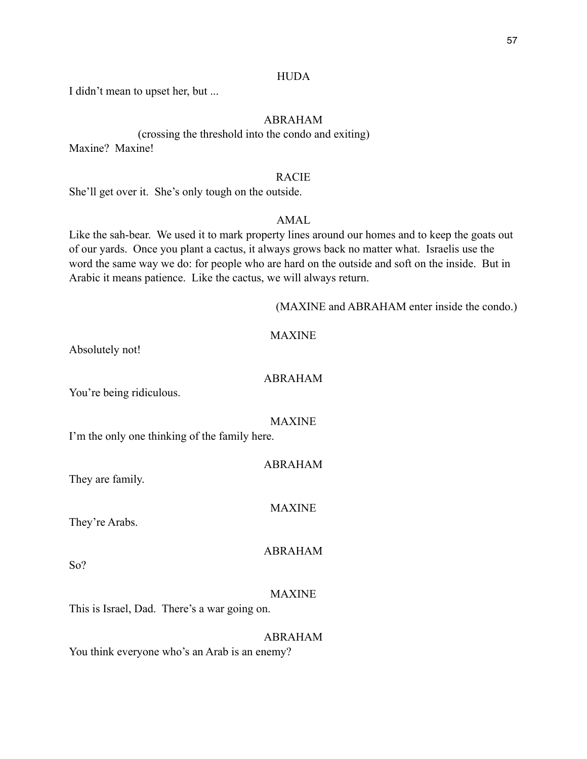#### HUDA

I didn't mean to upset her, but ...

# ABRAHAM

 (crossing the threshold into the condo and exiting) Maxine? Maxine!

#### RACIE

She'll get over it. She's only tough on the outside.

# AMAL

Like the sah-bear. We used it to mark property lines around our homes and to keep the goats out of our yards. Once you plant a cactus, it always grows back no matter what. Israelis use the word the same way we do: for people who are hard on the outside and soft on the inside. But in Arabic it means patience. Like the cactus, we will always return.

(MAXINE and ABRAHAM enter inside the condo.)

# MAXINE

Absolutely not!

# ABRAHAM

You're being ridiculous.

# MAXINE

I'm the only one thinking of the family here.

MAXINE

They are family.

They're Arabs.

# ABRAHAM

So?

# MAXINE

This is Israel, Dad. There's a war going on.

#### ABRAHAM

You think everyone who's an Arab is an enemy?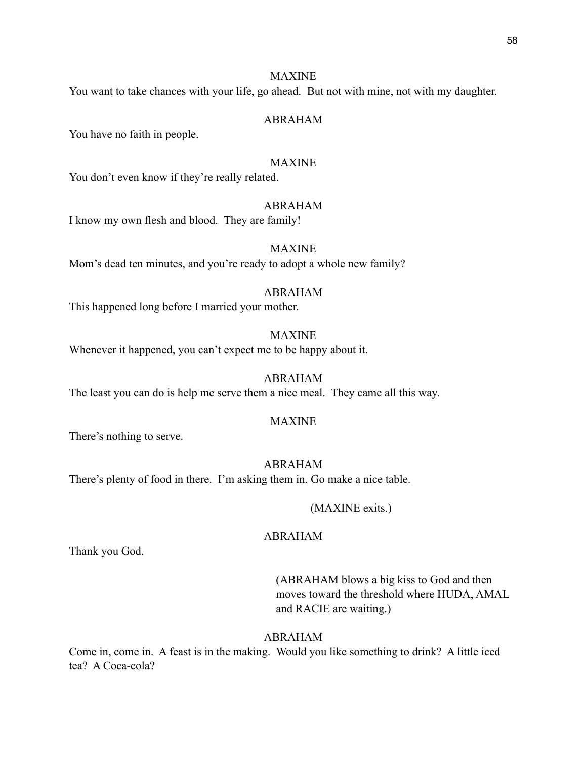You want to take chances with your life, go ahead. But not with mine, not with my daughter.

#### ABRAHAM

You have no faith in people.

#### MAXINE

You don't even know if they're really related.

# ABRAHAM

I know my own flesh and blood. They are family!

# MAXINE

Mom's dead ten minutes, and you're ready to adopt a whole new family?

# ABRAHAM

This happened long before I married your mother.

# MAXINE

Whenever it happened, you can't expect me to be happy about it.

#### ABRAHAM

The least you can do is help me serve them a nice meal. They came all this way.

# MAXINE

There's nothing to serve.

# ABRAHAM

There's plenty of food in there. I'm asking them in. Go make a nice table.

# (MAXINE exits.)

#### ABRAHAM

Thank you God.

 (ABRAHAM blows a big kiss to God and then moves toward the threshold where HUDA, AMAL and RACIE are waiting.)

# ABRAHAM

Come in, come in. A feast is in the making. Would you like something to drink? A little iced tea? A Coca-cola?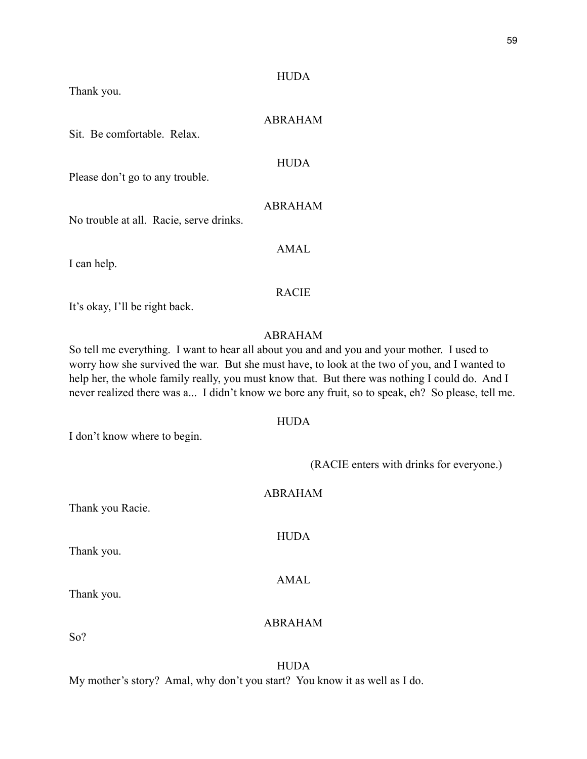#### HUDA

Thank you.

# ABRAHAM

Sit. Be comfortable. Relax.

# HUDA

Please don't go to any trouble.

# ABRAHAM

No trouble at all. Racie, serve drinks.

# AMAL

I can help.

# RACIE

It's okay, I'll be right back.

# ABRAHAM

So tell me everything. I want to hear all about you and and you and your mother. I used to worry how she survived the war. But she must have, to look at the two of you, and I wanted to help her, the whole family really, you must know that. But there was nothing I could do. And I never realized there was a... I didn't know we bore any fruit, so to speak, eh? So please, tell me.

#### HUDA

I don't know where to begin.

(RACIE enters with drinks for everyone.)

#### ABRAHAM

HUDA

AMAL

Thank you Racie.

Thank you.

Thank you.

# ABRAHAM

So?

**HUDA** My mother's story? Amal, why don't you start? You know it as well as I do.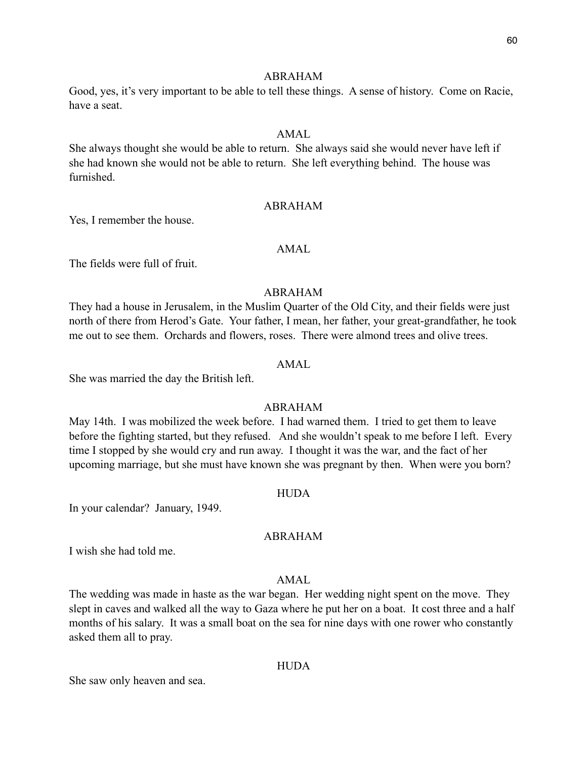Good, yes, it's very important to be able to tell these things. A sense of history. Come on Racie, have a seat.

#### AMAL

She always thought she would be able to return. She always said she would never have left if she had known she would not be able to return. She left everything behind. The house was furnished.

# ABRAHAM

Yes, I remember the house.

# AMAL

The fields were full of fruit.

# ABRAHAM

They had a house in Jerusalem, in the Muslim Quarter of the Old City, and their fields were just north of there from Herod's Gate. Your father, I mean, her father, your great-grandfather, he took me out to see them. Orchards and flowers, roses. There were almond trees and olive trees.

### AMAL

She was married the day the British left.

#### ABRAHAM

May 14th. I was mobilized the week before. I had warned them. I tried to get them to leave before the fighting started, but they refused. And she wouldn't speak to me before I left. Every time I stopped by she would cry and run away. I thought it was the war, and the fact of her upcoming marriage, but she must have known she was pregnant by then. When were you born?

#### **HUDA**

In your calendar? January, 1949.

### ABRAHAM

I wish she had told me.

#### AMAL

The wedding was made in haste as the war began. Her wedding night spent on the move. They slept in caves and walked all the way to Gaza where he put her on a boat. It cost three and a half months of his salary. It was a small boat on the sea for nine days with one rower who constantly asked them all to pray.

#### **HUDA**

She saw only heaven and sea.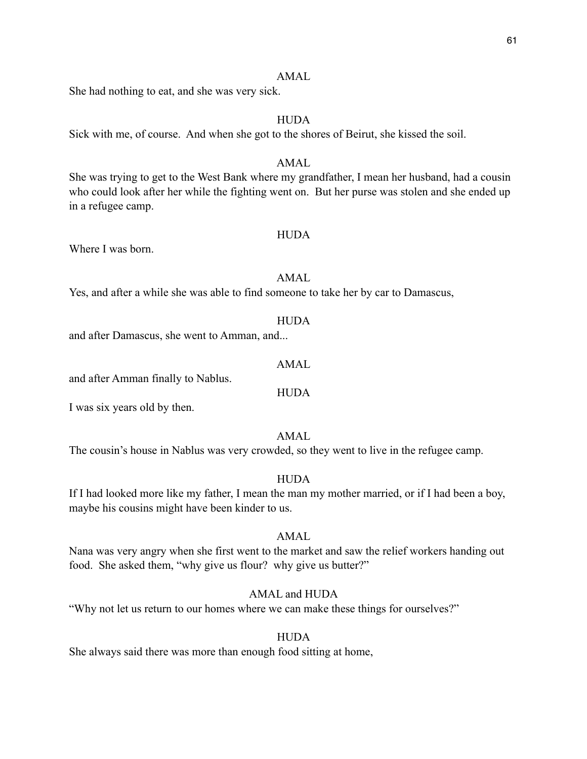### AMAL

She had nothing to eat, and she was very sick.

# HUDA

Sick with me, of course. And when she got to the shores of Beirut, she kissed the soil.

# AMAL

She was trying to get to the West Bank where my grandfather, I mean her husband, had a cousin who could look after her while the fighting went on. But her purse was stolen and she ended up in a refugee camp.

# HUDA

Where I was born.

# AMAL

Yes, and after a while she was able to find someone to take her by car to Damascus,

# HUDA

and after Damascus, she went to Amman, and...

# AMAL

HUDA

and after Amman finally to Nablus.

I was six years old by then.

#### AMAL

The cousin's house in Nablus was very crowded, so they went to live in the refugee camp.

# **HUDA**

If I had looked more like my father, I mean the man my mother married, or if I had been a boy, maybe his cousins might have been kinder to us.

# AMAL

Nana was very angry when she first went to the market and saw the relief workers handing out food. She asked them, "why give us flour? why give us butter?"

# AMAL and HUDA

"Why not let us return to our homes where we can make these things for ourselves?"

# HUDA

She always said there was more than enough food sitting at home,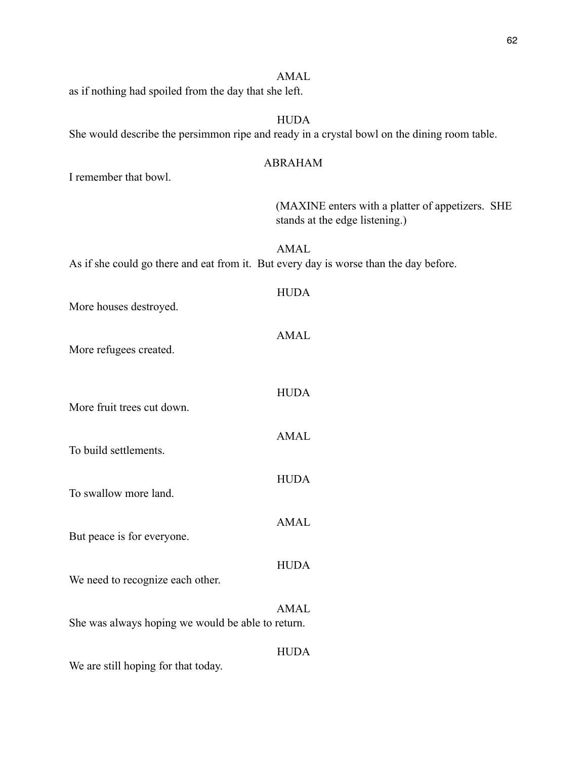| as if nothing had spoiled from the day that she felt.                                 |                                                                                                            |
|---------------------------------------------------------------------------------------|------------------------------------------------------------------------------------------------------------|
|                                                                                       | <b>HUDA</b><br>She would describe the persimmon ripe and ready in a crystal bowl on the dining room table. |
| I remember that bowl.                                                                 | <b>ABRAHAM</b>                                                                                             |
|                                                                                       | (MAXINE enters with a platter of appetizers. SHE<br>stands at the edge listening.)                         |
| As if she could go there and eat from it. But every day is worse than the day before. | <b>AMAL</b>                                                                                                |
| More houses destroyed.                                                                | <b>HUDA</b>                                                                                                |
| More refugees created.                                                                | <b>AMAL</b>                                                                                                |
| More fruit trees cut down.                                                            | <b>HUDA</b>                                                                                                |
| To build settlements.                                                                 | <b>AMAL</b>                                                                                                |
| To swallow more land.                                                                 | <b>HUDA</b>                                                                                                |
| But peace is for everyone.                                                            | <b>AMAL</b>                                                                                                |
| We need to recognize each other.                                                      | <b>HUDA</b>                                                                                                |
| She was always hoping we would be able to return.                                     | <b>AMAL</b>                                                                                                |
| We are still hoping for that today.                                                   | <b>HUDA</b>                                                                                                |

#### AMAL

as if nothing had spoiled from the day that she left.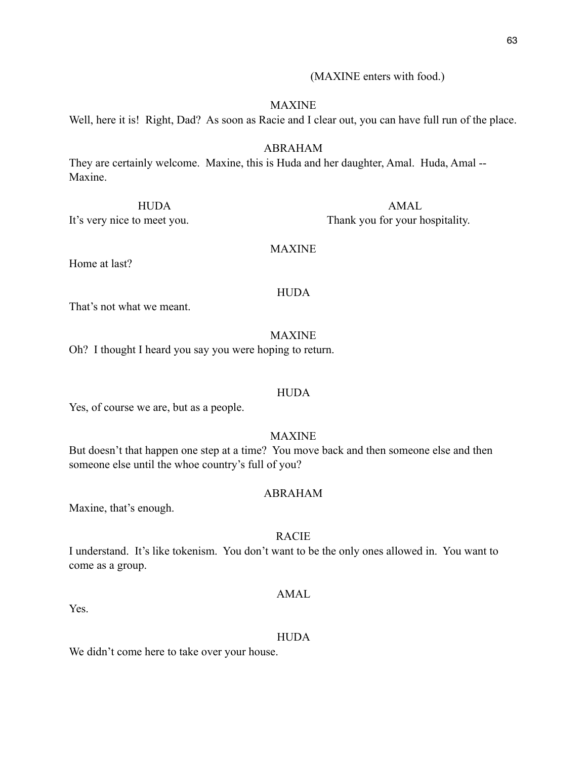(MAXINE enters with food.)

# MAXINE

Well, here it is! Right, Dad? As soon as Racie and I clear out, you can have full run of the place.

#### ABRAHAM

They are certainly welcome. Maxine, this is Huda and her daughter, Amal. Huda, Amal -- Maxine.

It's very nice to meet you. Thank you for your hospitality.

HUDA AMAL

# MAXINE

Home at last?

#### HUDA

That's not what we meant.

MAXINE

Oh? I thought I heard you say you were hoping to return.

#### HUDA

Yes, of course we are, but as a people.

#### MAXINE

But doesn't that happen one step at a time? You move back and then someone else and then someone else until the whoe country's full of you?

#### ABRAHAM

Maxine, that's enough.

#### RACIE

I understand. It's like tokenism. You don't want to be the only ones allowed in. You want to come as a group.

#### AMAL

Yes.

#### HUDA

We didn't come here to take over your house.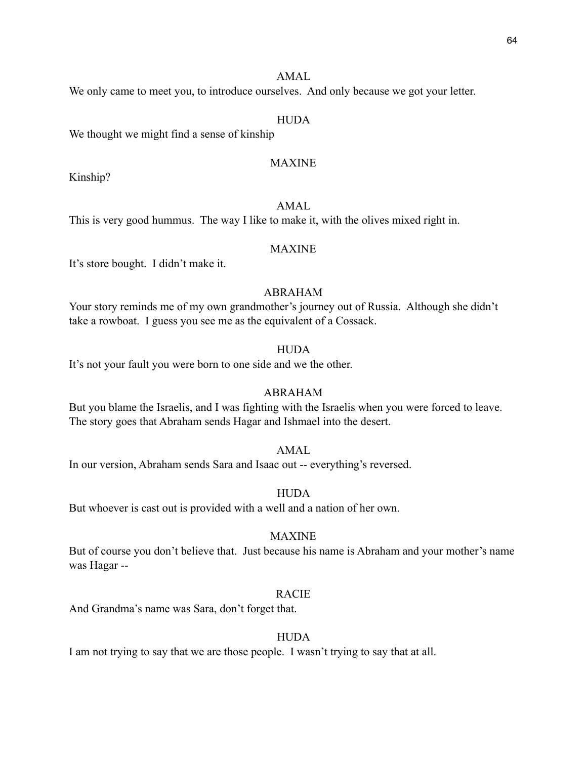#### AMAL

We only came to meet you, to introduce ourselves. And only because we got your letter.

# HUDA

We thought we might find a sense of kinship

### MAXINE

Kinship?

# AMAL

This is very good hummus. The way I like to make it, with the olives mixed right in.

# MAXINE

It's store bought. I didn't make it.

# ABRAHAM

Your story reminds me of my own grandmother's journey out of Russia. Although she didn't take a rowboat. I guess you see me as the equivalent of a Cossack.

# **HUDA**

It's not your fault you were born to one side and we the other.

#### ABRAHAM

But you blame the Israelis, and I was fighting with the Israelis when you were forced to leave. The story goes that Abraham sends Hagar and Ishmael into the desert.

# AMAL

In our version, Abraham sends Sara and Isaac out -- everything's reversed.

#### HUDA

But whoever is cast out is provided with a well and a nation of her own.

#### MAXINE

But of course you don't believe that. Just because his name is Abraham and your mother's name was Hagar --

#### RACIE

And Grandma's name was Sara, don't forget that.

# HUDA

I am not trying to say that we are those people. I wasn't trying to say that at all.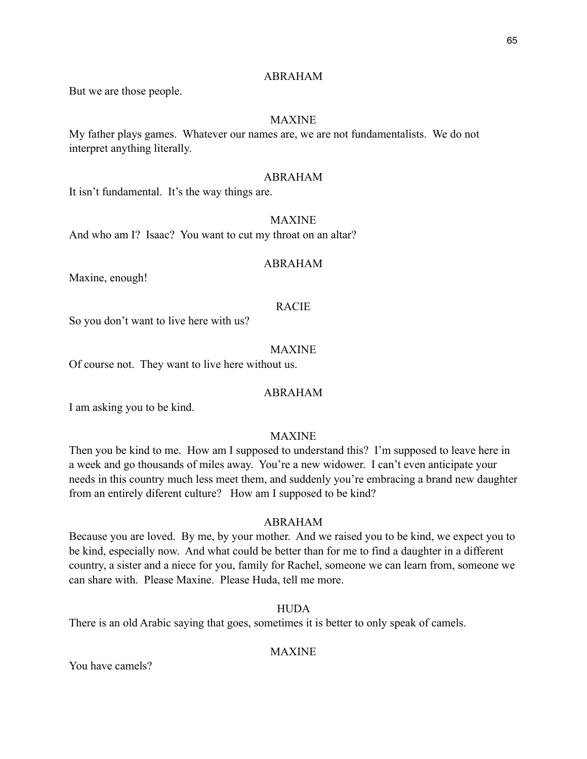But we are those people.

#### MAXINE

My father plays games. Whatever our names are, we are not fundamentalists. We do not interpret anything literally.

#### ABRAHAM

It isn't fundamental. It's the way things are.

#### MAXINE

And who am I? Isaac? You want to cut my throat on an altar?

#### ABRAHAM

Maxine, enough!

#### RACIE

So you don't want to live here with us?

#### MAXINE

Of course not. They want to live here without us.

#### ABRAHAM

I am asking you to be kind.

#### MAXINE

Then you be kind to me. How am I supposed to understand this? I'm supposed to leave here in a week and go thousands of miles away. You're a new widower. I can't even anticipate your needs in this country much less meet them, and suddenly you're embracing a brand new daughter from an entirely diferent culture? How am I supposed to be kind?

#### ABRAHAM

Because you are loved. By me, by your mother. And we raised you to be kind, we expect you to be kind, especially now. And what could be better than for me to find a daughter in a different country, a sister and a niece for you, family for Rachel, someone we can learn from, someone we can share with. Please Maxine. Please Huda, tell me more.

# HUDA

There is an old Arabic saying that goes, sometimes it is better to only speak of camels.

#### MAXINE

You have camels?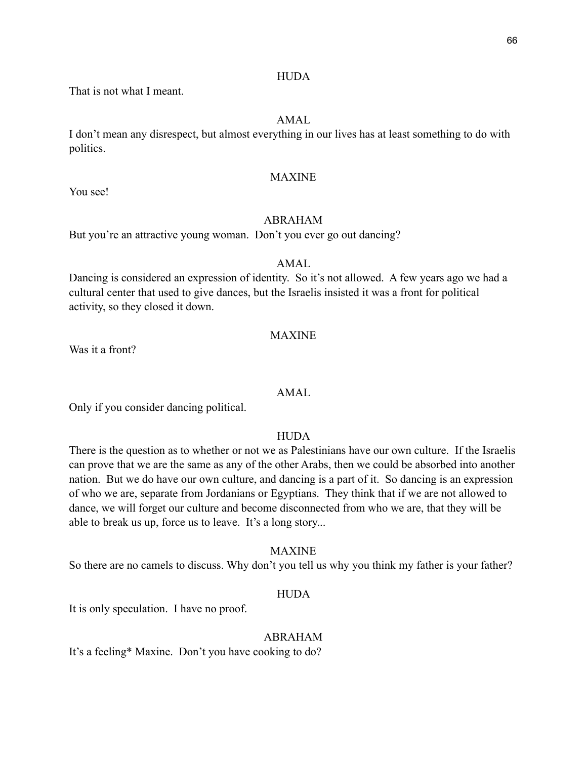#### HUDA

That is not what I meant.

#### AMAL

I don't mean any disrespect, but almost everything in our lives has at least something to do with politics.

#### MAXINE

You see!

# ABRAHAM

But you're an attractive young woman. Don't you ever go out dancing?

# AMAL

Dancing is considered an expression of identity. So it's not allowed. A few years ago we had a cultural center that used to give dances, but the Israelis insisted it was a front for political activity, so they closed it down.

#### MAXINE

Was it a front?

#### AMAL

Only if you consider dancing political.

#### HUDA

There is the question as to whether or not we as Palestinians have our own culture. If the Israelis can prove that we are the same as any of the other Arabs, then we could be absorbed into another nation. But we do have our own culture, and dancing is a part of it. So dancing is an expression of who we are, separate from Jordanians or Egyptians. They think that if we are not allowed to dance, we will forget our culture and become disconnected from who we are, that they will be able to break us up, force us to leave. It's a long story...

#### MAXINE

So there are no camels to discuss. Why don't you tell us why you think my father is your father?

#### HUDA

It is only speculation. I have no proof.

#### ABRAHAM

It's a feeling\* Maxine. Don't you have cooking to do?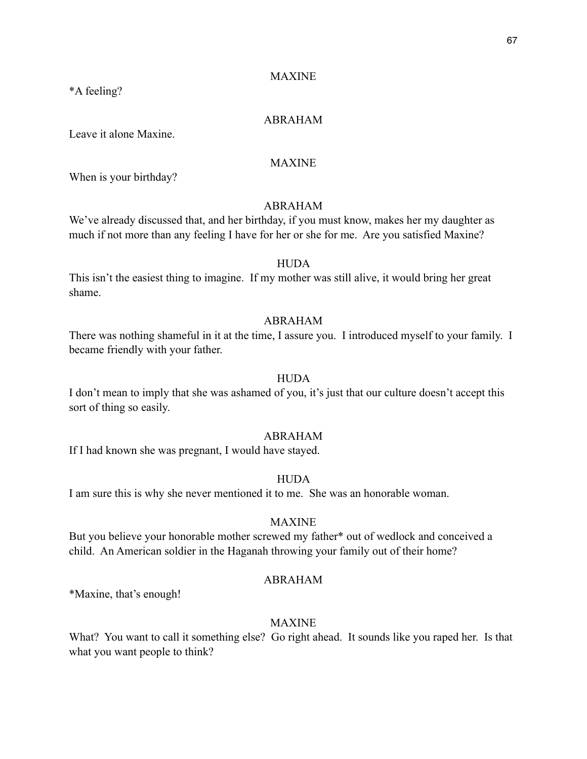\*A feeling?

## ABRAHAM

Leave it alone Maxine.

## MAXINE

When is your birthday?

## ABRAHAM

We've already discussed that, and her birthday, if you must know, makes her my daughter as much if not more than any feeling I have for her or she for me. Are you satisfied Maxine?

## **HUDA**

This isn't the easiest thing to imagine. If my mother was still alive, it would bring her great shame.

## ABRAHAM

There was nothing shameful in it at the time, I assure you. I introduced myself to your family. I became friendly with your father.

## HUDA

I don't mean to imply that she was ashamed of you, it's just that our culture doesn't accept this sort of thing so easily.

#### ABRAHAM

If I had known she was pregnant, I would have stayed.

## HUDA

I am sure this is why she never mentioned it to me. She was an honorable woman.

# MAXINE

But you believe your honorable mother screwed my father\* out of wedlock and conceived a child. An American soldier in the Haganah throwing your family out of their home?

#### ABRAHAM

\*Maxine, that's enough!

## MAXINE

What? You want to call it something else? Go right ahead. It sounds like you raped her. Is that what you want people to think?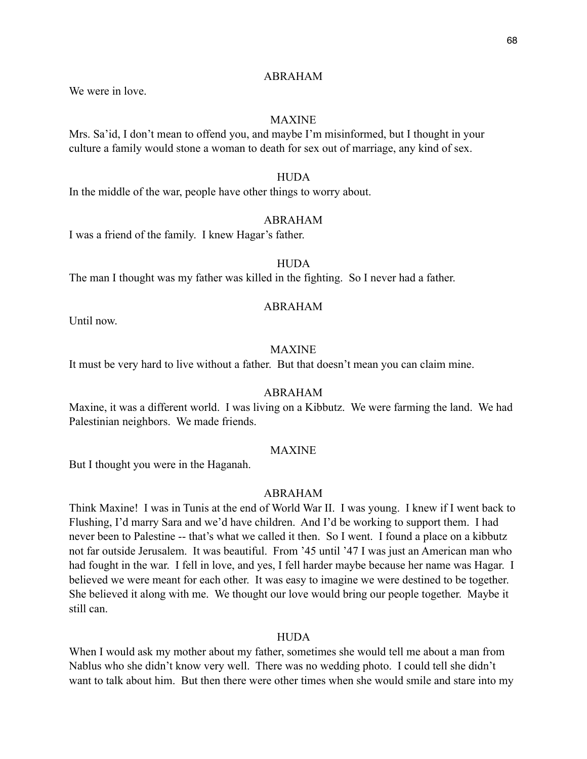We were in love.

## MAXINE

Mrs. Sa'id, I don't mean to offend you, and maybe I'm misinformed, but I thought in your culture a family would stone a woman to death for sex out of marriage, any kind of sex.

### HUDA

In the middle of the war, people have other things to worry about.

## ABRAHAM

I was a friend of the family. I knew Hagar's father.

## **HUDA**

The man I thought was my father was killed in the fighting. So I never had a father.

## ABRAHAM

Until now.

## MAXINE

It must be very hard to live without a father. But that doesn't mean you can claim mine.

## ABRAHAM

Maxine, it was a different world. I was living on a Kibbutz. We were farming the land. We had Palestinian neighbors. We made friends.

## MAXINE

But I thought you were in the Haganah.

## ABRAHAM

Think Maxine! I was in Tunis at the end of World War II. I was young. I knew if I went back to Flushing, I'd marry Sara and we'd have children. And I'd be working to support them. I had never been to Palestine -- that's what we called it then. So I went. I found a place on a kibbutz not far outside Jerusalem. It was beautiful. From '45 until '47 I was just an American man who had fought in the war. I fell in love, and yes, I fell harder maybe because her name was Hagar. I believed we were meant for each other. It was easy to imagine we were destined to be together. She believed it along with me. We thought our love would bring our people together. Maybe it still can.

## HUDA

When I would ask my mother about my father, sometimes she would tell me about a man from Nablus who she didn't know very well. There was no wedding photo. I could tell she didn't want to talk about him. But then there were other times when she would smile and stare into my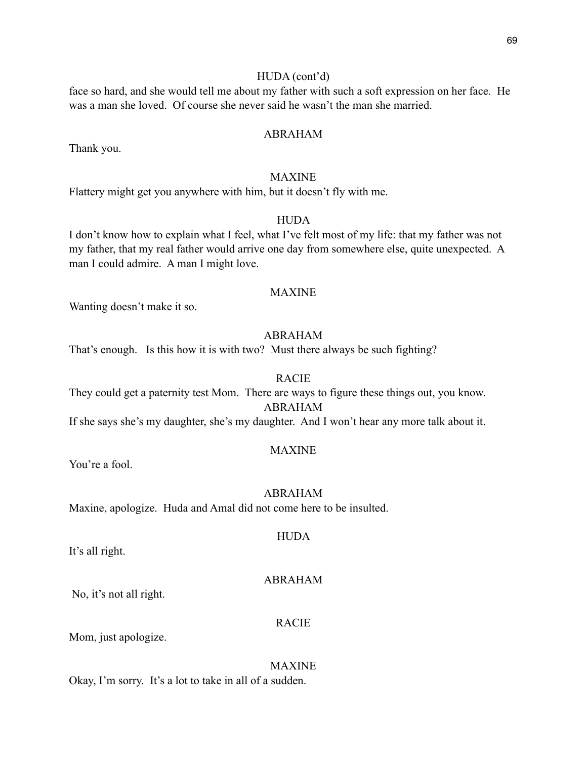## HUDA (cont'd)

face so hard, and she would tell me about my father with such a soft expression on her face. He was a man she loved. Of course she never said he wasn't the man she married.

## ABRAHAM

Thank you.

## MAXINE

Flattery might get you anywhere with him, but it doesn't fly with me.

## **HUDA**

I don't know how to explain what I feel, what I've felt most of my life: that my father was not my father, that my real father would arrive one day from somewhere else, quite unexpected. A man I could admire. A man I might love.

#### **MAXINE**

Wanting doesn't make it so.

## ABRAHAM

That's enough. Is this how it is with two? Must there always be such fighting?

#### RACIE

They could get a paternity test Mom. There are ways to figure these things out, you know. ABRAHAM

If she says she's my daughter, she's my daughter. And I won't hear any more talk about it.

### MAXINE

You're a fool.

#### ABRAHAM

**HUDA** 

Maxine, apologize. Huda and Amal did not come here to be insulted.

It's all right.

#### ABRAHAM

No, it's not all right.

#### RACIE

Mom, just apologize.

#### **MAXINE**

Okay, I'm sorry. It's a lot to take in all of a sudden.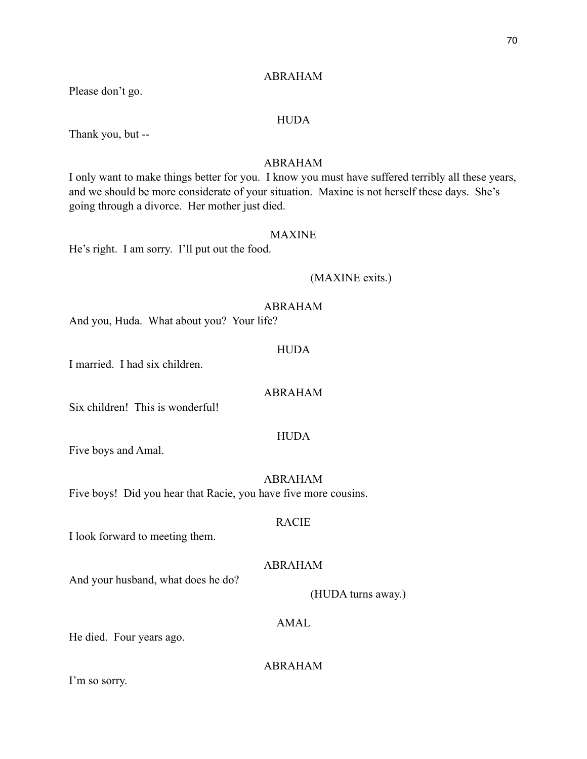Please don't go.

#### HUDA

Thank you, but --

## ABRAHAM

I only want to make things better for you. I know you must have suffered terribly all these years, and we should be more considerate of your situation. Maxine is not herself these days. She's going through a divorce. Her mother just died.

#### MAXINE

He's right. I am sorry. I'll put out the food.

#### (MAXINE exits.)

## ABRAHAM

And you, Huda. What about you? Your life?

#### HUDA

I married. I had six children.

## ABRAHAM

Six children! This is wonderful!

## HUDA

Five boys and Amal.

#### ABRAHAM

Five boys! Did you hear that Racie, you have five more cousins.

## RACIE

I look forward to meeting them.

## ABRAHAM

And your husband, what does he do?

(HUDA turns away.)

## AMAL

He died. Four years ago.

ABRAHAM

I'm so sorry.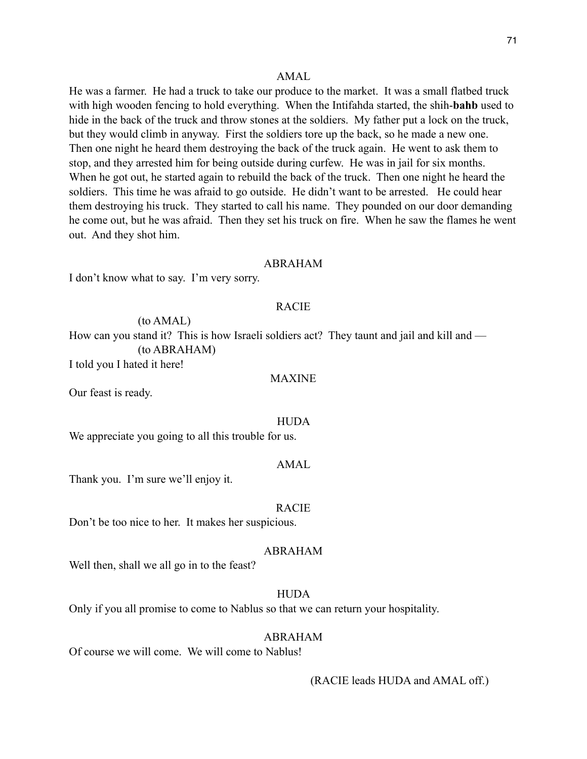He was a farmer. He had a truck to take our produce to the market. It was a small flatbed truck with high wooden fencing to hold everything. When the Intifahda started, the shih-**bahb** used to hide in the back of the truck and throw stones at the soldiers. My father put a lock on the truck, but they would climb in anyway. First the soldiers tore up the back, so he made a new one. Then one night he heard them destroying the back of the truck again. He went to ask them to stop, and they arrested him for being outside during curfew. He was in jail for six months. When he got out, he started again to rebuild the back of the truck. Then one night he heard the soldiers. This time he was afraid to go outside. He didn't want to be arrested. He could hear them destroying his truck. They started to call his name. They pounded on our door demanding he come out, but he was afraid. Then they set his truck on fire. When he saw the flames he went out. And they shot him.

#### ABRAHAM

I don't know what to say. I'm very sorry.

#### RACIE

 (to AMAL) How can you stand it? This is how Israeli soldiers act? They taunt and jail and kill and — (to ABRAHAM) I told you I hated it here!

Our feast is ready.

#### HUDA

MAXINE

We appreciate you going to all this trouble for us.

#### AMAL

Thank you. I'm sure we'll enjoy it.

#### RACIE

Don't be too nice to her. It makes her suspicious.

#### ABRAHAM

Well then, shall we all go in to the feast?

#### HUDA

Only if you all promise to come to Nablus so that we can return your hospitality.

## ABRAHAM

Of course we will come. We will come to Nablus!

(RACIE leads HUDA and AMAL off.)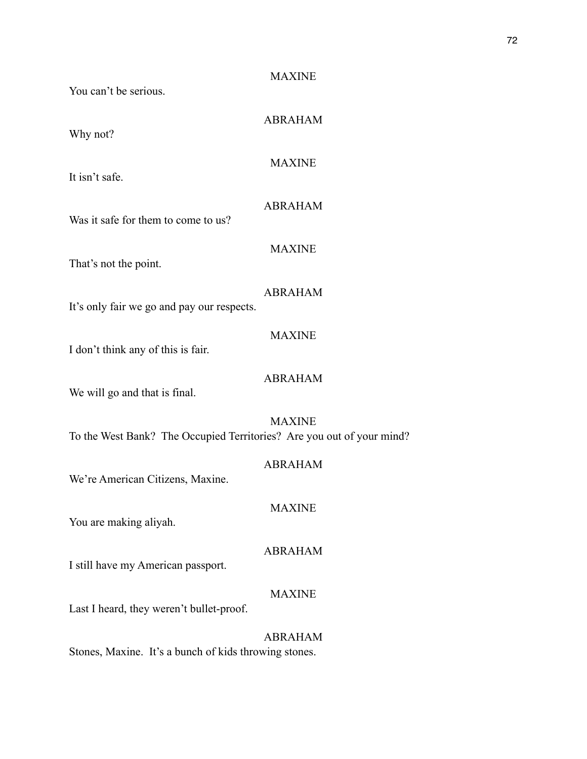| You can't be serious.                                                 | <b>MAXINE</b>  |  |
|-----------------------------------------------------------------------|----------------|--|
| Why not?                                                              | <b>ABRAHAM</b> |  |
| It isn't safe.                                                        | <b>MAXINE</b>  |  |
| Was it safe for them to come to us?                                   | <b>ABRAHAM</b> |  |
| That's not the point.                                                 | <b>MAXINE</b>  |  |
|                                                                       | <b>ABRAHAM</b> |  |
| It's only fair we go and pay our respects.                            | <b>MAXINE</b>  |  |
| I don't think any of this is fair.                                    | <b>ABRAHAM</b> |  |
| We will go and that is final.                                         | <b>MAXINE</b>  |  |
| To the West Bank? The Occupied Territories? Are you out of your mind? |                |  |
| We're American Citizens, Maxine.                                      | <b>ABRAHAM</b> |  |
| You are making aliyah.                                                | <b>MAXINE</b>  |  |
| I still have my American passport.                                    | <b>ABRAHAM</b> |  |
| Last I heard, they weren't bullet-proof.                              | <b>MAXINE</b>  |  |
| Stones, Maxine. It's a bunch of kids throwing stones.                 | <b>ABRAHAM</b> |  |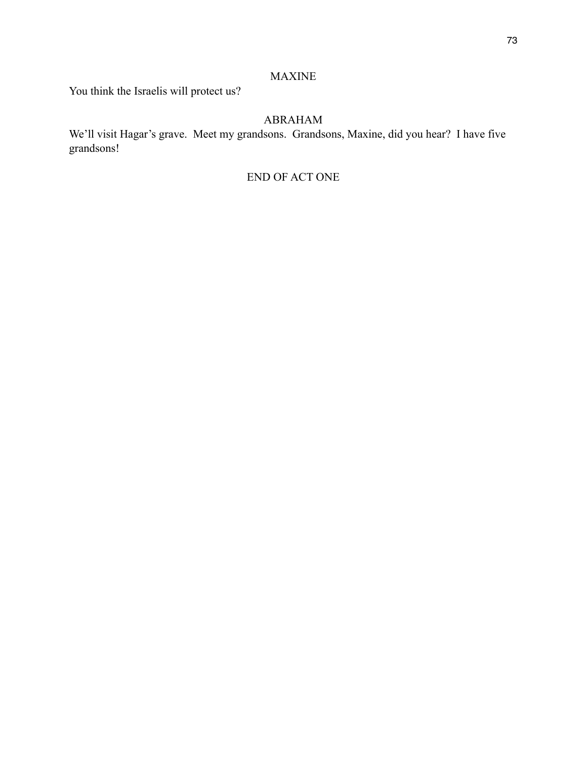You think the Israelis will protect us?

# ABRAHAM

We'll visit Hagar's grave. Meet my grandsons. Grandsons, Maxine, did you hear? I have five grandsons!

# END OF ACT ONE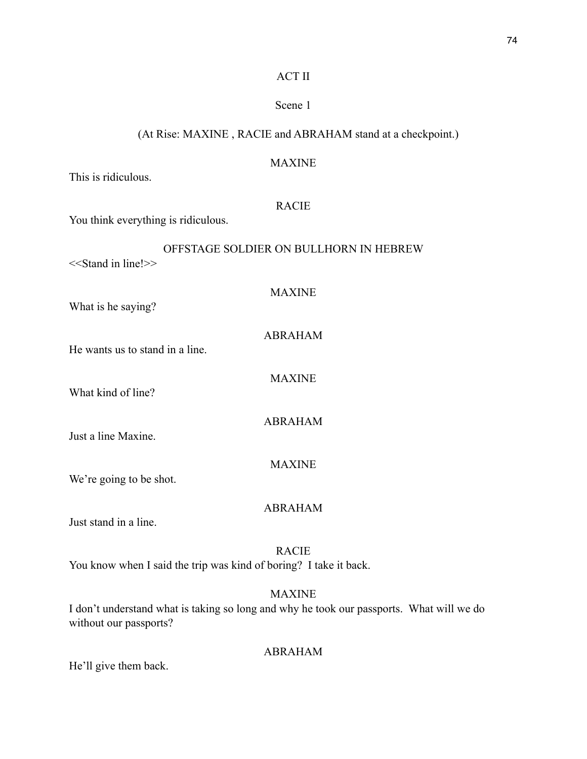## ACT II

## Scene 1

## (At Rise: MAXINE , RACIE and ABRAHAM stand at a checkpoint.)

## MAXINE

This is ridiculous.

## RACIE

You think everything is ridiculous.

# OFFSTAGE SOLDIER ON BULLHORN IN HEBREW

<<Stand in line!>>

# MAXINE

ABRAHAM

MAXINE

ABRAHAM

MAXINE

What is he saying?

He wants us to stand in a line.

What kind of line?

Just a line Maxine.

We're going to be shot.

## ABRAHAM

Just stand in a line.

## RACIE

You know when I said the trip was kind of boring? I take it back.

## MAXINE

I don't understand what is taking so long and why he took our passports. What will we do without our passports?

## ABRAHAM

He'll give them back.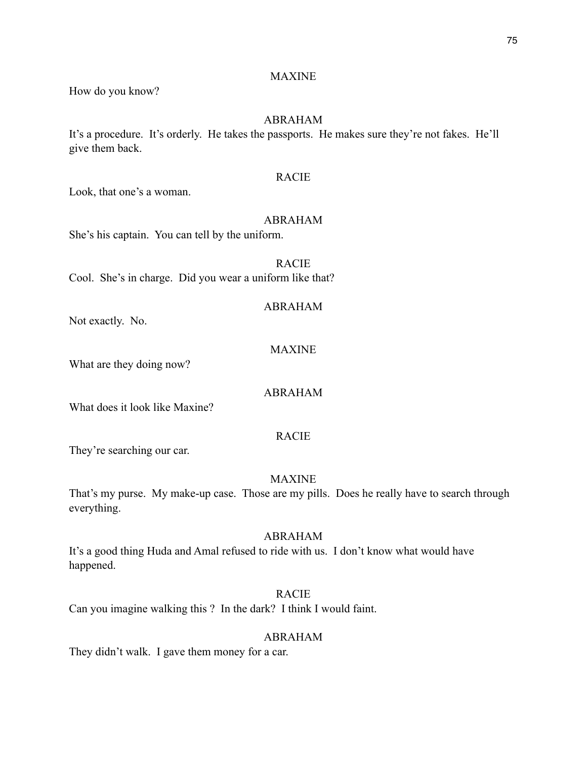How do you know?

## ABRAHAM

It's a procedure. It's orderly. He takes the passports. He makes sure they're not fakes. He'll give them back.

## RACIE

Look, that one's a woman.

## ABRAHAM

She's his captain. You can tell by the uniform.

RACIE Cool. She's in charge. Did you wear a uniform like that?

## ABRAHAM

Not exactly. No.

## **MAXINE**

What are they doing now?

## ABRAHAM

What does it look like Maxine?

## RACIE

They're searching our car.

## MAXINE

That's my purse. My make-up case. Those are my pills. Does he really have to search through everything.

## ABRAHAM

It's a good thing Huda and Amal refused to ride with us. I don't know what would have happened.

## RACIE

Can you imagine walking this ? In the dark? I think I would faint.

## ABRAHAM

They didn't walk. I gave them money for a car.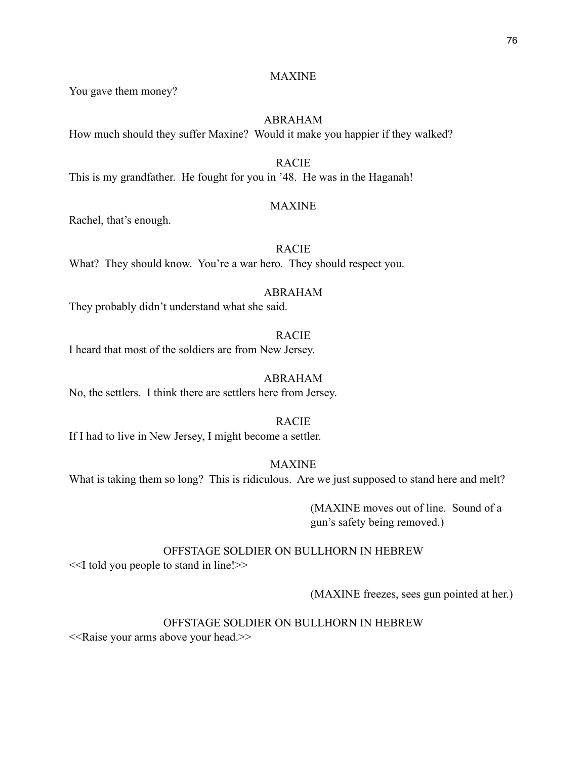You gave them money?

## ABRAHAM

How much should they suffer Maxine? Would it make you happier if they walked?

RACIE

This is my grandfather. He fought for you in '48. He was in the Haganah!

## MAXINE

Rachel, that's enough.

## RACIE

What? They should know. You're a war hero. They should respect you.

## ABRAHAM

They probably didn't understand what she said.

## RACIE

I heard that most of the soldiers are from New Jersey.

## ABRAHAM

No, the settlers. I think there are settlers here from Jersey.

## RACIE

If I had to live in New Jersey, I might become a settler.

## MAXINE

What is taking them so long? This is ridiculous. Are we just supposed to stand here and melt?

 (MAXINE moves out of line. Sound of a gun's safety being removed.)

# OFFSTAGE SOLDIER ON BULLHORN IN HEBREW

<<I told you people to stand in line!>>

(MAXINE freezes, sees gun pointed at her.)

# OFFSTAGE SOLDIER ON BULLHORN IN HEBREW

<<Raise your arms above your head.>>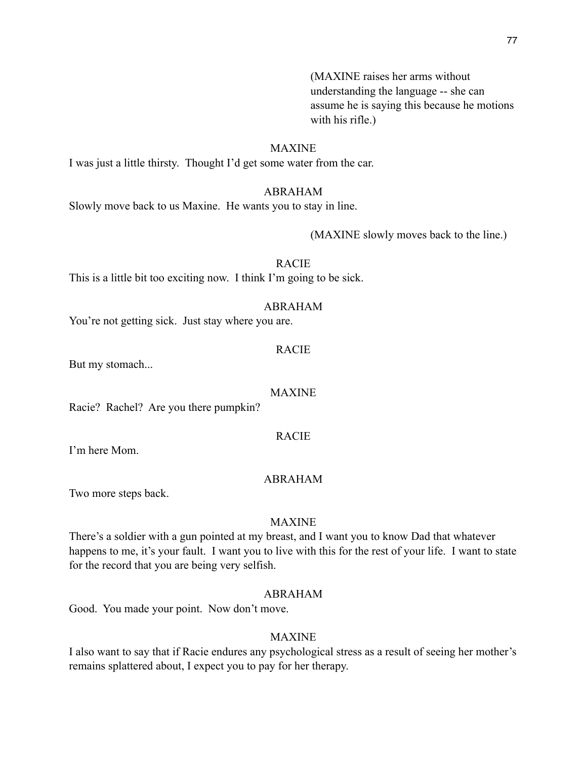(MAXINE raises her arms without understanding the language -- she can assume he is saying this because he motions with his rifle.)

## MAXINE

I was just a little thirsty. Thought I'd get some water from the car.

# ABRAHAM

Slowly move back to us Maxine. He wants you to stay in line.

(MAXINE slowly moves back to the line.)

RACIE This is a little bit too exciting now. I think I'm going to be sick.

#### ABRAHAM

You're not getting sick. Just stay where you are.

#### RACIE

But my stomach...

#### **MAXINE**

Racie? Rachel? Are you there pumpkin?

#### RACIE

I'm here Mom.

#### ABRAHAM

Two more steps back.

## MAXINE

There's a soldier with a gun pointed at my breast, and I want you to know Dad that whatever happens to me, it's your fault. I want you to live with this for the rest of your life. I want to state for the record that you are being very selfish.

#### ABRAHAM

Good. You made your point. Now don't move.

## MAXINE

I also want to say that if Racie endures any psychological stress as a result of seeing her mother's remains splattered about, I expect you to pay for her therapy.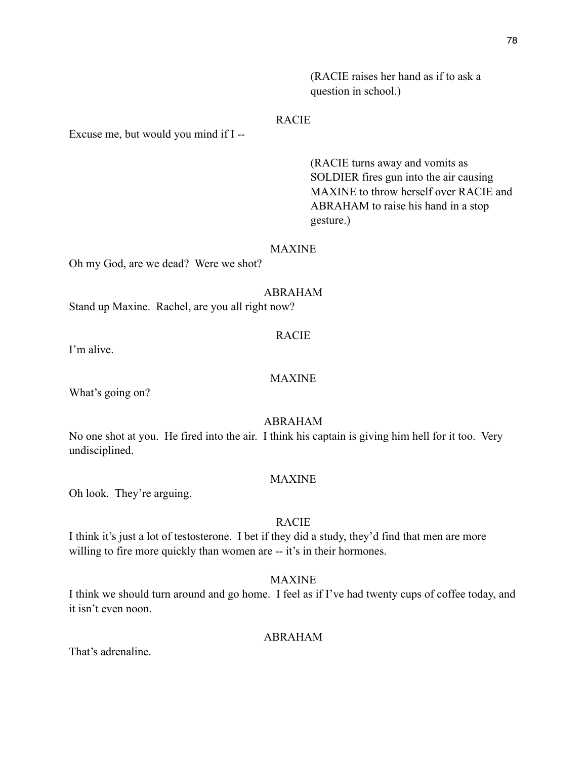(RACIE raises her hand as if to ask a question in school.)

#### RACIE

Excuse me, but would you mind if I --

 (RACIE turns away and vomits as SOLDIER fires gun into the air causing MAXINE to throw herself over RACIE and ABRAHAM to raise his hand in a stop gesture.)

## MAXINE

Oh my God, are we dead? Were we shot?

## ABRAHAM

Stand up Maxine. Rachel, are you all right now?

## RACIE

I'm alive.

## MAXINE

What's going on?

# ABRAHAM

No one shot at you. He fired into the air. I think his captain is giving him hell for it too. Very undisciplined.

## **MAXINE**

Oh look. They're arguing.

# RACIE

I think it's just a lot of testosterone. I bet if they did a study, they'd find that men are more willing to fire more quickly than women are -- it's in their hormones.

## MAXINE

I think we should turn around and go home. I feel as if I've had twenty cups of coffee today, and it isn't even noon.

## ABRAHAM

That's adrenaline.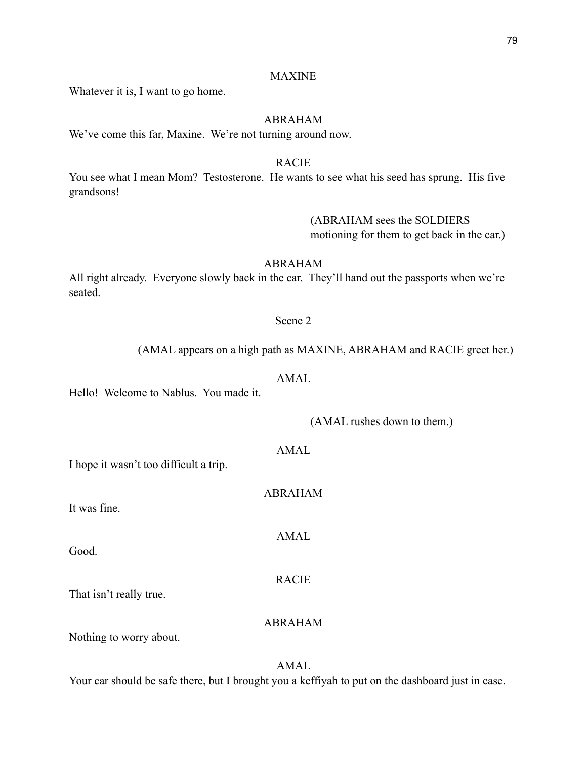Whatever it is, I want to go home.

## ABRAHAM

We've come this far, Maxine. We're not turning around now.

RACIE

You see what I mean Mom? Testosterone. He wants to see what his seed has sprung. His five grandsons!

> (ABRAHAM sees the SOLDIERS motioning for them to get back in the car.)

ABRAHAM

All right already. Everyone slowly back in the car. They'll hand out the passports when we're seated.

## Scene 2

(AMAL appears on a high path as MAXINE, ABRAHAM and RACIE greet her.)

#### AMAL

Hello! Welcome to Nablus. You made it.

(AMAL rushes down to them.)

|  | AM. |
|--|-----|
|  |     |

I hope it wasn't too difficult a trip.

ABRAHAM

AMAL

RACIE

It was fine.

Good.

That isn't really true.

## ABRAHAM

Nothing to worry about.

AMAL

Your car should be safe there, but I brought you a keffiyah to put on the dashboard just in case.

# AMAL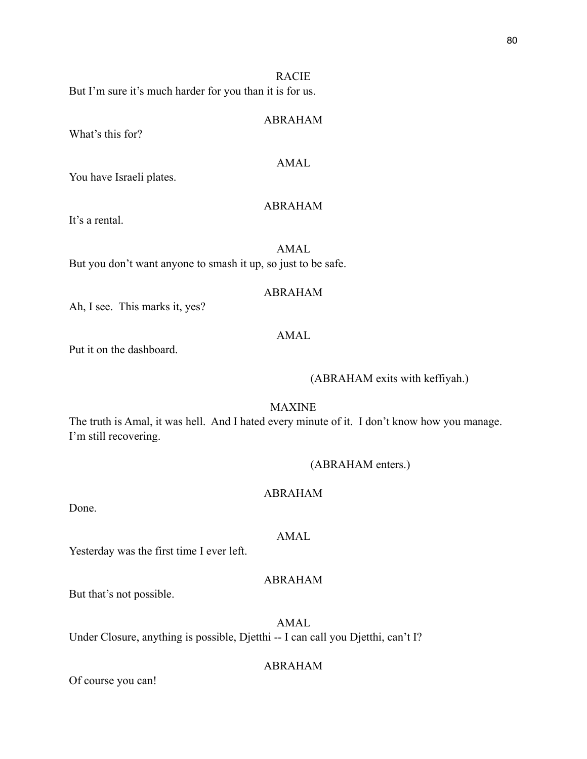## RACIE

But I'm sure it's much harder for you than it is for us.

## ABRAHAM

What's this for?

## AMAL

You have Israeli plates.

## ABRAHAM

It's a rental.

# AMAL

But you don't want anyone to smash it up, so just to be safe.

## ABRAHAM

Ah, I see. This marks it, yes?

## AMAL

Put it on the dashboard.

## (ABRAHAM exits with keffiyah.)

## MAXINE

The truth is Amal, it was hell. And I hated every minute of it. I don't know how you manage. I'm still recovering.

## (ABRAHAM enters.)

## ABRAHAM

Done.

## AMAL

Yesterday was the first time I ever left.

# ABRAHAM

But that's not possible.

# AMAL

Under Closure, anything is possible, Djetthi -- I can call you Djetthi, can't I?

## ABRAHAM

Of course you can!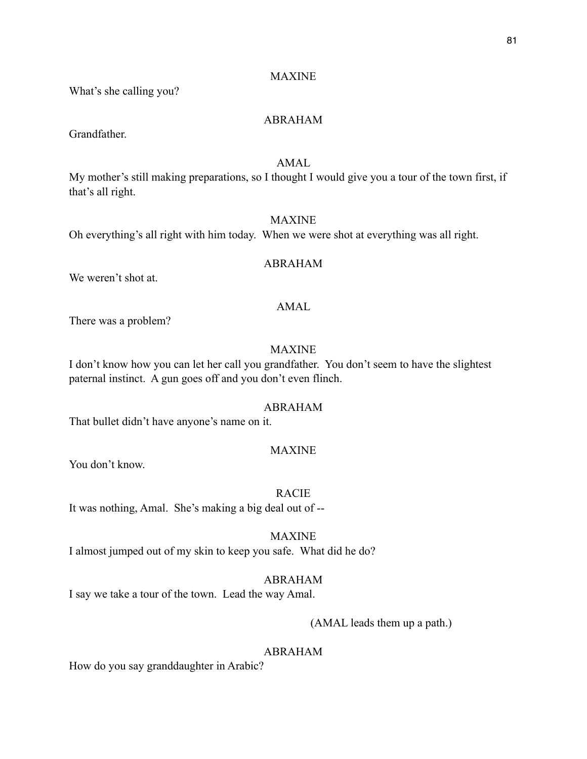What's she calling you?

## ABRAHAM

**Grandfather** 

## AMAL

My mother's still making preparations, so I thought I would give you a tour of the town first, if that's all right.

## MAXINE

Oh everything's all right with him today. When we were shot at everything was all right.

# ABRAHAM

We weren't shot at.

## AMAL

There was a problem?

# MAXINE

I don't know how you can let her call you grandfather. You don't seem to have the slightest paternal instinct. A gun goes off and you don't even flinch.

## ABRAHAM

That bullet didn't have anyone's name on it.

## MAXINE

You don't know.

## RACIE

It was nothing, Amal. She's making a big deal out of --

## MAXINE

I almost jumped out of my skin to keep you safe. What did he do?

## ABRAHAM

I say we take a tour of the town. Lead the way Amal.

## (AMAL leads them up a path.)

## ABRAHAM

How do you say granddaughter in Arabic?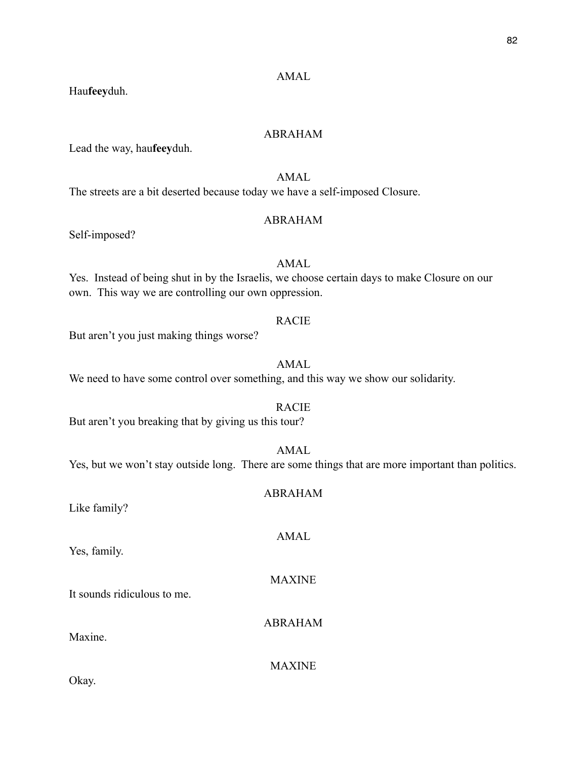Hau**feey**duh.

## ABRAHAM

Lead the way, hau**feey**duh.

## AMAL

The streets are a bit deserted because today we have a self-imposed Closure.

## ABRAHAM

Self-imposed?

# AMAL

Yes. Instead of being shut in by the Israelis, we choose certain days to make Closure on our own. This way we are controlling our own oppression.

## RACIE

But aren't you just making things worse?

# AMAL

We need to have some control over something, and this way we show our solidarity.

## RACIE

But aren't you breaking that by giving us this tour?

## AMAL

Yes, but we won't stay outside long. There are some things that are more important than politics.

## ABRAHAM

AMAL

MAXINE

Like family?

Yes, family.

It sounds ridiculous to me.

ABRAHAM

Maxine.

**MAXINE** 

Okay.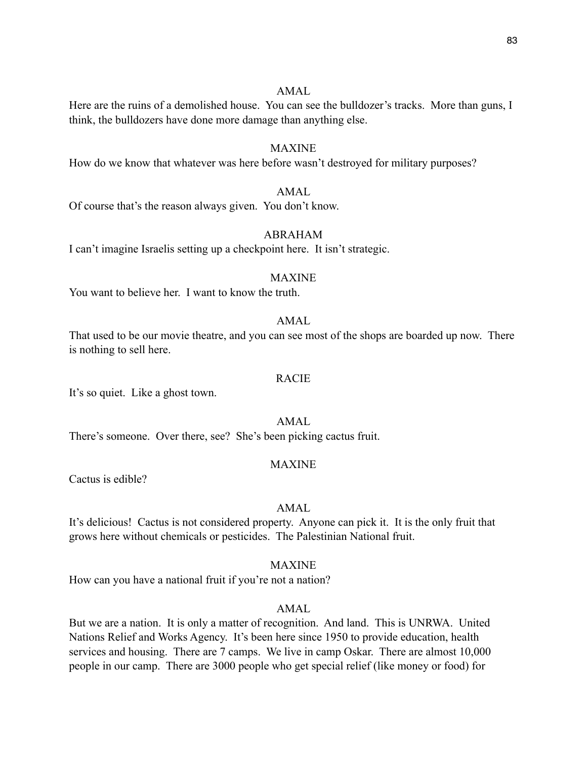Here are the ruins of a demolished house. You can see the bulldozer's tracks. More than guns, I think, the bulldozers have done more damage than anything else.

## MAXINE

How do we know that whatever was here before wasn't destroyed for military purposes?

## AMAL

Of course that's the reason always given. You don't know.

#### ABRAHAM

I can't imagine Israelis setting up a checkpoint here. It isn't strategic.

#### MAXINE

You want to believe her. I want to know the truth.

## AMAL

That used to be our movie theatre, and you can see most of the shops are boarded up now. There is nothing to sell here.

#### RACIE

It's so quiet. Like a ghost town.

AMAL

There's someone. Over there, see? She's been picking cactus fruit.

#### MAXINE

Cactus is edible?

## AMAL

It's delicious! Cactus is not considered property. Anyone can pick it. It is the only fruit that grows here without chemicals or pesticides. The Palestinian National fruit.

#### MAXINE

How can you have a national fruit if you're not a nation?

## AMAL

But we are a nation. It is only a matter of recognition. And land. This is UNRWA. United Nations Relief and Works Agency. It's been here since 1950 to provide education, health services and housing. There are 7 camps. We live in camp Oskar. There are almost 10,000 people in our camp. There are 3000 people who get special relief (like money or food) for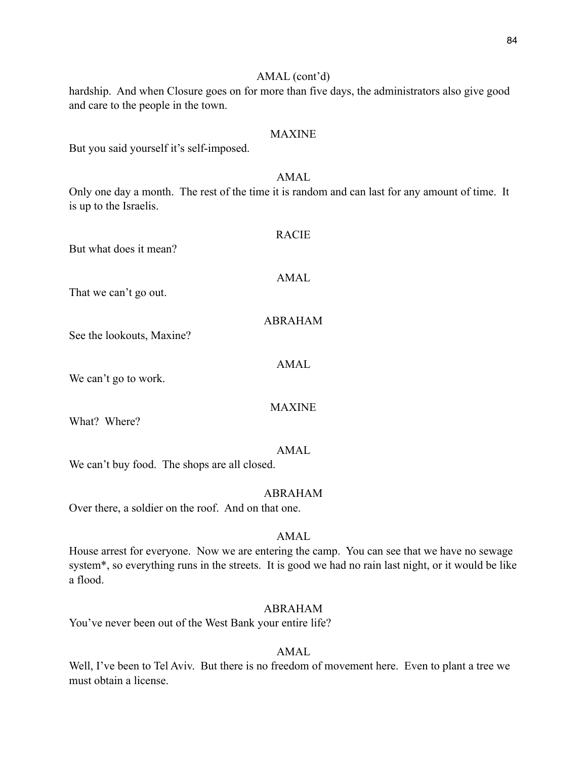## AMAL (cont'd)

hardship. And when Closure goes on for more than five days, the administrators also give good and care to the people in the town.

## **MAXINE**

But you said yourself it's self-imposed.

## AMAL

Only one day a month. The rest of the time it is random and can last for any amount of time. It is up to the Israelis.

| But what does it mean?    | <b>RACIE</b>   |
|---------------------------|----------------|
| That we can't go out.     | <b>AMAL</b>    |
| See the lookouts, Maxine? | <b>ABRAHAM</b> |
| We can't go to work.      | AMAI.          |

## **MAXINE**

What? Where?

## AMAL

We can't buy food. The shops are all closed.

## ABRAHAM

Over there, a soldier on the roof. And on that one.

## AMAL

House arrest for everyone. Now we are entering the camp. You can see that we have no sewage system\*, so everything runs in the streets. It is good we had no rain last night, or it would be like a flood.

## ABRAHAM

You've never been out of the West Bank your entire life?

# AMAL

Well, I've been to Tel Aviv. But there is no freedom of movement here. Even to plant a tree we must obtain a license.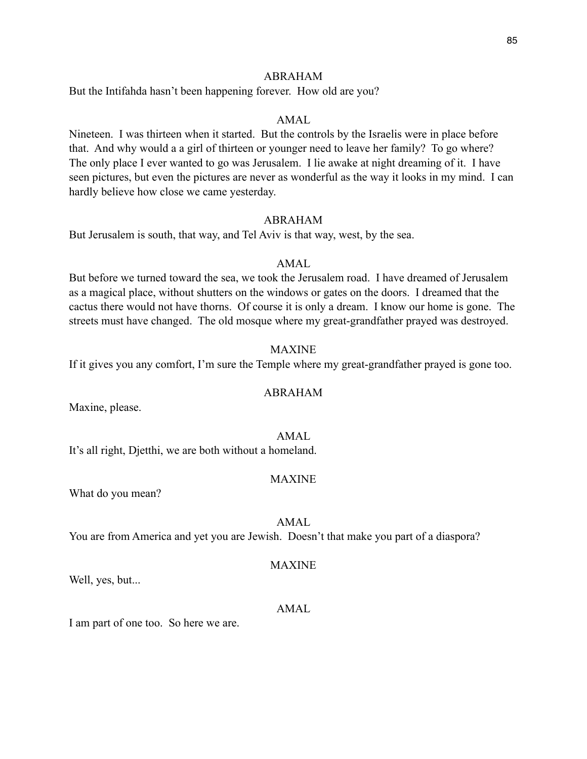But the Intifahda hasn't been happening forever. How old are you?

## AMAL

Nineteen. I was thirteen when it started. But the controls by the Israelis were in place before that. And why would a a girl of thirteen or younger need to leave her family? To go where? The only place I ever wanted to go was Jerusalem. I lie awake at night dreaming of it. I have seen pictures, but even the pictures are never as wonderful as the way it looks in my mind. I can hardly believe how close we came yesterday.

## ABRAHAM

But Jerusalem is south, that way, and Tel Aviv is that way, west, by the sea.

## AMAL

But before we turned toward the sea, we took the Jerusalem road. I have dreamed of Jerusalem as a magical place, without shutters on the windows or gates on the doors. I dreamed that the cactus there would not have thorns. Of course it is only a dream. I know our home is gone. The streets must have changed. The old mosque where my great-grandfather prayed was destroyed.

## MAXINE

If it gives you any comfort, I'm sure the Temple where my great-grandfather prayed is gone too.

## ABRAHAM

Maxine, please.

## AMAL

It's all right, Djetthi, we are both without a homeland.

## MAXINE

What do you mean?

## AMAL

You are from America and yet you are Jewish. Doesn't that make you part of a diaspora?

## MAXINE

Well, yes, but...

## AMAL

I am part of one too. So here we are.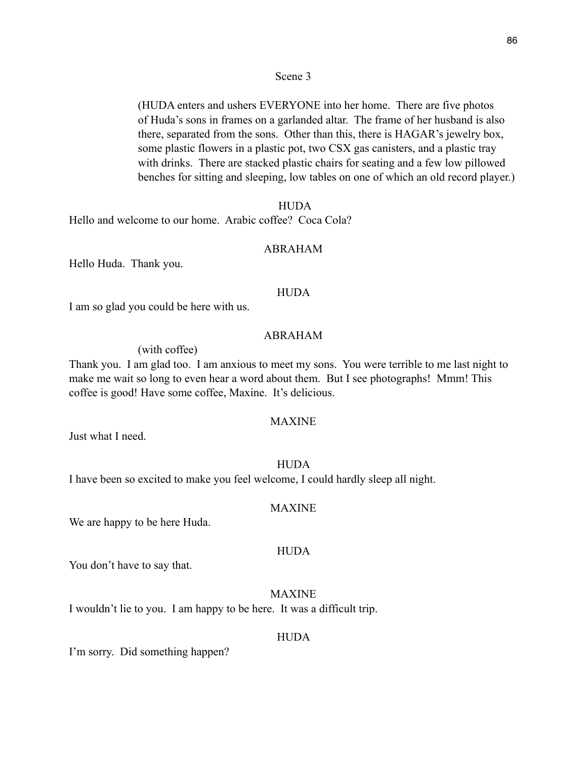Scene 3

 (HUDA enters and ushers EVERYONE into her home. There are five photos of Huda's sons in frames on a garlanded altar. The frame of her husband is also there, separated from the sons. Other than this, there is HAGAR's jewelry box, some plastic flowers in a plastic pot, two CSX gas canisters, and a plastic tray with drinks. There are stacked plastic chairs for seating and a few low pillowed benches for sitting and sleeping, low tables on one of which an old record player.)

## **HUDA**

Hello and welcome to our home. Arabic coffee? Coca Cola?

## ABRAHAM

Hello Huda. Thank you.

#### **HUDA**

I am so glad you could be here with us.

## ABRAHAM

(with coffee)

Thank you. I am glad too. I am anxious to meet my sons. You were terrible to me last night to make me wait so long to even hear a word about them. But I see photographs! Mmm! This coffee is good! Have some coffee, Maxine. It's delicious.

## MAXINE

Just what I need.

#### HUDA

MAXINE

I have been so excited to make you feel welcome, I could hardly sleep all night.

# We are happy to be here Huda.

#### HUDA

You don't have to say that.

## MAXINE

I wouldn't lie to you. I am happy to be here. It was a difficult trip.

#### **HUDA**

I'm sorry. Did something happen?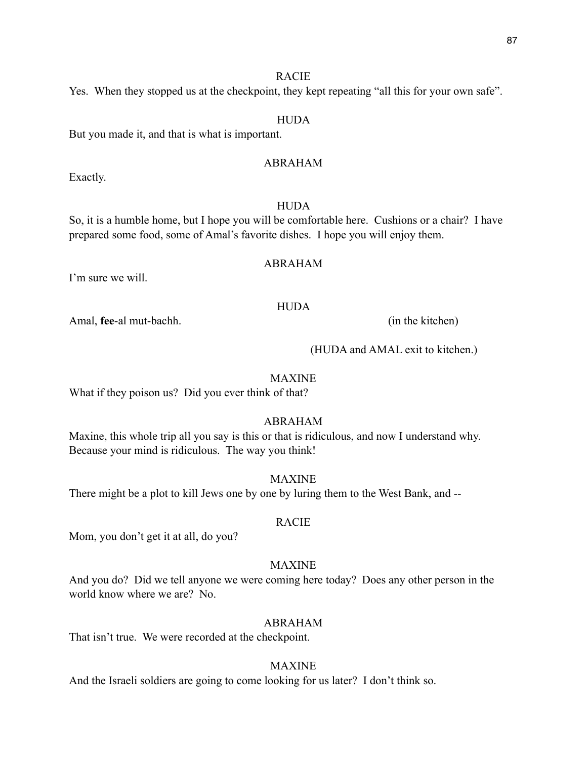#### RACIE

Yes. When they stopped us at the checkpoint, they kept repeating "all this for your own safe".

#### HUDA

But you made it, and that is what is important.

## ABRAHAM

Exactly.

# **HUDA**

So, it is a humble home, but I hope you will be comfortable here. Cushions or a chair? I have prepared some food, some of Amal's favorite dishes. I hope you will enjoy them.

## ABRAHAM

I'm sure we will.

## **HUDA**

Amal, **fee**-al mut-bachh. (in the kitchen)

## (HUDA and AMAL exit to kitchen.)

#### MAXINE

What if they poison us? Did you ever think of that?

## ABRAHAM

Maxine, this whole trip all you say is this or that is ridiculous, and now I understand why. Because your mind is ridiculous. The way you think!

MAXINE

There might be a plot to kill Jews one by one by luring them to the West Bank, and --

## RACIE

Mom, you don't get it at all, do you?

## MAXINE

And you do? Did we tell anyone we were coming here today? Does any other person in the world know where we are? No.

## ABRAHAM

That isn't true. We were recorded at the checkpoint.

# **MAXINE**

And the Israeli soldiers are going to come looking for us later? I don't think so.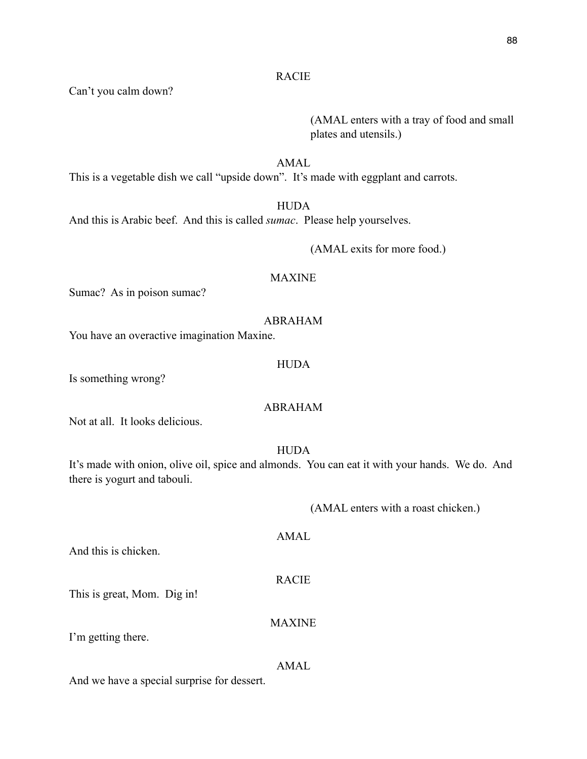## RACIE

Can't you calm down?

 (AMAL enters with a tray of food and small plates and utensils.)

AMAL

This is a vegetable dish we call "upside down". It's made with eggplant and carrots.

**HUDA** 

And this is Arabic beef. And this is called *sumac*. Please help yourselves.

(AMAL exits for more food.)

## MAXINE

Sumac? As in poison sumac?

## ABRAHAM

You have an overactive imagination Maxine.

#### **HUDA**

Is something wrong?

# ABRAHAM

Not at all. It looks delicious.

#### HUDA

It's made with onion, olive oil, spice and almonds. You can eat it with your hands. We do. And there is yogurt and tabouli.

AMAL

RACIE

(AMAL enters with a roast chicken.)

And this is chicken.

This is great, Mom. Dig in!

MAXINE

I'm getting there.

## AMAL

And we have a special surprise for dessert.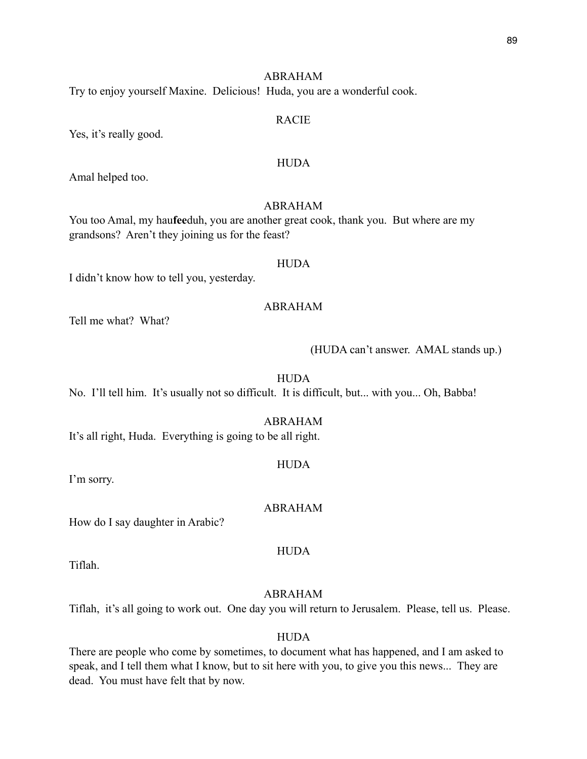Try to enjoy yourself Maxine. Delicious! Huda, you are a wonderful cook.

## RACIE

Yes, it's really good.

## HUDA

Amal helped too.

# ABRAHAM

You too Amal, my hau**fee**duh, you are another great cook, thank you. But where are my grandsons? Aren't they joining us for the feast?

#### **HUDA**

I didn't know how to tell you, yesterday.

## ABRAHAM

Tell me what? What?

## (HUDA can't answer. AMAL stands up.)

HUDA

No. I'll tell him. It's usually not so difficult. It is difficult, but... with you... Oh, Babba!

## ABRAHAM

It's all right, Huda. Everything is going to be all right.

#### HUDA

I'm sorry.

## ABRAHAM

HUDA

How do I say daughter in Arabic?

Tiflah.

## ABRAHAM

Tiflah, it's all going to work out. One day you will return to Jerusalem. Please, tell us. Please.

## **HUDA**

There are people who come by sometimes, to document what has happened, and I am asked to speak, and I tell them what I know, but to sit here with you, to give you this news... They are dead. You must have felt that by now.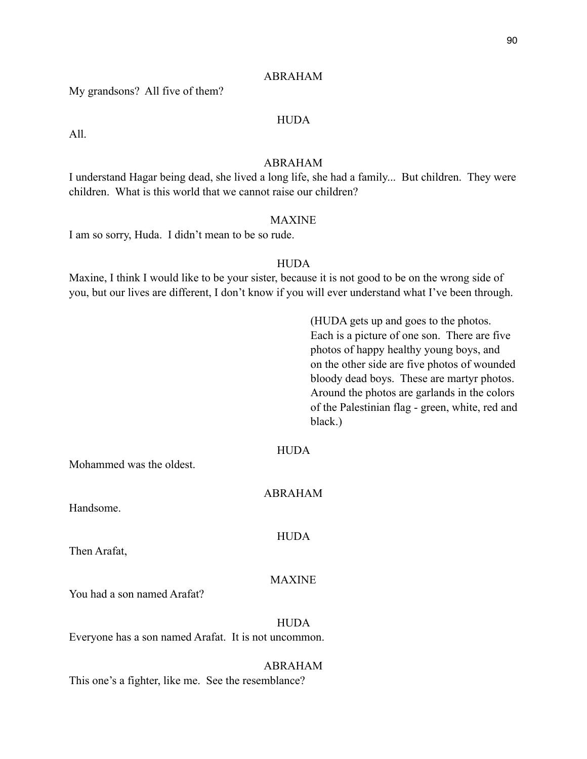My grandsons? All five of them?

#### HUDA

All.

## ABRAHAM

I understand Hagar being dead, she lived a long life, she had a family... But children. They were children. What is this world that we cannot raise our children?

#### MAXINE

I am so sorry, Huda. I didn't mean to be so rude.

## **HUDA**

Maxine, I think I would like to be your sister, because it is not good to be on the wrong side of you, but our lives are different, I don't know if you will ever understand what I've been through.

> (HUDA gets up and goes to the photos. Each is a picture of one son. There are five photos of happy healthy young boys, and on the other side are five photos of wounded bloody dead boys. These are martyr photos. Around the photos are garlands in the colors of the Palestinian flag - green, white, red and black.)

## **HUDA**

Mohammed was the oldest.

#### ABRAHAM

Handsome.

**HUDA** 

Then Arafat,

## MAXINE

You had a son named Arafat?

HUDA

Everyone has a son named Arafat. It is not uncommon.

#### ABRAHAM

This one's a fighter, like me. See the resemblance?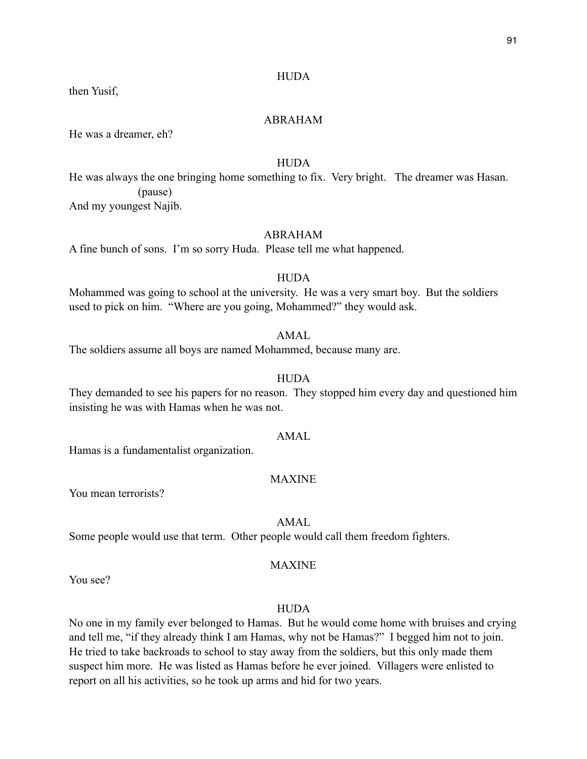## HUDA

then Yusif,

## ABRAHAM

He was a dreamer, eh?

## **HUDA**

He was always the one bringing home something to fix. Very bright. The dreamer was Hasan. (pause) And my youngest Najib.

#### ABRAHAM

A fine bunch of sons. I'm so sorry Huda. Please tell me what happened.

#### HUDA

Mohammed was going to school at the university. He was a very smart boy. But the soldiers used to pick on him. "Where are you going, Mohammed?" they would ask.

## AMAL

The soldiers assume all boys are named Mohammed, because many are.

#### HUDA

They demanded to see his papers for no reason. They stopped him every day and questioned him insisting he was with Hamas when he was not.

#### AMAL

Hamas is a fundamentalist organization.

## MAXINE

You mean terrorists?

## AMAL

Some people would use that term. Other people would call them freedom fighters.

## MAXINE

You see?

## **HUDA**

No one in my family ever belonged to Hamas. But he would come home with bruises and crying and tell me, "if they already think I am Hamas, why not be Hamas?" I begged him not to join. He tried to take backroads to school to stay away from the soldiers, but this only made them suspect him more. He was listed as Hamas before he ever joined. Villagers were enlisted to report on all his activities, so he took up arms and hid for two years.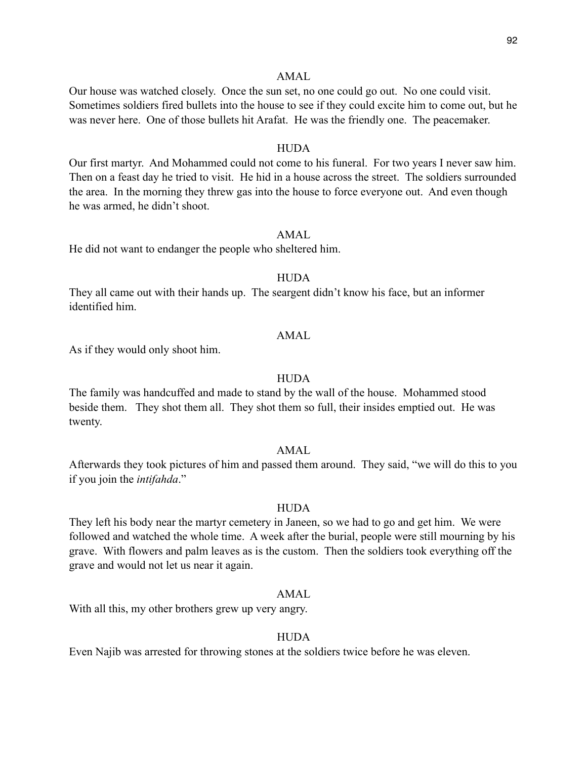Our house was watched closely. Once the sun set, no one could go out. No one could visit. Sometimes soldiers fired bullets into the house to see if they could excite him to come out, but he was never here. One of those bullets hit Arafat. He was the friendly one. The peacemaker.

#### HUDA

Our first martyr. And Mohammed could not come to his funeral. For two years I never saw him. Then on a feast day he tried to visit. He hid in a house across the street. The soldiers surrounded the area. In the morning they threw gas into the house to force everyone out. And even though he was armed, he didn't shoot.

## AMAL

He did not want to endanger the people who sheltered him.

#### HUDA

They all came out with their hands up. The seargent didn't know his face, but an informer identified him.

## AMAL

As if they would only shoot him.

#### HUDA

The family was handcuffed and made to stand by the wall of the house. Mohammed stood beside them. They shot them all. They shot them so full, their insides emptied out. He was twenty.

## AMAL

Afterwards they took pictures of him and passed them around. They said, "we will do this to you if you join the *intifahda*."

#### **HUDA**

They left his body near the martyr cemetery in Janeen, so we had to go and get him. We were followed and watched the whole time. A week after the burial, people were still mourning by his grave. With flowers and palm leaves as is the custom. Then the soldiers took everything off the grave and would not let us near it again.

## AMAL

With all this, my other brothers grew up very angry.

## **HUDA**

Even Najib was arrested for throwing stones at the soldiers twice before he was eleven.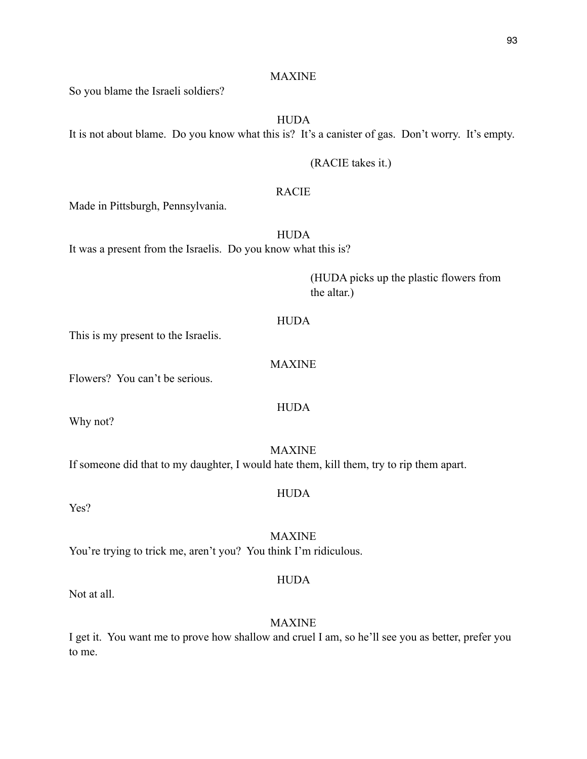So you blame the Israeli soldiers?

## HUDA

It is not about blame. Do you know what this is? It's a canister of gas. Don't worry. It's empty.

(RACIE takes it.)

# RACIE

Made in Pittsburgh, Pennsylvania.

HUDA

It was a present from the Israelis. Do you know what this is?

 (HUDA picks up the plastic flowers from the altar.)

#### HUDA

This is my present to the Israelis.

MAXINE

Flowers? You can't be serious.

HUDA

Why not?

MAXINE

If someone did that to my daughter, I would hate them, kill them, try to rip them apart.

HUDA

Yes?

MAXINE

HUDA

You're trying to trick me, aren't you? You think I'm ridiculous.

Not at all.

## MAXINE

I get it. You want me to prove how shallow and cruel I am, so he'll see you as better, prefer you to me.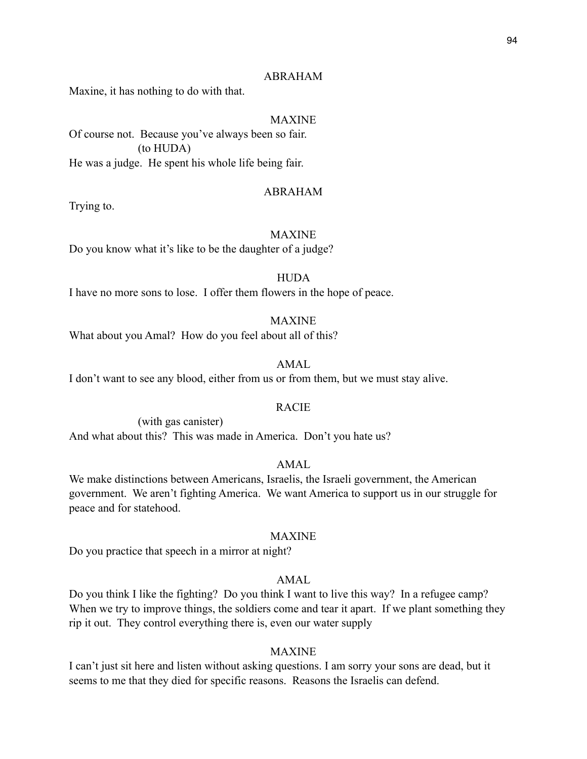Maxine, it has nothing to do with that.

# MAXINE

Of course not. Because you've always been so fair. (to HUDA) He was a judge. He spent his whole life being fair.

## ABRAHAM

Trying to.

#### **MAXINE**

Do you know what it's like to be the daughter of a judge?

#### HUDA

I have no more sons to lose. I offer them flowers in the hope of peace.

## MAXINE

What about you Amal? How do you feel about all of this?

## AMAL

I don't want to see any blood, either from us or from them, but we must stay alive.

#### RACIE

 (with gas canister) And what about this? This was made in America. Don't you hate us?

#### AMAL

We make distinctions between Americans, Israelis, the Israeli government, the American government. We aren't fighting America. We want America to support us in our struggle for peace and for statehood.

#### MAXINE

Do you practice that speech in a mirror at night?

## AMAL

Do you think I like the fighting? Do you think I want to live this way? In a refugee camp? When we try to improve things, the soldiers come and tear it apart. If we plant something they rip it out. They control everything there is, even our water supply

#### MAXINE

I can't just sit here and listen without asking questions. I am sorry your sons are dead, but it seems to me that they died for specific reasons. Reasons the Israelis can defend.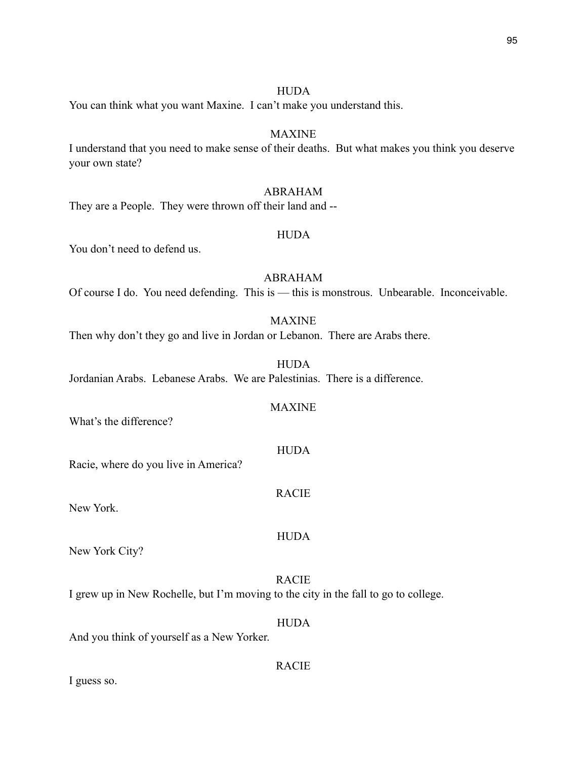## **HUDA**

You can think what you want Maxine. I can't make you understand this.

#### **MAXINE**

I understand that you need to make sense of their deaths. But what makes you think you deserve your own state?

## ABRAHAM

They are a People. They were thrown off their land and --

#### HUDA

You don't need to defend us.

## ABRAHAM

Of course I do. You need defending. This is — this is monstrous. Unbearable. Inconceivable.

## MAXINE

Then why don't they go and live in Jordan or Lebanon. There are Arabs there.

**HUDA** Jordanian Arabs. Lebanese Arabs. We are Palestinias. There is a difference.

#### MAXINE

What's the difference?

Racie, where do you live in America?

New York.

New York City?

# RACIE

I grew up in New Rochelle, but I'm moving to the city in the fall to go to college.

## HUDA

RACIE

And you think of yourself as a New Yorker.

I guess so.

**HUDA** 

RACIE

HUDA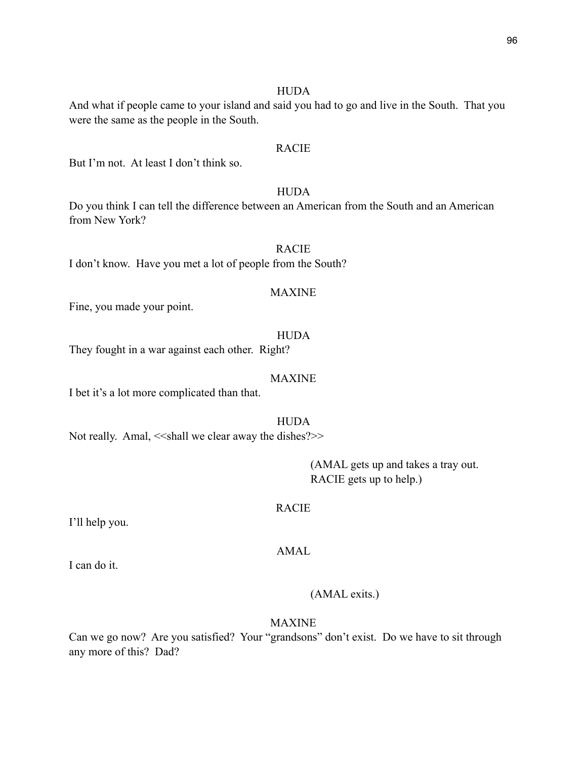#### **HUDA**

And what if people came to your island and said you had to go and live in the South. That you were the same as the people in the South.

## RACIE

But I'm not. At least I don't think so.

# **HUDA**

Do you think I can tell the difference between an American from the South and an American from New York?

I don't know. Have you met a lot of people from the South?

#### MAXINE

Fine, you made your point.

## HUDA

They fought in a war against each other. Right?

#### MAXINE

I bet it's a lot more complicated than that.

HUDA

Not really. Amal,  $\le$ shall we clear away the dishes? $\ge$ 

 (AMAL gets up and takes a tray out. RACIE gets up to help.)

## RACIE

I'll help you.

AMAL

I can do it.

#### (AMAL exits.)

## MAXINE

Can we go now? Are you satisfied? Your "grandsons" don't exist. Do we have to sit through any more of this? Dad?

# RACIE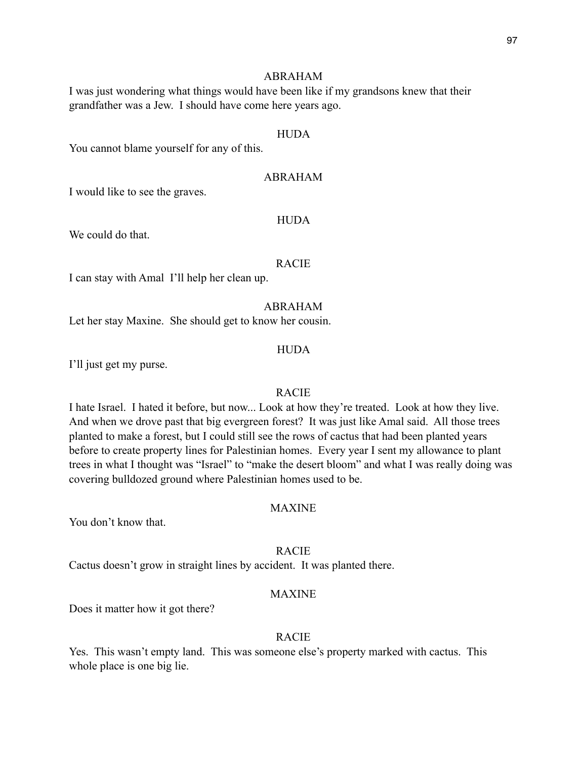I was just wondering what things would have been like if my grandsons knew that their grandfather was a Jew. I should have come here years ago.

#### **HUDA**

You cannot blame yourself for any of this.

#### ABRAHAM

I would like to see the graves.

## HUDA

We could do that.

#### RACIE

I can stay with Amal I'll help her clean up.

#### ABRAHAM

Let her stay Maxine. She should get to know her cousin.

### **HUDA**

I'll just get my purse.

#### RACIE

I hate Israel. I hated it before, but now... Look at how they're treated. Look at how they live. And when we drove past that big evergreen forest? It was just like Amal said. All those trees planted to make a forest, but I could still see the rows of cactus that had been planted years before to create property lines for Palestinian homes. Every year I sent my allowance to plant trees in what I thought was "Israel" to "make the desert bloom" and what I was really doing was covering bulldozed ground where Palestinian homes used to be.

## MAXINE

You don't know that.

RACIE

Cactus doesn't grow in straight lines by accident. It was planted there.

#### MAXINE

Does it matter how it got there?

## RACIE

Yes. This wasn't empty land. This was someone else's property marked with cactus. This whole place is one big lie.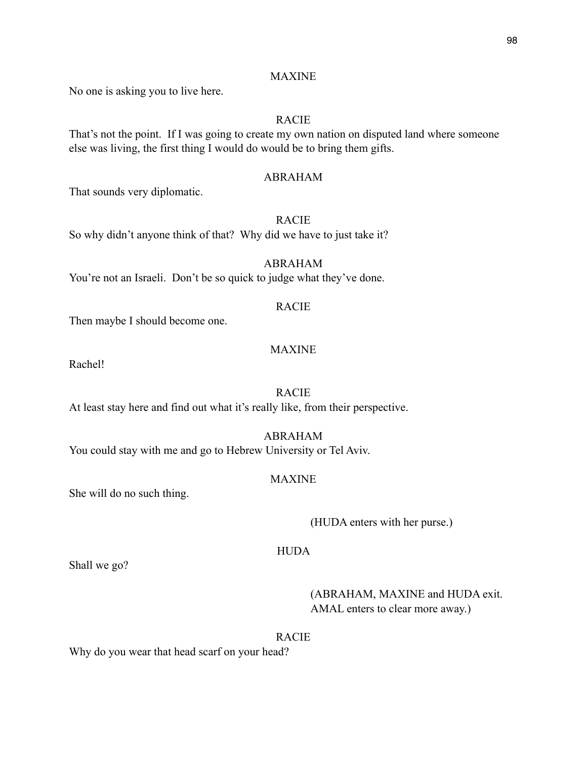No one is asking you to live here.

## RACIE

That's not the point. If I was going to create my own nation on disputed land where someone else was living, the first thing I would do would be to bring them gifts.

## ABRAHAM

That sounds very diplomatic.

## RACIE

So why didn't anyone think of that? Why did we have to just take it?

ABRAHAM You're not an Israeli. Don't be so quick to judge what they've done.

## RACIE

Then maybe I should become one.

# MAXINE

Rachel!

## RACIE

At least stay here and find out what it's really like, from their perspective.

## ABRAHAM

You could stay with me and go to Hebrew University or Tel Aviv.

## MAXINE

She will do no such thing.

(HUDA enters with her purse.)

## HUDA

Shall we go?

 (ABRAHAM, MAXINE and HUDA exit. AMAL enters to clear more away.)

RACIE

Why do you wear that head scarf on your head?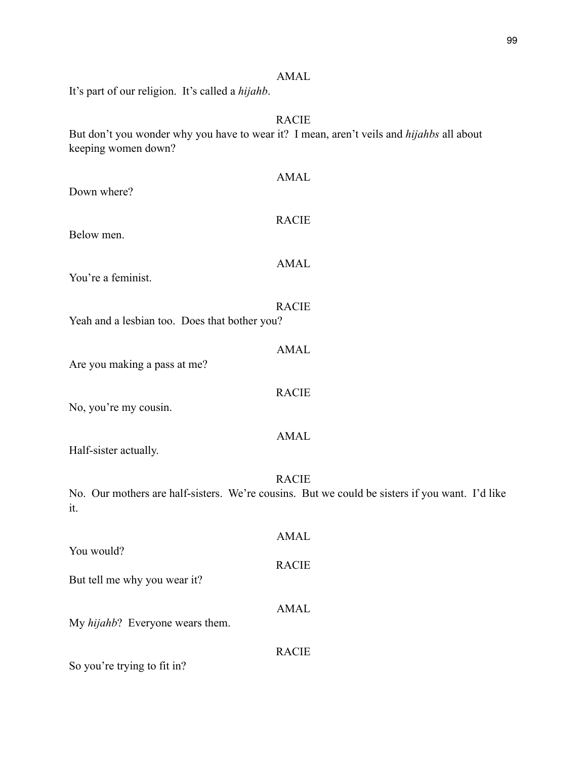It's part of our religion. It's called a *hijahb*.

# RACIE

RACIE

But don't you wonder why you have to wear it? I mean, aren't veils and *hijahbs* all about keeping women down?

AMAL Down where? RACIE Below men. AMAL You're a feminist. RACIE Yeah and a lesbian too. Does that bother you? AMAL Are you making a pass at me? RACIE No, you're my cousin. AMAL Half-sister actually. RACIE No. Our mothers are half-sisters. We're cousins. But we could be sisters if you want. I'd like it. AMAL You would? RACIE But tell me why you wear it? AMAL My *hijahb*? Everyone wears them.

So you're trying to fit in?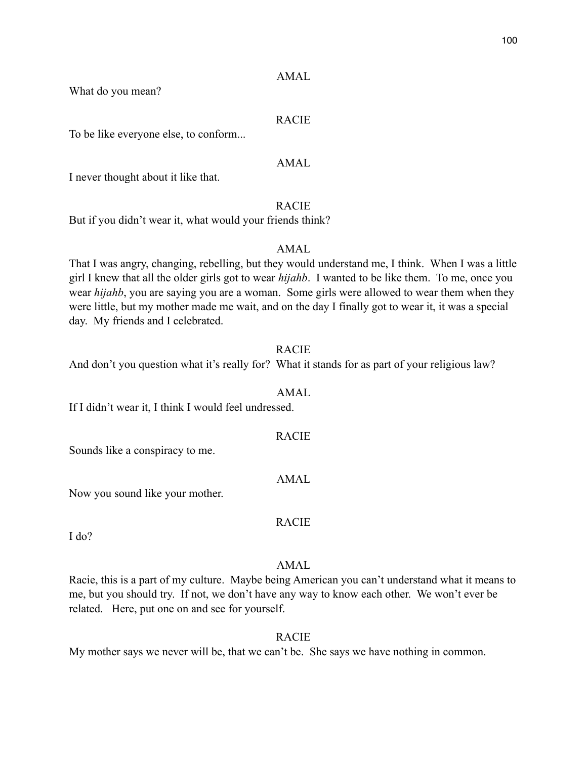What do you mean?

## RACIE

To be like everyone else, to conform...

## AMAL

I never thought about it like that.

# RACIE

But if you didn't wear it, what would your friends think?

# AMAL

That I was angry, changing, rebelling, but they would understand me, I think. When I was a little girl I knew that all the older girls got to wear *hijahb*. I wanted to be like them. To me, once you wear *hijahb*, you are saying you are a woman. Some girls were allowed to wear them when they were little, but my mother made me wait, and on the day I finally got to wear it, it was a special day. My friends and I celebrated.

## RACIE

And don't you question what it's really for? What it stands for as part of your religious law?

## AMAL

If I didn't wear it, I think I would feel undressed.

## RACIE

Sounds like a conspiracy to me.

## AMAL

RACIE

Now you sound like your mother.

I do?

## AMAL

Racie, this is a part of my culture. Maybe being American you can't understand what it means to me, but you should try. If not, we don't have any way to know each other. We won't ever be related. Here, put one on and see for yourself.

## RACIE

My mother says we never will be, that we can't be. She says we have nothing in common.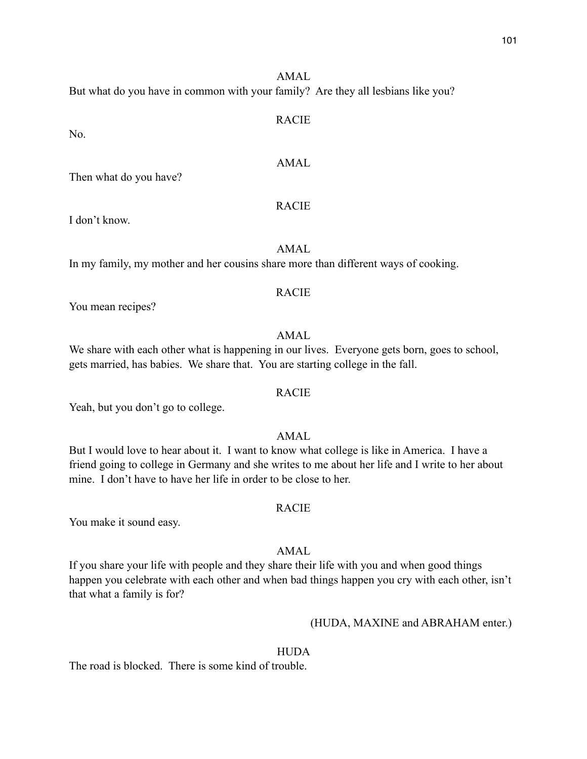But what do you have in common with your family? Are they all lesbians like you?

RACIE

No.

AMAL

RACIE

Then what do you have?

I don't know.

AMAL

In my family, my mother and her cousins share more than different ways of cooking.

## RACIE

You mean recipes?

## AMAL

We share with each other what is happening in our lives. Everyone gets born, goes to school, gets married, has babies. We share that. You are starting college in the fall.

## RACIE

Yeah, but you don't go to college.

## AMAL

But I would love to hear about it. I want to know what college is like in America. I have a friend going to college in Germany and she writes to me about her life and I write to her about mine. I don't have to have her life in order to be close to her.

# RACIE

You make it sound easy.

## AMAL

If you share your life with people and they share their life with you and when good things happen you celebrate with each other and when bad things happen you cry with each other, isn't that what a family is for?

## (HUDA, MAXINE and ABRAHAM enter.)

## HUDA

The road is blocked. There is some kind of trouble.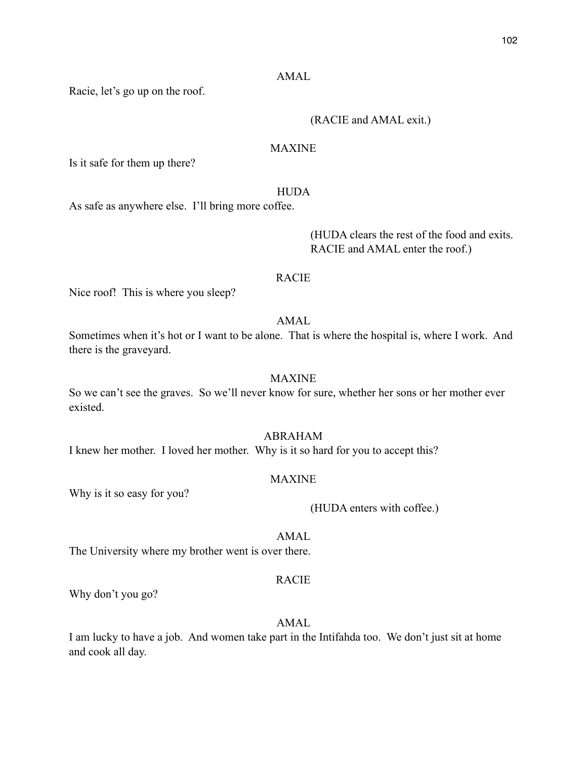Racie, let's go up on the roof.

## (RACIE and AMAL exit.)

## MAXINE

Is it safe for them up there?

# **HUDA**

As safe as anywhere else. I'll bring more coffee.

## (HUDA clears the rest of the food and exits. RACIE and AMAL enter the roof.)

## RACIE

Nice roof! This is where you sleep?

## AMAL

Sometimes when it's hot or I want to be alone. That is where the hospital is, where I work. And there is the graveyard.

#### MAXINE

So we can't see the graves. So we'll never know for sure, whether her sons or her mother ever existed.

#### ABRAHAM

I knew her mother. I loved her mother. Why is it so hard for you to accept this?

## MAXINE

Why is it so easy for you?

(HUDA enters with coffee.)

## AMAL

The University where my brother went is over there.

## RACIE

Why don't you go?

## AMAL

I am lucky to have a job. And women take part in the Intifahda too. We don't just sit at home and cook all day.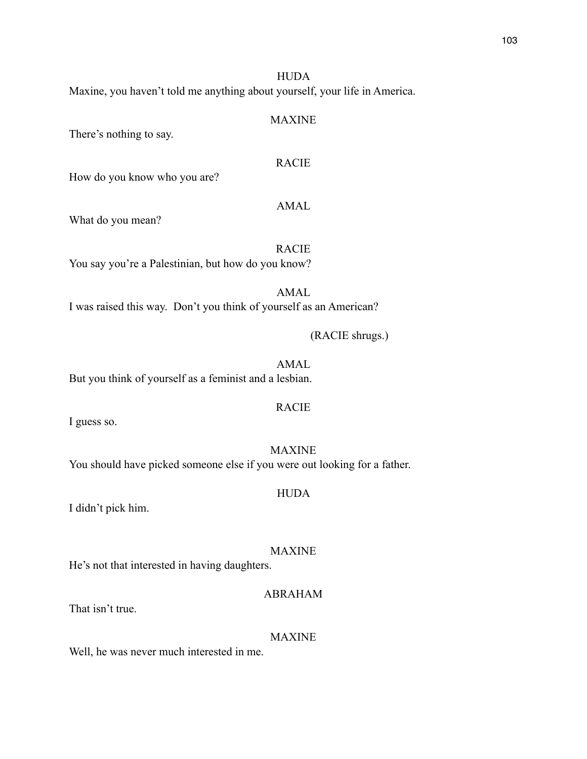## HUDA

Maxine, you haven't told me anything about yourself, your life in America.

#### MAXINE

There's nothing to say.

# RACIE

How do you know who you are?

What do you mean?

RACIE You say you're a Palestinian, but how do you know?

AMAL I was raised this way. Don't you think of yourself as an American?

#### (RACIE shrugs.)

AMAL But you think of yourself as a feminist and a lesbian.

#### RACIE

I guess so.

# MAXINE

You should have picked someone else if you were out looking for a father.

#### HUDA

I didn't pick him.

# MAXINE

He's not that interested in having daughters.

# ABRAHAM

That isn't true.

#### MAXINE

Well, he was never much interested in me.

AMAL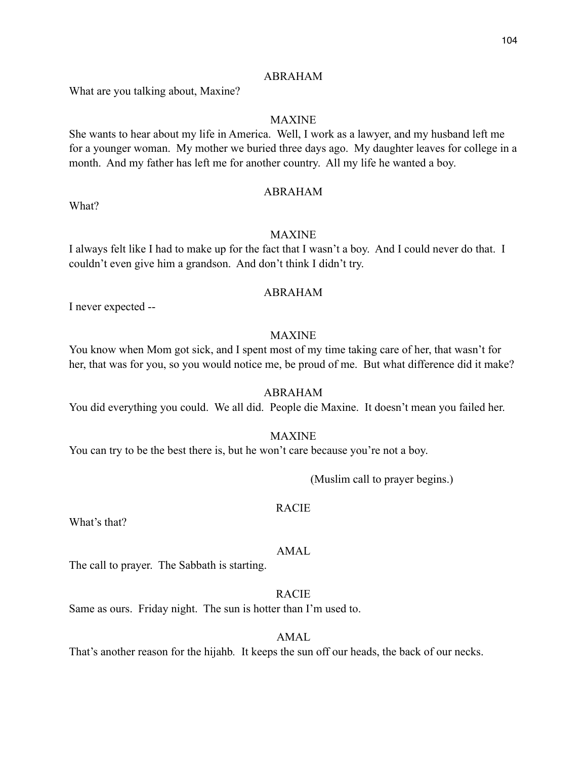What are you talking about, Maxine?

#### MAXINE

She wants to hear about my life in America. Well, I work as a lawyer, and my husband left me for a younger woman. My mother we buried three days ago. My daughter leaves for college in a month. And my father has left me for another country. All my life he wanted a boy.

# ABRAHAM

What?

#### MAXINE

I always felt like I had to make up for the fact that I wasn't a boy. And I could never do that. I couldn't even give him a grandson. And don't think I didn't try.

#### ABRAHAM

I never expected --

#### MAXINE

You know when Mom got sick, and I spent most of my time taking care of her, that wasn't for her, that was for you, so you would notice me, be proud of me. But what difference did it make?

#### ABRAHAM

You did everything you could. We all did. People die Maxine. It doesn't mean you failed her.

#### MAXINE

You can try to be the best there is, but he won't care because you're not a boy.

(Muslim call to prayer begins.)

# RACIE

What's that?

#### AMAL

The call to prayer. The Sabbath is starting.

# RACIE

Same as ours. Friday night. The sun is hotter than I'm used to.

#### AMAL

That's another reason for the hijahb*.* It keeps the sun off our heads, the back of our necks.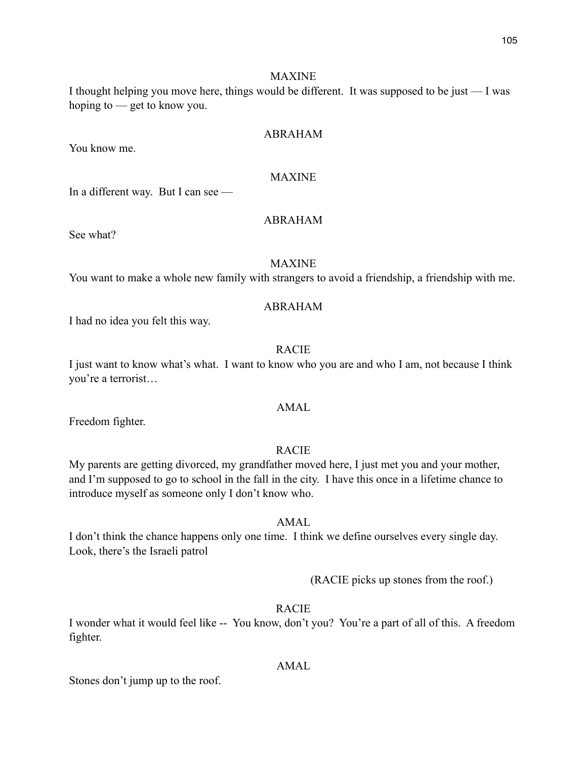I thought helping you move here, things would be different. It was supposed to be just — I was hoping to — get to know you.

#### ABRAHAM

You know me.

#### MAXINE

In a different way. But I can see —

#### ABRAHAM

See what?

#### MAXINE

You want to make a whole new family with strangers to avoid a friendship, a friendship with me.

# ABRAHAM

I had no idea you felt this way.

### RACIE

I just want to know what's what. I want to know who you are and who I am, not because I think you're a terrorist…

# AMAL

Freedom fighter.

# RACIE

My parents are getting divorced, my grandfather moved here, I just met you and your mother, and I'm supposed to go to school in the fall in the city. I have this once in a lifetime chance to introduce myself as someone only I don't know who.

# AMAL

I don't think the chance happens only one time. I think we define ourselves every single day. Look, there's the Israeli patrol

(RACIE picks up stones from the roof.)

# RACIE

I wonder what it would feel like -- You know, don't you? You're a part of all of this. A freedom fighter.

# AMAL

Stones don't jump up to the roof.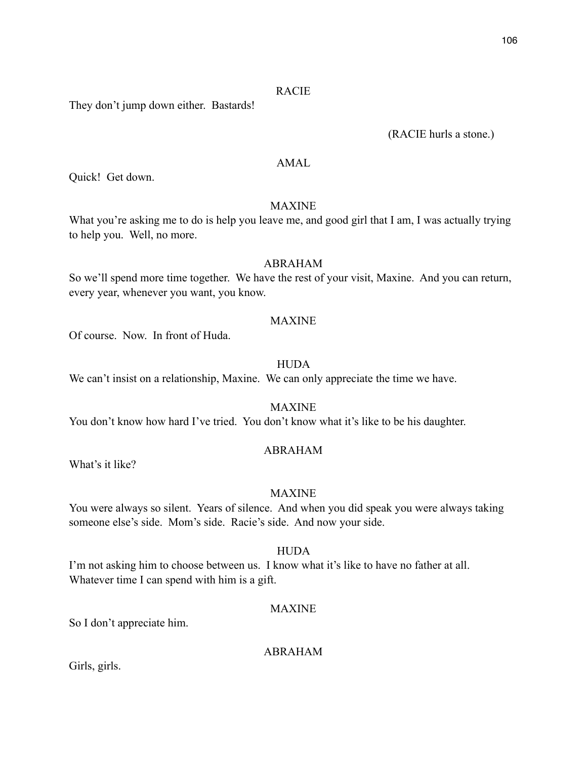# RACIE

They don't jump down either. Bastards!

(RACIE hurls a stone.)

#### AMAL

Quick! Get down.

# MAXINE

What you're asking me to do is help you leave me, and good girl that I am, I was actually trying to help you. Well, no more.

# ABRAHAM

So we'll spend more time together. We have the rest of your visit, Maxine. And you can return, every year, whenever you want, you know.

# MAXINE

Of course. Now. In front of Huda.

# **HUDA**

We can't insist on a relationship, Maxine. We can only appreciate the time we have.

# MAXINE

You don't know how hard I've tried. You don't know what it's like to be his daughter.

# ABRAHAM

What's it like?

# **MAXINE**

You were always so silent. Years of silence. And when you did speak you were always taking someone else's side. Mom's side. Racie's side. And now your side.

# HUDA

I'm not asking him to choose between us. I know what it's like to have no father at all. Whatever time I can spend with him is a gift.

# **MAXINE**

So I don't appreciate him.

ABRAHAM

Girls, girls.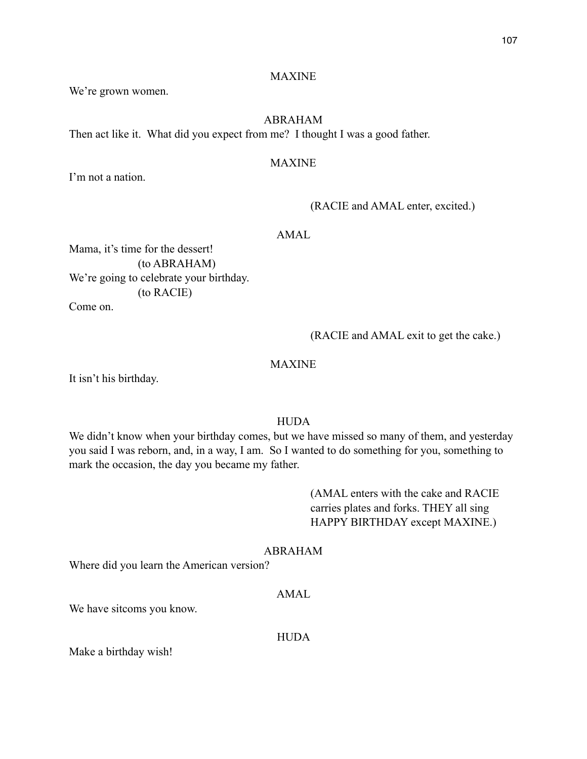We're grown women.

# ABRAHAM

Then act like it. What did you expect from me? I thought I was a good father.

#### MAXINE

I'm not a nation.

(RACIE and AMAL enter, excited.)

AMAL

Mama, it's time for the dessert! (to ABRAHAM) We're going to celebrate your birthday. (to RACIE) Come on.

(RACIE and AMAL exit to get the cake.)

#### MAXINE

It isn't his birthday.

# **HUDA**

We didn't know when your birthday comes, but we have missed so many of them, and yesterday you said I was reborn, and, in a way, I am. So I wanted to do something for you, something to mark the occasion, the day you became my father.

> (AMAL enters with the cake and RACIE carries plates and forks. THEY all sing HAPPY BIRTHDAY except MAXINE.)

#### ABRAHAM

Where did you learn the American version?

# AMAL

We have sitcoms you know.

HUDA

Make a birthday wish!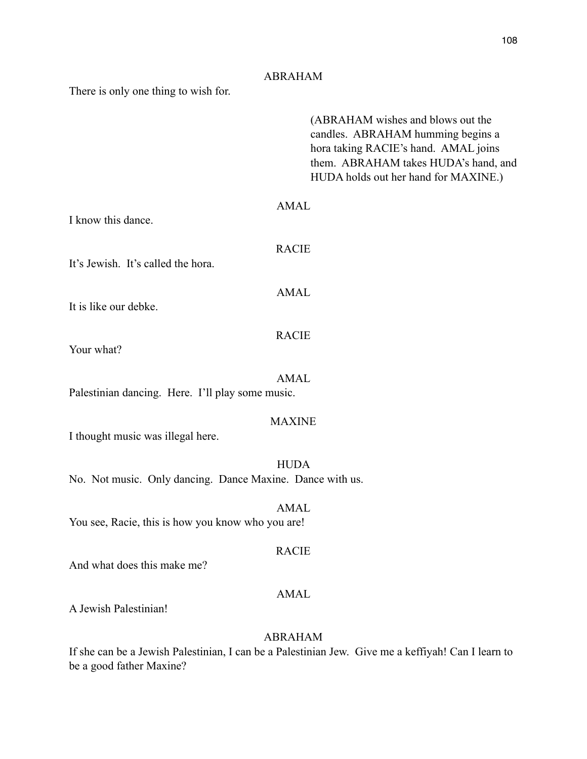There is only one thing to wish for.

 (ABRAHAM wishes and blows out the candles. ABRAHAM humming begins a hora taking RACIE's hand. AMAL joins them. ABRAHAM takes HUDA's hand, and HUDA holds out her hand for MAXINE.)

# AMAL

RACIE

AMAL

RACIE

I know this dance.

It's Jewish. It's called the hora.

It is like our debke.

Your what?

AMAL

Palestinian dancing. Here. I'll play some music.

# MAXINE

I thought music was illegal here.

HUDA No. Not music. Only dancing. Dance Maxine. Dance with us.

AMAL You see, Racie, this is how you know who you are!

# RACIE

And what does this make me?

# AMAL

A Jewish Palestinian!

# ABRAHAM

If she can be a Jewish Palestinian, I can be a Palestinian Jew. Give me a keffiyah! Can I learn to be a good father Maxine?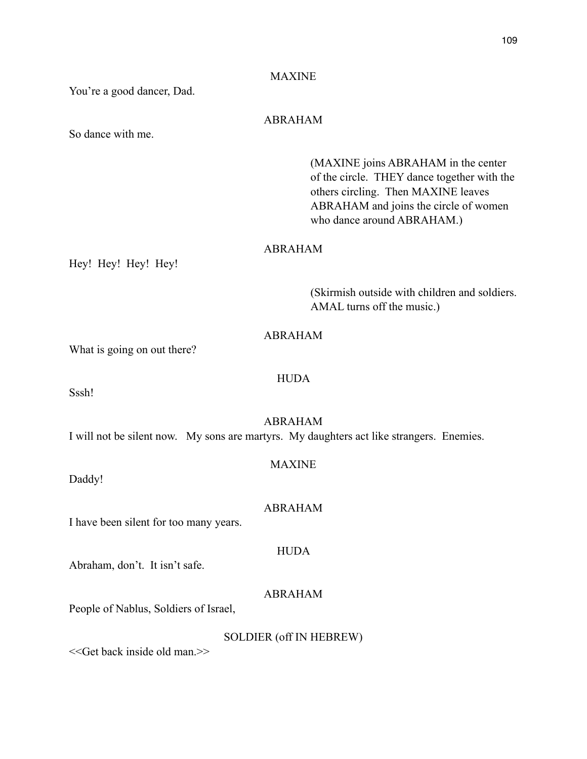You're a good dancer, Dad.

## ABRAHAM

So dance with me.

 (MAXINE joins ABRAHAM in the center of the circle. THEY dance together with the others circling. Then MAXINE leaves ABRAHAM and joins the circle of women who dance around ABRAHAM.)

# ABRAHAM

Hey! Hey! Hey! Hey!

 (Skirmish outside with children and soldiers. AMAL turns off the music.)

# ABRAHAM

What is going on out there?

Sssh!

# HUDA

ABRAHAM

I will not be silent now. My sons are martyrs. My daughters act like strangers. Enemies.

#### MAXINE

Daddy!

ABRAHAM

I have been silent for too many years.

Abraham, don't. It isn't safe.

#### ABRAHAM

**HUDA** 

People of Nablus, Soldiers of Israel,

SOLDIER (off IN HEBREW)

<<Get back inside old man.>>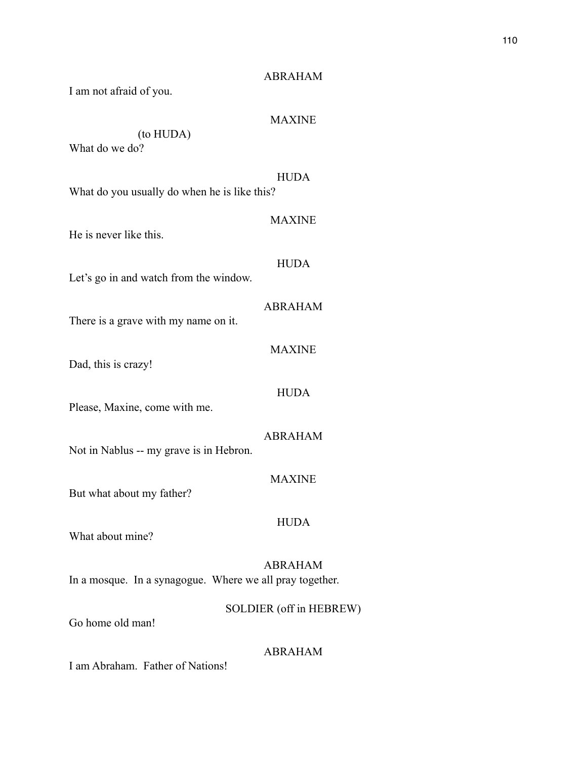I am not afraid of you.

## MAXINE

# (to HUDA)

What do we do?

|                                              | <b>HUDA</b> |
|----------------------------------------------|-------------|
| What do you usually do when he is like this? |             |

MAXINE

HUDA

ABRAHAM

MAXINE

HUDA

He is never like this.

Let's go in and watch from the window.

There is a grave with my name on it.

Dad, this is crazy!

Please, Maxine, come with me.

ABRAHAM

Not in Nablus -- my grave is in Hebron.

MAXINE

But what about my father?

What about mine?

# ABRAHAM

In a mosque. In a synagogue. Where we all pray together.

# SOLDIER (off in HEBREW)

HUDA

Go home old man!

# ABRAHAM

I am Abraham. Father of Nations!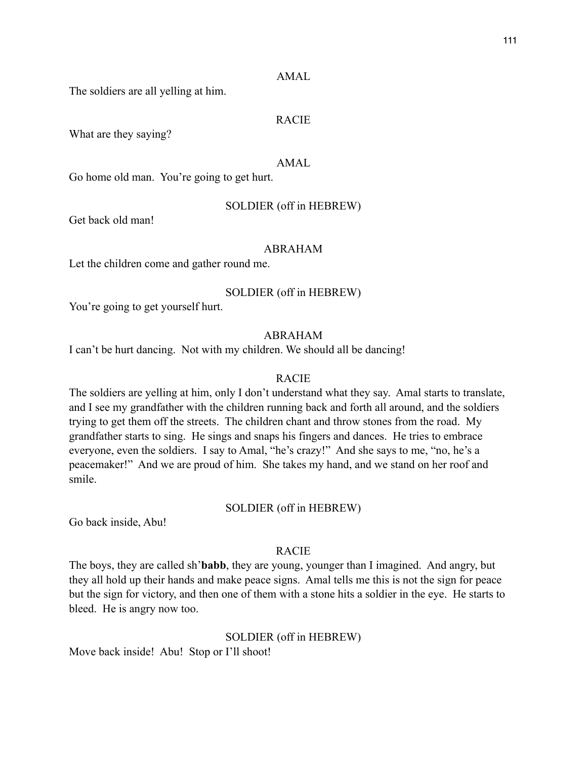# AMAL

The soldiers are all yelling at him.

### RACIE

What are they saying?

### AMAL

Go home old man. You're going to get hurt.

# SOLDIER (off in HEBREW)

Get back old man!

# ABRAHAM

Let the children come and gather round me.

# SOLDIER (off in HEBREW)

You're going to get yourself hurt.

# ABRAHAM

I can't be hurt dancing. Not with my children. We should all be dancing!

### RACIE

The soldiers are yelling at him, only I don't understand what they say. Amal starts to translate, and I see my grandfather with the children running back and forth all around, and the soldiers trying to get them off the streets. The children chant and throw stones from the road. My grandfather starts to sing. He sings and snaps his fingers and dances. He tries to embrace everyone, even the soldiers. I say to Amal, "he's crazy!" And she says to me, "no, he's a peacemaker!" And we are proud of him. She takes my hand, and we stand on her roof and smile.

SOLDIER (off in HEBREW)

Go back inside, Abu!

# RACIE

The boys, they are called sh'**babb**, they are young, younger than I imagined. And angry, but they all hold up their hands and make peace signs. Amal tells me this is not the sign for peace but the sign for victory, and then one of them with a stone hits a soldier in the eye. He starts to bleed. He is angry now too.

SOLDIER (off in HEBREW)

Move back inside! Abu! Stop or I'll shoot!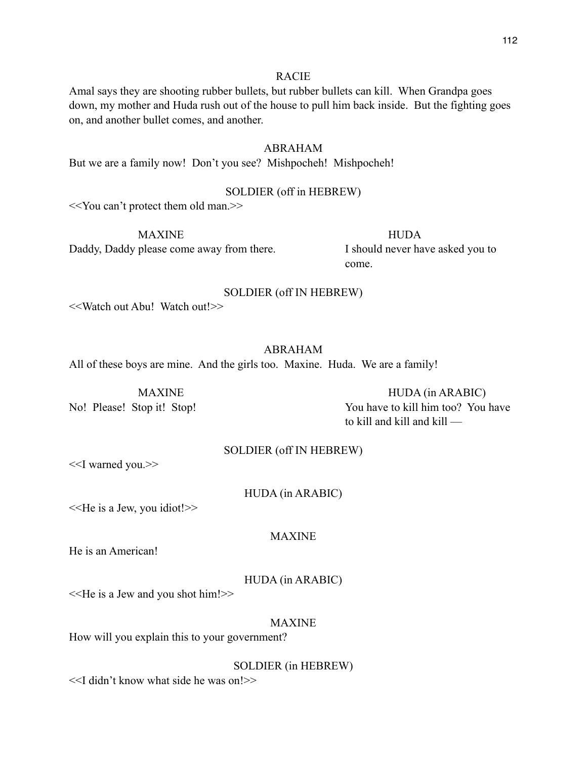#### RACIE

Amal says they are shooting rubber bullets, but rubber bullets can kill. When Grandpa goes down, my mother and Huda rush out of the house to pull him back inside. But the fighting goes on, and another bullet comes, and another.

### ABRAHAM

But we are a family now! Don't you see? Mishpocheh! Mishpocheh!

#### SOLDIER (off in HEBREW)

<<You can't protect them old man.>>

MAXINE HUDA

#### Daddy, Daddy please come away from there. I should never have asked you to

come. The come of the come of the come of the come of the come of the come of the come of the come of the come of the come of the come of the come of the come of the come of the come of the come of the come of the come of

#### SOLDIER (off IN HEBREW)

<<Watch out Abu! Watch out!>>

#### ABRAHAM

All of these boys are mine. And the girls too. Maxine. Huda. We are a family!

MAXINE HUDA (in ARABIC) No! Please! Stop it! Stop! You have to kill him too? You have to kill and kill and kill —

#### SOLDIER (off IN HEBREW)

<<I warned you.>>

HUDA (in ARABIC)

<<He is a Jew, you idiot!>>

#### **MAXINE**

He is an American!

#### HUDA (in ARABIC)

<<He is a Jew and you shot him!>>

#### MAXINE

How will you explain this to your government?

SOLDIER (in HEBREW)

<<I didn't know what side he was on!>>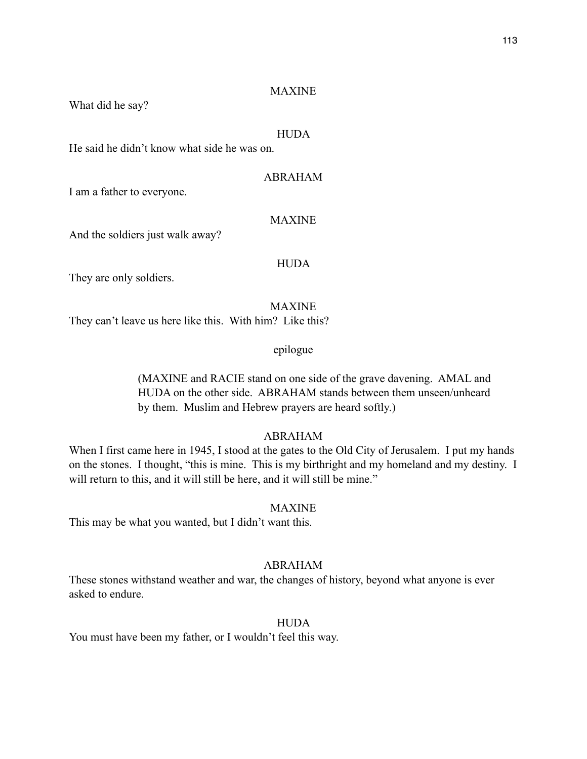What did he say?

#### HUDA

He said he didn't know what side he was on.

#### ABRAHAM

I am a father to everyone.

#### MAXINE

And the soldiers just walk away?

#### HUDA

They are only soldiers.

#### **MAXINE**

They can't leave us here like this. With him? Like this?

epilogue

# (MAXINE and RACIE stand on one side of the grave davening. AMAL and HUDA on the other side. ABRAHAM stands between them unseen/unheard by them. Muslim and Hebrew prayers are heard softly.)

# ABRAHAM

When I first came here in 1945, I stood at the gates to the Old City of Jerusalem. I put my hands on the stones. I thought, "this is mine. This is my birthright and my homeland and my destiny. I will return to this, and it will still be here, and it will still be mine."

# MAXINE

This may be what you wanted, but I didn't want this.

# ABRAHAM

These stones withstand weather and war, the changes of history, beyond what anyone is ever asked to endure.

# HUDA

You must have been my father, or I wouldn't feel this way.